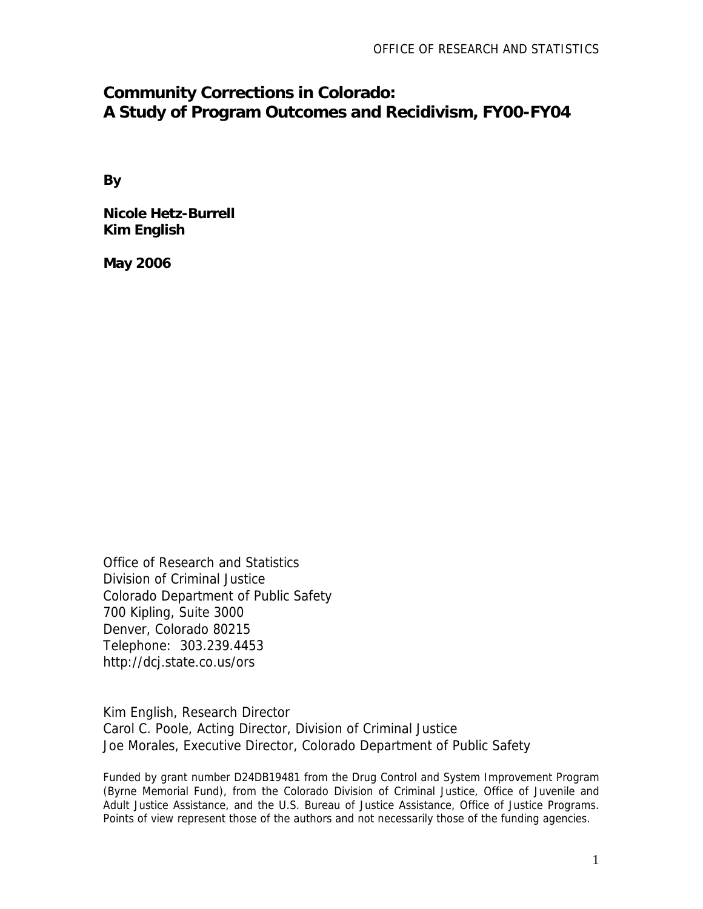## **Community Corrections in Colorado: A Study of Program Outcomes and Recidivism, FY00-FY04**

**By** 

**Nicole Hetz-Burrell Kim English** 

**May 2006** 

Office of Research and Statistics Division of Criminal Justice Colorado Department of Public Safety 700 Kipling, Suite 3000 Denver, Colorado 80215 Telephone: 303.239.4453 http://dcj.state.co.us/ors

Kim English, Research Director Carol C. Poole, Acting Director, Division of Criminal Justice Joe Morales, Executive Director, Colorado Department of Public Safety

Funded by grant number D24DB19481 from the Drug Control and System Improvement Program (Byrne Memorial Fund), from the Colorado Division of Criminal Justice, Office of Juvenile and Adult Justice Assistance, and the U.S. Bureau of Justice Assistance, Office of Justice Programs. Points of view represent those of the authors and not necessarily those of the funding agencies.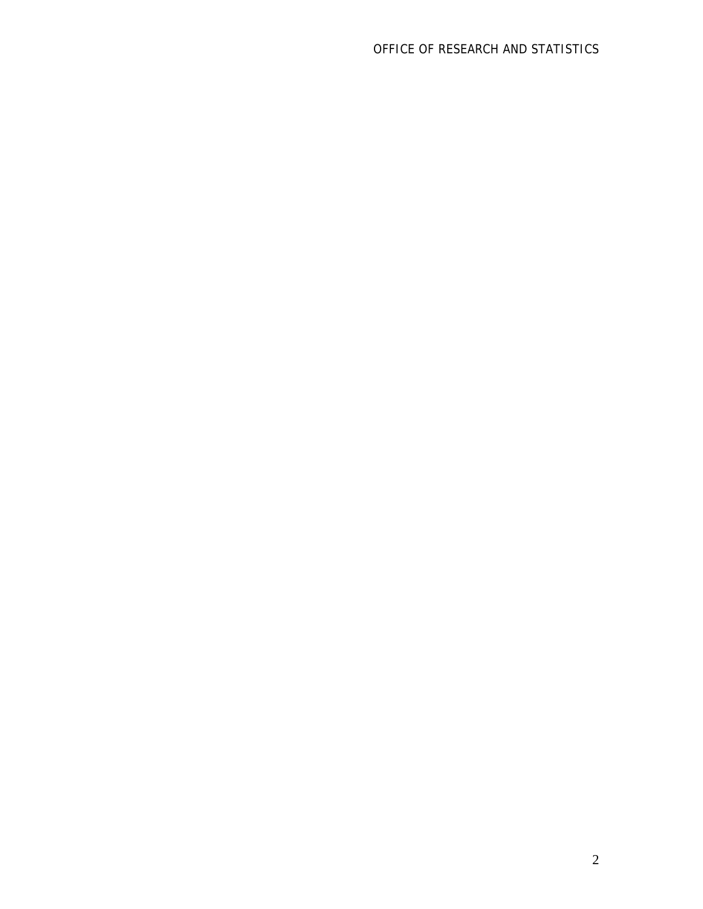## OFFICE OF RESEARCH AND STATISTICS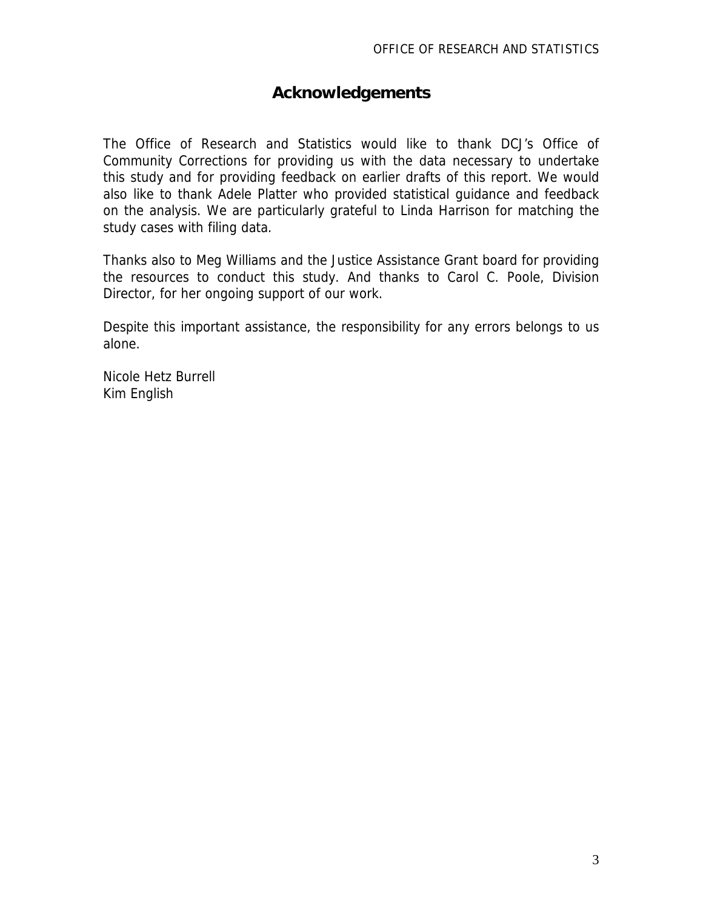## **Acknowledgements**

The Office of Research and Statistics would like to thank DCJ's Office of Community Corrections for providing us with the data necessary to undertake this study and for providing feedback on earlier drafts of this report. We would also like to thank Adele Platter who provided statistical guidance and feedback on the analysis. We are particularly grateful to Linda Harrison for matching the study cases with filing data.

Thanks also to Meg Williams and the Justice Assistance Grant board for providing the resources to conduct this study. And thanks to Carol C. Poole, Division Director, for her ongoing support of our work.

Despite this important assistance, the responsibility for any errors belongs to us alone.

Nicole Hetz Burrell Kim English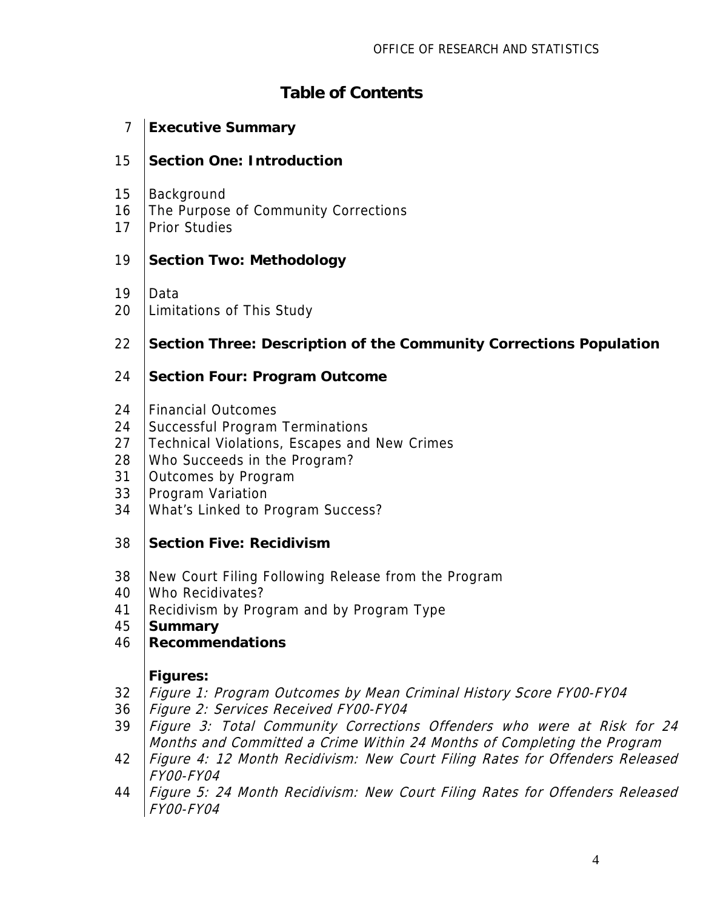# **Table of Contents**

| $\overline{7}$                         | <b>Executive Summary</b>                                                                                                                                                                                                                                                                                                                                                                                                                                                               |
|----------------------------------------|----------------------------------------------------------------------------------------------------------------------------------------------------------------------------------------------------------------------------------------------------------------------------------------------------------------------------------------------------------------------------------------------------------------------------------------------------------------------------------------|
| 15                                     | <b>Section One: Introduction</b>                                                                                                                                                                                                                                                                                                                                                                                                                                                       |
| 15<br>16<br>17                         | Background<br>The Purpose of Community Corrections<br><b>Prior Studies</b>                                                                                                                                                                                                                                                                                                                                                                                                             |
| 19                                     | <b>Section Two: Methodology</b>                                                                                                                                                                                                                                                                                                                                                                                                                                                        |
| 19<br>20                               | Data<br>Limitations of This Study                                                                                                                                                                                                                                                                                                                                                                                                                                                      |
| 22                                     | Section Three: Description of the Community Corrections Population                                                                                                                                                                                                                                                                                                                                                                                                                     |
| 24                                     | <b>Section Four: Program Outcome</b>                                                                                                                                                                                                                                                                                                                                                                                                                                                   |
| 24<br>24<br>27<br>28<br>31<br>33<br>34 | <b>Financial Outcomes</b><br><b>Successful Program Terminations</b><br>Technical Violations, Escapes and New Crimes<br>Who Succeeds in the Program?<br>Outcomes by Program<br>Program Variation<br>What's Linked to Program Success?                                                                                                                                                                                                                                                   |
| 38                                     | <b>Section Five: Recidivism</b>                                                                                                                                                                                                                                                                                                                                                                                                                                                        |
| 38<br>40<br>41<br>45<br>46             | New Court Filing Following Release from the Program<br>Who Recidivates?<br>Recidivism by Program and by Program Type<br><b>Summary</b><br><b>Recommendations</b>                                                                                                                                                                                                                                                                                                                       |
| 32<br>36<br>39<br>42<br>44             | Figures:<br>Figure 1: Program Outcomes by Mean Criminal History Score FY00-FY04<br>Figure 2: Services Received FY00-FY04<br>Figure 3: Total Community Corrections Offenders who were at Risk for 24<br>Months and Committed a Crime Within 24 Months of Completing the Program<br>Figure 4: 12 Month Recidivism: New Court Filing Rates for Offenders Released<br><b>FY00-FY04</b><br>Figure 5: 24 Month Recidivism: New Court Filing Rates for Offenders Released<br><b>FY00-FY04</b> |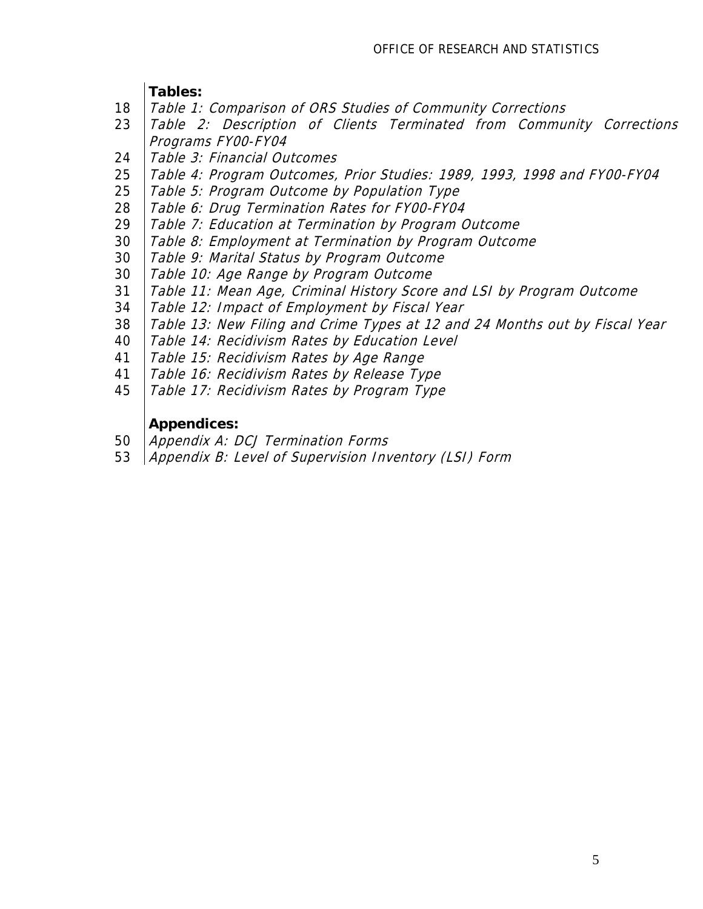#### **Tables:**

- 18 Table 1: Comparison of ORS Studies of Community Corrections
- 23 Table 2: Description of Clients Terminated from Community Corrections Programs FY00-FY04
- 24 Table 3: Financial Outcomes
- 25 Table 4: Program Outcomes, Prior Studies: 1989, 1993, 1998 and FY00-FY04
- 25 Table 5: Program Outcome by Population Type
- 28 | Table 6: Drug Termination Rates for FY00-FY04
- 29 | Table 7: Education at Termination by Program Outcome
- 30 Table 8: Employment at Termination by Program Outcome
- 30 | Table 9: Marital Status by Program Outcome
- 30 Table 10: Age Range by Program Outcome
- 31 Table 11: Mean Age, Criminal History Score and LSI by Program Outcome
- 34 | Table 12: Impact of Employment by Fiscal Year
- 38 Table 13: New Filing and Crime Types at 12 and 24 Months out by Fiscal Year
- 40 | Table 14: Recidivism Rates by Education Level
- 41 | Table 15: Recidivism Rates by Age Range
- 41 Table 16: Recidivism Rates by Release Type
- 45 Table 17: Recidivism Rates by Program Type

## **Appendices:**

- 50 | Appendix A: DCJ Termination Forms
- 53 | Appendix B: Level of Supervision Inventory (LSI) Form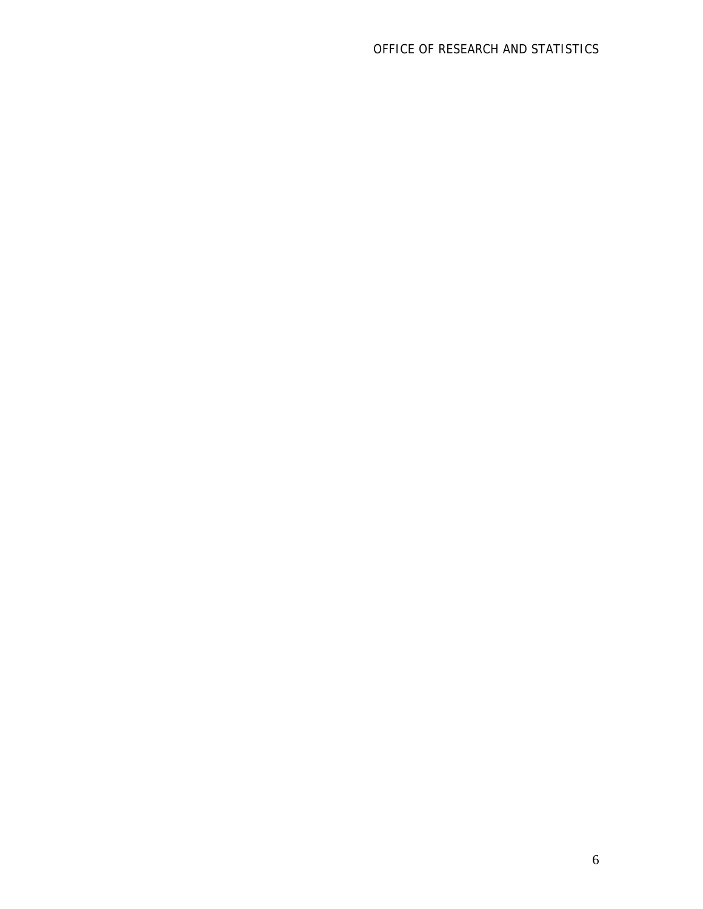## OFFICE OF RESEARCH AND STATISTICS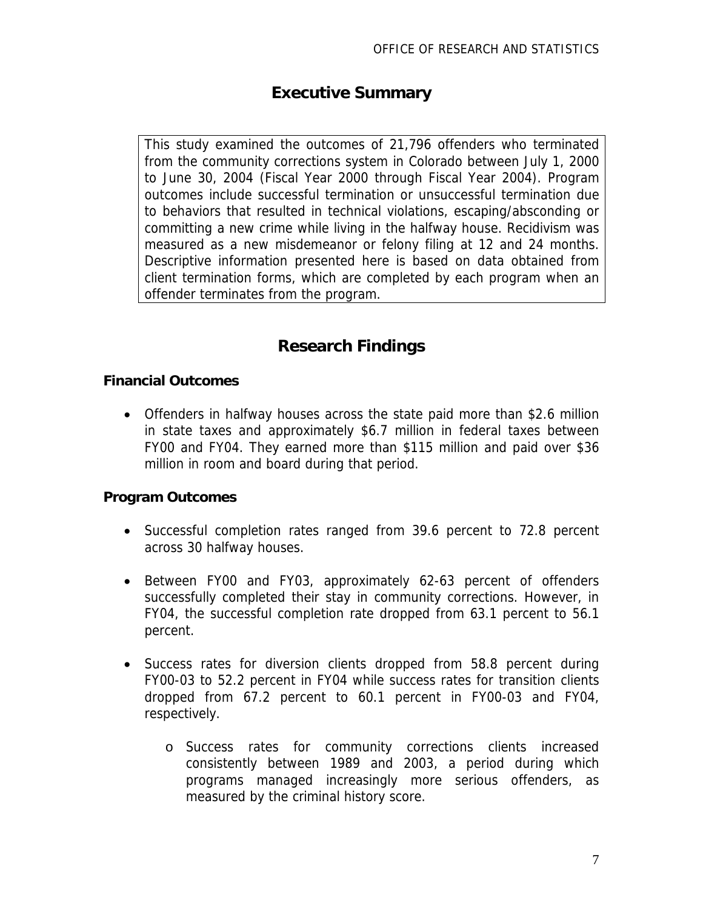## **Executive Summary**

This study examined the outcomes of 21,796 offenders who terminated from the community corrections system in Colorado between July 1, 2000 to June 30, 2004 (Fiscal Year 2000 through Fiscal Year 2004). Program outcomes include successful termination or unsuccessful termination due to behaviors that resulted in technical violations, escaping/absconding or committing a new crime while living in the halfway house. Recidivism was measured as a new misdemeanor or felony filing at 12 and 24 months. Descriptive information presented here is based on data obtained from client termination forms, which are completed by each program when an offender terminates from the program.

## **Research Findings**

#### **Financial Outcomes**

• Offenders in halfway houses across the state paid more than \$2.6 million in state taxes and approximately \$6.7 million in federal taxes between FY00 and FY04. They earned more than \$115 million and paid over \$36 million in room and board during that period.

### **Program Outcomes**

- Successful completion rates ranged from 39.6 percent to 72.8 percent across 30 halfway houses.
- Between FY00 and FY03, approximately 62-63 percent of offenders successfully completed their stay in community corrections. However, in FY04, the successful completion rate dropped from 63.1 percent to 56.1 percent.
- Success rates for diversion clients dropped from 58.8 percent during FY00-03 to 52.2 percent in FY04 while success rates for transition clients dropped from 67.2 percent to 60.1 percent in FY00-03 and FY04, respectively.
	- o Success rates for community corrections clients increased consistently between 1989 and 2003, a period during which programs managed increasingly more serious offenders, as measured by the criminal history score.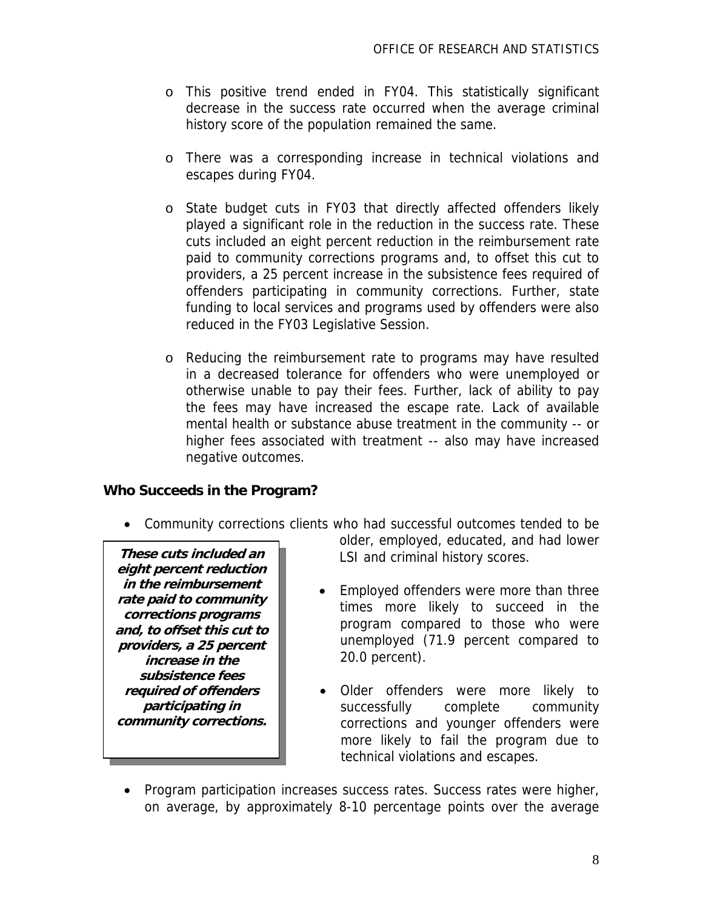- o This positive trend ended in FY04. This statistically significant decrease in the success rate occurred when the average criminal history score of the population remained the same.
- o There was a corresponding increase in technical violations and escapes during FY04.
- o State budget cuts in FY03 that directly affected offenders likely played a significant role in the reduction in the success rate. These cuts included an eight percent reduction in the reimbursement rate paid to community corrections programs and, to offset this cut to providers, a 25 percent increase in the subsistence fees required of offenders participating in community corrections. Further, state funding to local services and programs used by offenders were also reduced in the FY03 Legislative Session.
- o Reducing the reimbursement rate to programs may have resulted in a decreased tolerance for offenders who were unemployed or otherwise unable to pay their fees. Further, lack of ability to pay the fees may have increased the escape rate. Lack of available mental health or substance abuse treatment in the community -- or higher fees associated with treatment -- also may have increased negative outcomes.

### **Who Succeeds in the Program?**

• Community corrections clients who had successful outcomes tended to be

**These cuts included an eight percent reduction in the reimbursement rate paid to community corrections programs and, to offset this cut to providers, a 25 percent increase in the subsistence fees required of offenders participating in community corrections.**

older, employed, educated, and had lower LSI and criminal history scores.

- Employed offenders were more than three times more likely to succeed in the program compared to those who were unemployed (71.9 percent compared to 20.0 percent).
- Older offenders were more likely to successfully complete community corrections and younger offenders were more likely to fail the program due to technical violations and escapes.
- Program participation increases success rates. Success rates were higher, on average, by approximately 8-10 percentage points over the average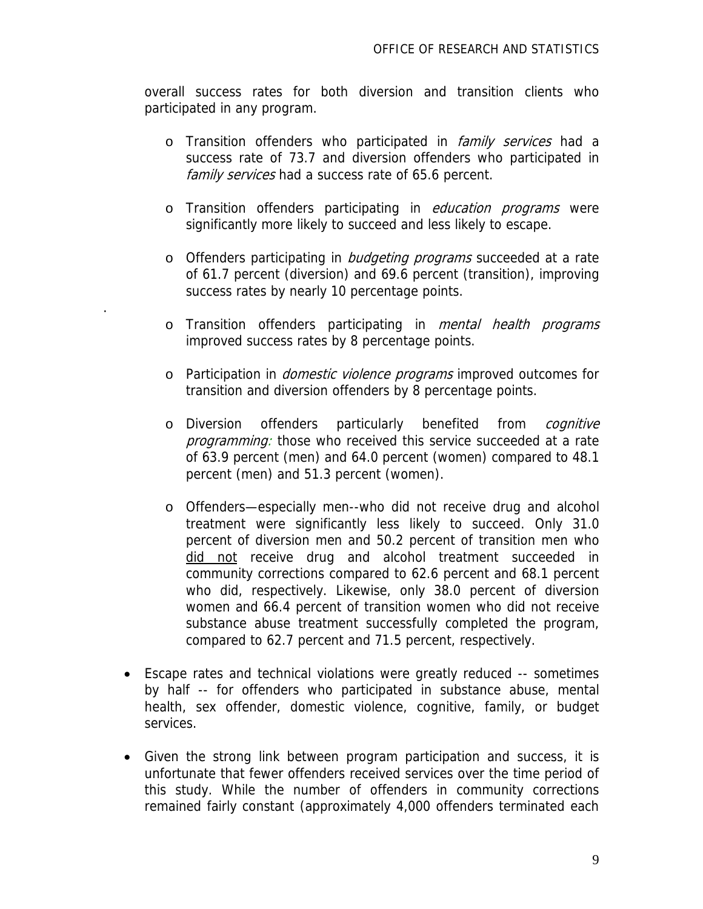overall success rates for both diversion and transition clients who participated in any program.

- o Transition offenders who participated in *family services* had a success rate of 73.7 and diversion offenders who participated in family services had a success rate of 65.6 percent.
- o Transition offenders participating in *education programs* were significantly more likely to succeed and less likely to escape.
- o Offenders participating in *budgeting programs* succeeded at a rate of 61.7 percent (diversion) and 69.6 percent (transition), improving success rates by nearly 10 percentage points.
- o Transition offenders participating in *mental health programs* improved success rates by 8 percentage points.

.

- o Participation in domestic violence programs improved outcomes for transition and diversion offenders by 8 percentage points.
- o Diversion offenders particularly benefited from *cognitive* programming: those who received this service succeeded at a rate of 63.9 percent (men) and 64.0 percent (women) compared to 48.1 percent (men) and 51.3 percent (women).
- o Offenders—especially men--who did not receive drug and alcohol treatment were significantly less likely to succeed. Only 31.0 percent of diversion men and 50.2 percent of transition men who did not receive drug and alcohol treatment succeeded in community corrections compared to 62.6 percent and 68.1 percent who did, respectively. Likewise, only 38.0 percent of diversion women and 66.4 percent of transition women who did not receive substance abuse treatment successfully completed the program, compared to 62.7 percent and 71.5 percent, respectively.
- Escape rates and technical violations were greatly reduced -- sometimes by half -- for offenders who participated in substance abuse, mental health, sex offender, domestic violence, cognitive, family, or budget services.
- Given the strong link between program participation and success, it is unfortunate that fewer offenders received services over the time period of this study. While the number of offenders in community corrections remained fairly constant (approximately 4,000 offenders terminated each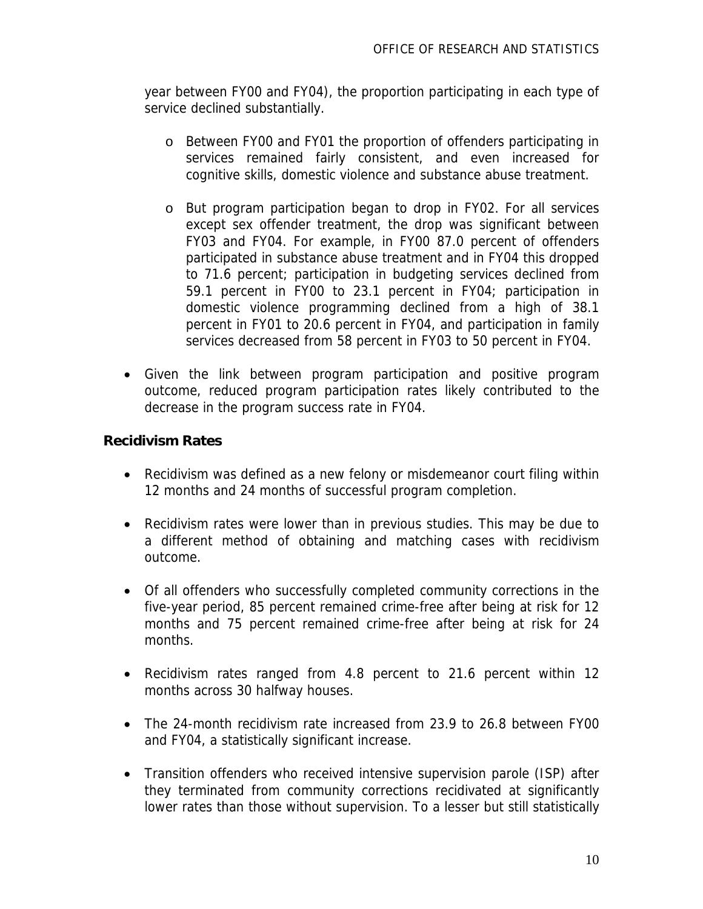year between FY00 and FY04), the proportion participating in each type of service declined substantially.

- o Between FY00 and FY01 the proportion of offenders participating in services remained fairly consistent, and even increased for cognitive skills, domestic violence and substance abuse treatment.
- o But program participation began to drop in FY02. For all services except sex offender treatment, the drop was significant between FY03 and FY04. For example, in FY00 87.0 percent of offenders participated in substance abuse treatment and in FY04 this dropped to 71.6 percent; participation in budgeting services declined from 59.1 percent in FY00 to 23.1 percent in FY04; participation in domestic violence programming declined from a high of 38.1 percent in FY01 to 20.6 percent in FY04, and participation in family services decreased from 58 percent in FY03 to 50 percent in FY04.
- Given the link between program participation and positive program outcome, reduced program participation rates likely contributed to the decrease in the program success rate in FY04.

### **Recidivism Rates**

- Recidivism was defined as a new felony or misdemeanor court filing within 12 months and 24 months of successful program completion.
- Recidivism rates were lower than in previous studies. This may be due to a different method of obtaining and matching cases with recidivism outcome.
- Of all offenders who successfully completed community corrections in the five-year period, 85 percent remained crime-free after being at risk for 12 months and 75 percent remained crime-free after being at risk for 24 months.
- Recidivism rates ranged from 4.8 percent to 21.6 percent within 12 months across 30 halfway houses.
- The 24-month recidivism rate increased from 23.9 to 26.8 between FY00 and FY04, a statistically significant increase.
- Transition offenders who received intensive supervision parole (ISP) after they terminated from community corrections recidivated at significantly lower rates than those without supervision. To a lesser but still statistically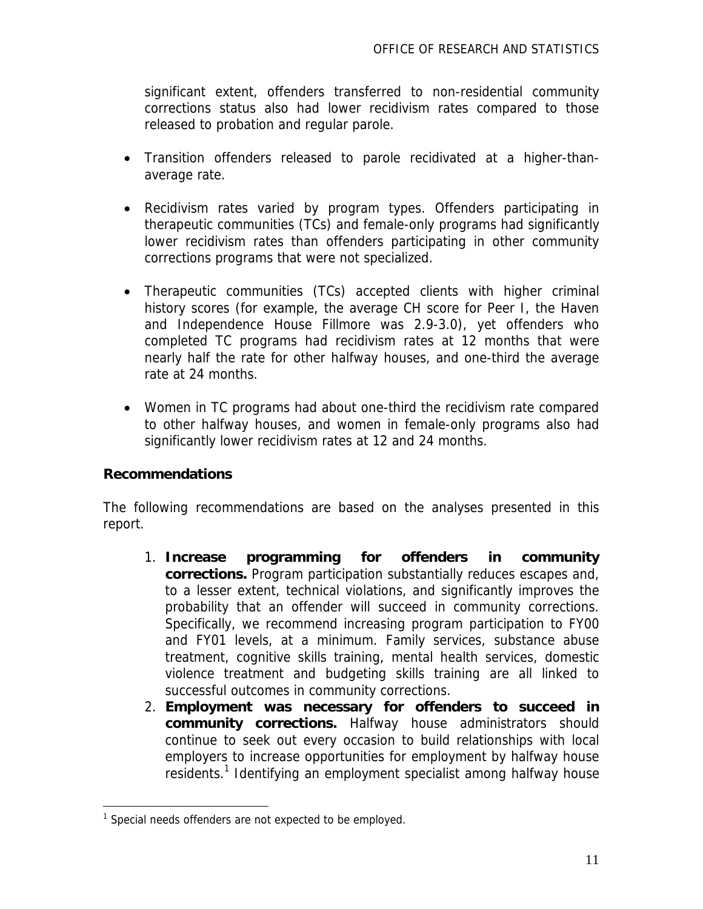significant extent, offenders transferred to non-residential community corrections status also had lower recidivism rates compared to those released to probation and regular parole.

- Transition offenders released to parole recidivated at a higher-thanaverage rate.
- Recidivism rates varied by program types. Offenders participating in therapeutic communities (TCs) and female-only programs had significantly lower recidivism rates than offenders participating in other community corrections programs that were not specialized.
- Therapeutic communities (TCs) accepted clients with higher criminal history scores (for example, the average CH score for Peer I, the Haven and Independence House Fillmore was 2.9-3.0), yet offenders who completed TC programs had recidivism rates at 12 months that were nearly half the rate for other halfway houses, and one-third the average rate at 24 months.
- Women in TC programs had about one-third the recidivism rate compared to other halfway houses, and women in female-only programs also had significantly lower recidivism rates at 12 and 24 months.

#### **Recommendations**

1

The following recommendations are based on the analyses presented in this report.

- 1. **Increase programming for offenders in community corrections.** Program participation substantially reduces escapes and, to a lesser extent, technical violations, and significantly improves the probability that an offender will succeed in community corrections. Specifically, we recommend increasing program participation to FY00 and FY01 levels, at a minimum. Family services, substance abuse treatment, cognitive skills training, mental health services, domestic violence treatment and budgeting skills training are all linked to successful outcomes in community corrections.
- 2. **Employment was necessary for offenders to succeed in community corrections.** Halfway house administrators should continue to seek out every occasion to build relationships with local employers to increase opportunities for employment by halfway house residents.<sup>1</sup> Identifying an employment specialist among halfway house

<sup>&</sup>lt;sup>1</sup> Special needs offenders are not expected to be employed.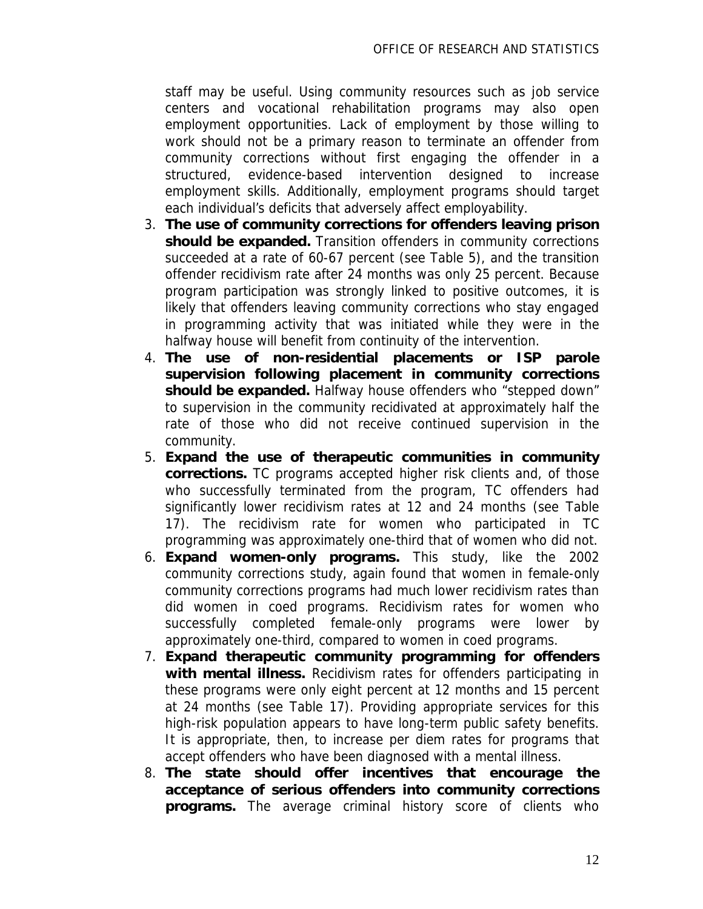staff may be useful. Using community resources such as job service centers and vocational rehabilitation programs may also open employment opportunities. Lack of employment by those willing to work should not be a primary reason to terminate an offender from community corrections without first engaging the offender in a structured, evidence-based intervention designed to increase employment skills. Additionally, employment programs should target each individual's deficits that adversely affect employability.

- 3. **The use of community corrections for offenders leaving prison should be expanded.** Transition offenders in community corrections succeeded at a rate of 60-67 percent (see Table 5), and the transition offender recidivism rate after 24 months was only 25 percent. Because program participation was strongly linked to positive outcomes, it is likely that offenders leaving community corrections who stay engaged in programming activity that was initiated while they were in the halfway house will benefit from continuity of the intervention.
- 4. **The use of non-residential placements or ISP parole supervision following placement in community corrections**  should be expanded. Halfway house offenders who "stepped down" to supervision in the community recidivated at approximately half the rate of those who did not receive continued supervision in the community.
- 5. **Expand the use of therapeutic communities in community corrections.** TC programs accepted higher risk clients and, of those who successfully terminated from the program, TC offenders had significantly lower recidivism rates at 12 and 24 months (see Table 17). The recidivism rate for women who participated in TC programming was approximately one-third that of women who did not.
- 6. **Expand women-only programs.** This study, like the 2002 community corrections study, again found that women in female-only community corrections programs had much lower recidivism rates than did women in coed programs. Recidivism rates for women who successfully completed female-only programs were lower by approximately one-third, compared to women in coed programs.
- 7. **Expand therapeutic community programming for offenders with mental illness.** Recidivism rates for offenders participating in these programs were only eight percent at 12 months and 15 percent at 24 months (see Table 17). Providing appropriate services for this high-risk population appears to have long-term public safety benefits. It is appropriate, then, to increase per diem rates for programs that accept offenders who have been diagnosed with a mental illness.
- 8. **The state should offer incentives that encourage the acceptance of serious offenders into community corrections programs.** The average criminal history score of clients who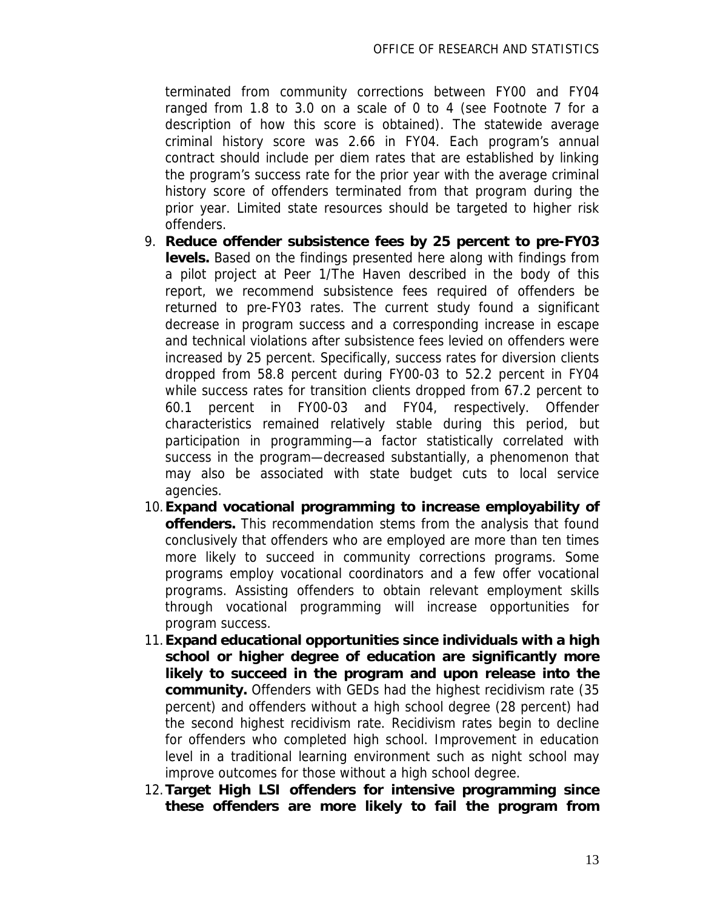terminated from community corrections between FY00 and FY04 ranged from 1.8 to 3.0 on a scale of 0 to 4 (see Footnote 7 for a description of how this score is obtained). The statewide average criminal history score was 2.66 in FY04. Each program's annual contract should include per diem rates that are established by linking the program's success rate for the prior year with the average criminal history score of offenders terminated from that program during the prior year. Limited state resources should be targeted to higher risk offenders.

- 9. **Reduce offender subsistence fees by 25 percent to pre-FY03 levels.** Based on the findings presented here along with findings from a pilot project at Peer 1/The Haven described in the body of this report, we recommend subsistence fees required of offenders be returned to pre-FY03 rates. The current study found a significant decrease in program success and a corresponding increase in escape and technical violations after subsistence fees levied on offenders were increased by 25 percent. Specifically, success rates for diversion clients dropped from 58.8 percent during FY00-03 to 52.2 percent in FY04 while success rates for transition clients dropped from 67.2 percent to 60.1 percent in FY00-03 and FY04, respectively. Offender characteristics remained relatively stable during this period, but participation in programming—a factor statistically correlated with success in the program—decreased substantially, a phenomenon that may also be associated with state budget cuts to local service agencies.
- 10. **Expand vocational programming to increase employability of offenders.** This recommendation stems from the analysis that found conclusively that offenders who are employed are more than ten times more likely to succeed in community corrections programs. Some programs employ vocational coordinators and a few offer vocational programs. Assisting offenders to obtain relevant employment skills through vocational programming will increase opportunities for program success.
- 11. **Expand educational opportunities since individuals with a high school or higher degree of education are significantly more likely to succeed in the program and upon release into the community.** Offenders with GEDs had the highest recidivism rate (35 percent) and offenders without a high school degree (28 percent) had the second highest recidivism rate. Recidivism rates begin to decline for offenders who completed high school. Improvement in education level in a traditional learning environment such as night school may improve outcomes for those without a high school degree.
- 12. **Target High LSI offenders for intensive programming since these offenders are more likely to fail the program from**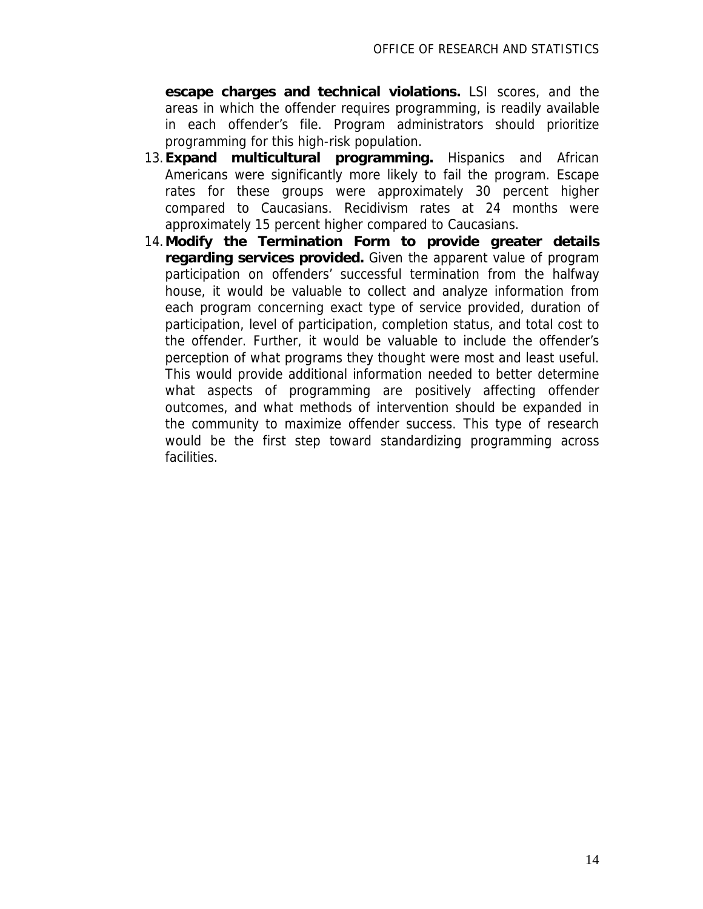**escape charges and technical violations.** LSI scores, and the areas in which the offender requires programming, is readily available in each offender's file. Program administrators should prioritize programming for this high-risk population.

- 13. **Expand multicultural programming.** Hispanics and African Americans were significantly more likely to fail the program. Escape rates for these groups were approximately 30 percent higher compared to Caucasians. Recidivism rates at 24 months were approximately 15 percent higher compared to Caucasians.
- 14. **Modify the Termination Form to provide greater details regarding services provided.** Given the apparent value of program participation on offenders' successful termination from the halfway house, it would be valuable to collect and analyze information from each program concerning exact type of service provided, duration of participation, level of participation, completion status, and total cost to the offender. Further, it would be valuable to include the offender's perception of what programs they thought were most and least useful. This would provide additional information needed to better determine what aspects of programming are positively affecting offender outcomes, and what methods of intervention should be expanded in the community to maximize offender success. This type of research would be the first step toward standardizing programming across facilities.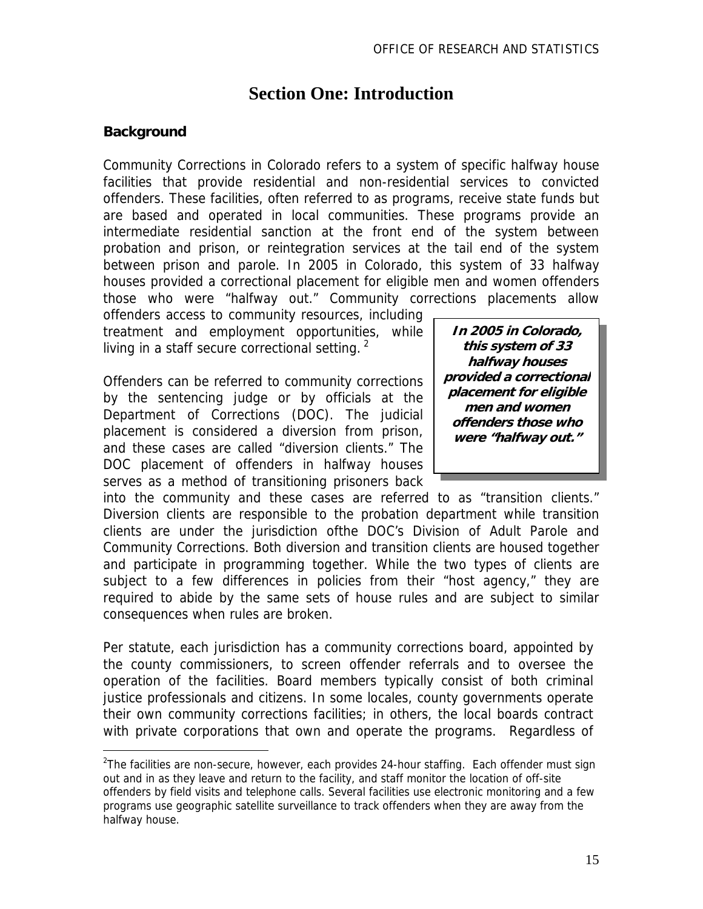## **Section One: Introduction**

#### **Background**

1

Community Corrections in Colorado refers to a system of specific halfway house facilities that provide residential and non-residential services to convicted offenders. These facilities, often referred to as programs, receive state funds but are based and operated in local communities. These programs provide an intermediate residential sanction at the front end of the system between probation and prison, or reintegration services at the tail end of the system between prison and parole. In 2005 in Colorado, this system of 33 halfway houses provided a correctional placement for eligible men and women offenders those who were "halfway out." Community corrections placements allow

offenders access to community resources, including treatment and employment opportunities, while living in a staff secure correctional setting.  $2$ 

Offenders can be referred to community corrections by the sentencing judge or by officials at the Department of Corrections (DOC). The judicial placement is considered a diversion from prison, and these cases are called "diversion clients." The DOC placement of offenders in halfway houses serves as a method of transitioning prisoners back

**In 2005 in Colorado, this system of 33 halfway houses provided a correctional placement for eligible men and women offenders those who were "halfway out."**

into the community and these cases are referred to as "transition clients." Diversion clients are responsible to the probation department while transition clients are under the jurisdiction ofthe DOC's Division of Adult Parole and Community Corrections. Both diversion and transition clients are housed together and participate in programming together. While the two types of clients are subject to a few differences in policies from their "host agency," they are required to abide by the same sets of house rules and are subject to similar consequences when rules are broken.

Per statute, each jurisdiction has a community corrections board, appointed by the county commissioners, to screen offender referrals and to oversee the operation of the facilities. Board members typically consist of both criminal justice professionals and citizens. In some locales, county governments operate their own community corrections facilities; in others, the local boards contract with private corporations that own and operate the programs. Regardless of

<sup>&</sup>lt;sup>2</sup>The facilities are non-secure, however, each provides 24-hour staffing. Each offender must sign out and in as they leave and return to the facility, and staff monitor the location of off-site offenders by field visits and telephone calls. Several facilities use electronic monitoring and a few programs use geographic satellite surveillance to track offenders when they are away from the halfway house.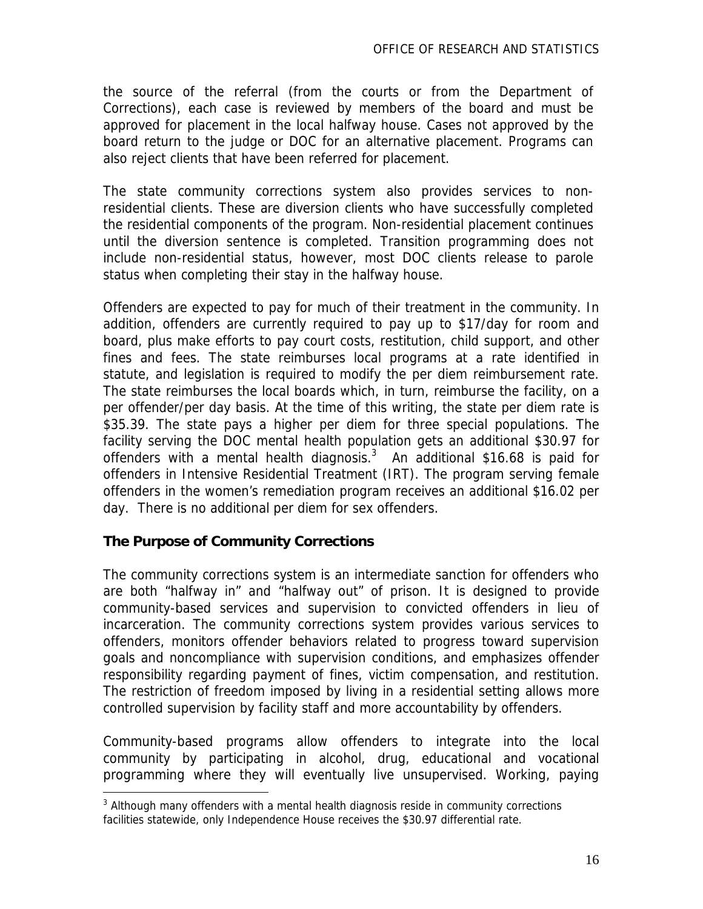the source of the referral (from the courts or from the Department of Corrections), each case is reviewed by members of the board and must be approved for placement in the local halfway house. Cases not approved by the board return to the judge or DOC for an alternative placement. Programs can also reject clients that have been referred for placement.

The state community corrections system also provides services to nonresidential clients. These are diversion clients who have successfully completed the residential components of the program. Non-residential placement continues until the diversion sentence is completed. Transition programming does not include non-residential status, however, most DOC clients release to parole status when completing their stay in the halfway house.

Offenders are expected to pay for much of their treatment in the community. In addition, offenders are currently required to pay up to \$17/day for room and board, plus make efforts to pay court costs, restitution, child support, and other fines and fees. The state reimburses local programs at a rate identified in statute, and legislation is required to modify the per diem reimbursement rate. The state reimburses the local boards which, in turn, reimburse the facility, on a per offender/per day basis. At the time of this writing, the state per diem rate is \$35.39. The state pays a higher per diem for three special populations. The facility serving the DOC mental health population gets an additional \$30.97 for offenders with a mental health diagnosis.<sup>3</sup> An additional \$16.68 is paid for offenders in Intensive Residential Treatment (IRT). The program serving female offenders in the women's remediation program receives an additional \$16.02 per day. There is no additional per diem for sex offenders.

#### **The Purpose of Community Corrections**

1

The community corrections system is an intermediate sanction for offenders who are both "halfway in" and "halfway out" of prison. It is designed to provide community-based services and supervision to convicted offenders in lieu of incarceration. The community corrections system provides various services to offenders, monitors offender behaviors related to progress toward supervision goals and noncompliance with supervision conditions, and emphasizes offender responsibility regarding payment of fines, victim compensation, and restitution. The restriction of freedom imposed by living in a residential setting allows more controlled supervision by facility staff and more accountability by offenders.

Community-based programs allow offenders to integrate into the local community by participating in alcohol, drug, educational and vocational programming where they will eventually live unsupervised. Working, paying

<sup>&</sup>lt;sup>3</sup> Although many offenders with a mental health diagnosis reside in community corrections facilities statewide, only Independence House receives the \$30.97 differential rate.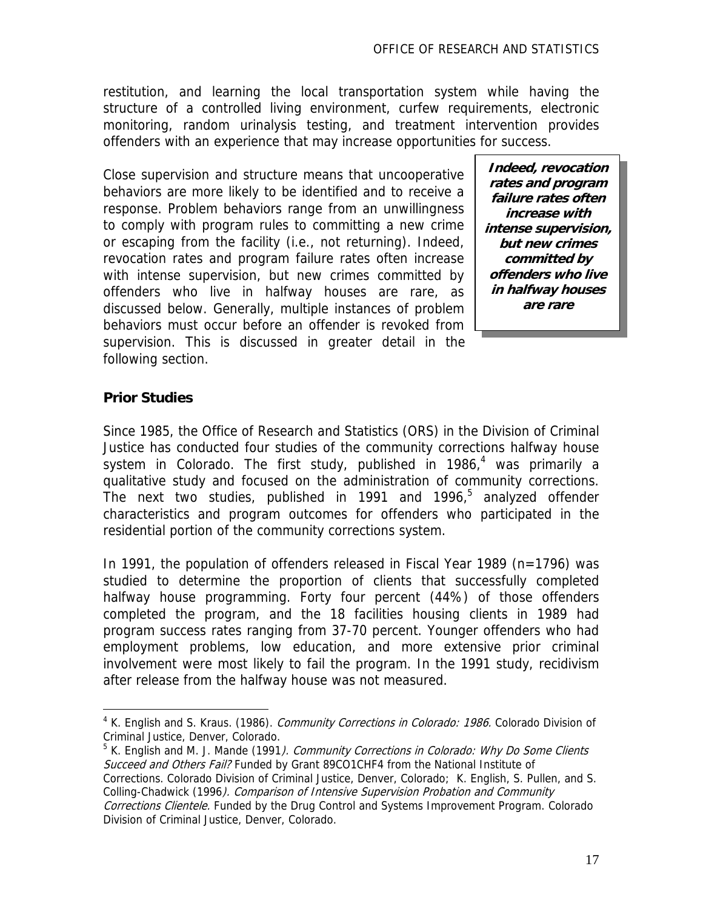restitution, and learning the local transportation system while having the structure of a controlled living environment, curfew requirements, electronic monitoring, random urinalysis testing, and treatment intervention provides offenders with an experience that may increase opportunities for success.

Close supervision and structure means that uncooperative behaviors are more likely to be identified and to receive a response. Problem behaviors range from an unwillingness to comply with program rules to committing a new crime or escaping from the facility (i.e., not returning). Indeed, revocation rates and program failure rates often increase with intense supervision, but new crimes committed by offenders who live in halfway houses are rare, as discussed below. Generally, multiple instances of problem behaviors must occur before an offender is revoked from supervision. This is discussed in greater detail in the following section.

**Indeed, revocation rates and program failure rates often increase with intense supervision, but new crimes committed by offenders who live in halfway houses are rare**

#### **Prior Studies**

 $\overline{a}$ 

Since 1985, the Office of Research and Statistics (ORS) in the Division of Criminal Justice has conducted four studies of the community corrections halfway house system in Colorado. The first study, published in 1986,<sup>4</sup> was primarily a qualitative study and focused on the administration of community corrections. The next two studies, published in 1991 and 1996, $5$  analyzed offender characteristics and program outcomes for offenders who participated in the residential portion of the community corrections system.

In 1991, the population of offenders released in Fiscal Year 1989 (n=1796) was studied to determine the proportion of clients that successfully completed halfway house programming. Forty four percent (44%) of those offenders completed the program, and the 18 facilities housing clients in 1989 had program success rates ranging from 37-70 percent. Younger offenders who had employment problems, low education, and more extensive prior criminal involvement were most likely to fail the program. In the 1991 study, recidivism after release from the halfway house was not measured.

<sup>5</sup> K. English and M. J. Mande (1991*). Community Corrections in Colorado: Why Do Some Clients* Succeed and Others Fail? Funded by Grant 89CO1CHF4 from the National Institute of Corrections. Colorado Division of Criminal Justice, Denver, Colorado; K. English, S. Pullen, and S. Colling-Chadwick (1996). Comparison of Intensive Supervision Probation and Community Corrections Clientele. Funded by the Drug Control and Systems Improvement Program. Colorado Division of Criminal Justice, Denver, Colorado.

<sup>&</sup>lt;sup>4</sup> K. English and S. Kraus. (1986). Community Corrections in Colorado: 1986. Colorado Division of Criminal Justice, Denver, Colorado.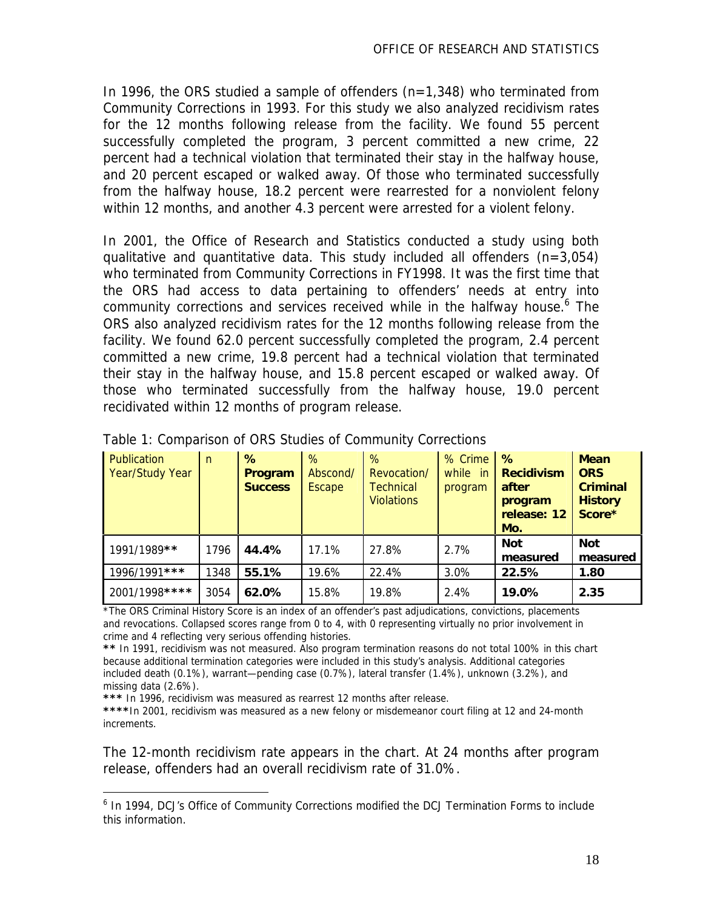In 1996, the ORS studied a sample of offenders  $(n=1,348)$  who terminated from Community Corrections in 1993. For this study we also analyzed recidivism rates for the 12 months following release from the facility. We found 55 percent successfully completed the program, 3 percent committed a new crime, 22 percent had a technical violation that terminated their stay in the halfway house, and 20 percent escaped or walked away. Of those who terminated successfully from the halfway house, 18.2 percent were rearrested for a nonviolent felony within 12 months, and another 4.3 percent were arrested for a violent felony.

In 2001, the Office of Research and Statistics conducted a study using both qualitative and quantitative data. This study included all offenders (n=3,054) who terminated from Community Corrections in FY1998. It was the first time that the ORS had access to data pertaining to offenders' needs at entry into community corrections and services received while in the halfway house.<sup>6</sup> The ORS also analyzed recidivism rates for the 12 months following release from the facility. We found 62.0 percent successfully completed the program, 2.4 percent committed a new crime, 19.8 percent had a technical violation that terminated their stay in the halfway house, and 15.8 percent escaped or walked away. Of those who terminated successfully from the halfway house, 19.0 percent recidivated within 12 months of program release.

| Publication<br>Year/Study Year | $\mathsf{n}$ | $\%$<br><b>Program</b><br><b>Success</b> | %<br>Abscond/<br>Escape | %<br>Revocation/<br><b>Technical</b><br><b>Violations</b> | % Crime<br>while in<br>program | %<br><b>Recidivism</b><br>after<br>program<br>release: 12<br>Mo. | <b>Mean</b><br><b>ORS</b><br><b>Criminal</b><br><b>History</b><br>Score* |
|--------------------------------|--------------|------------------------------------------|-------------------------|-----------------------------------------------------------|--------------------------------|------------------------------------------------------------------|--------------------------------------------------------------------------|
| 1991/1989**                    | 1796         | 44.4%                                    | 17.1%                   | 27.8%                                                     | 2.7%                           | <b>Not</b><br>measured                                           | <b>Not</b><br>measured                                                   |
| 1996/1991***                   | 1348         | 55.1%                                    | 19.6%                   | 22.4%                                                     | 3.0%                           | 22.5%                                                            | 1.80                                                                     |
| 2001/1998****                  | 3054         | 62.0%                                    | 15.8%                   | 19.8%                                                     | 2.4%                           | 19.0%                                                            | 2.35                                                                     |

Table 1: Comparison of ORS Studies of Community Corrections

\*The ORS Criminal History Score is an index of an offender's past adjudications, convictions, placements and revocations. Collapsed scores range from 0 to 4, with 0 representing virtually no prior involvement in crime and 4 reflecting very serious offending histories.

**\*\*** In 1991, recidivism was not measured. Also program termination reasons do not total 100% in this chart because additional termination categories were included in this study's analysis. Additional categories included death (0.1%), warrant—pending case (0.7%), lateral transfer (1.4%), unknown (3.2%), and missing data (2.6%).

**\*\*\*** In 1996, recidivism was measured as rearrest 12 months after release.

 $\overline{a}$ 

**\*\*\*\***In 2001, recidivism was measured as a new felony or misdemeanor court filing at 12 and 24-month increments.

The 12-month recidivism rate appears in the chart. At 24 months after program release, offenders had an overall recidivism rate of 31.0%.

<sup>&</sup>lt;sup>6</sup> In 1994, DCJ's Office of Community Corrections modified the DCJ Termination Forms to include this information.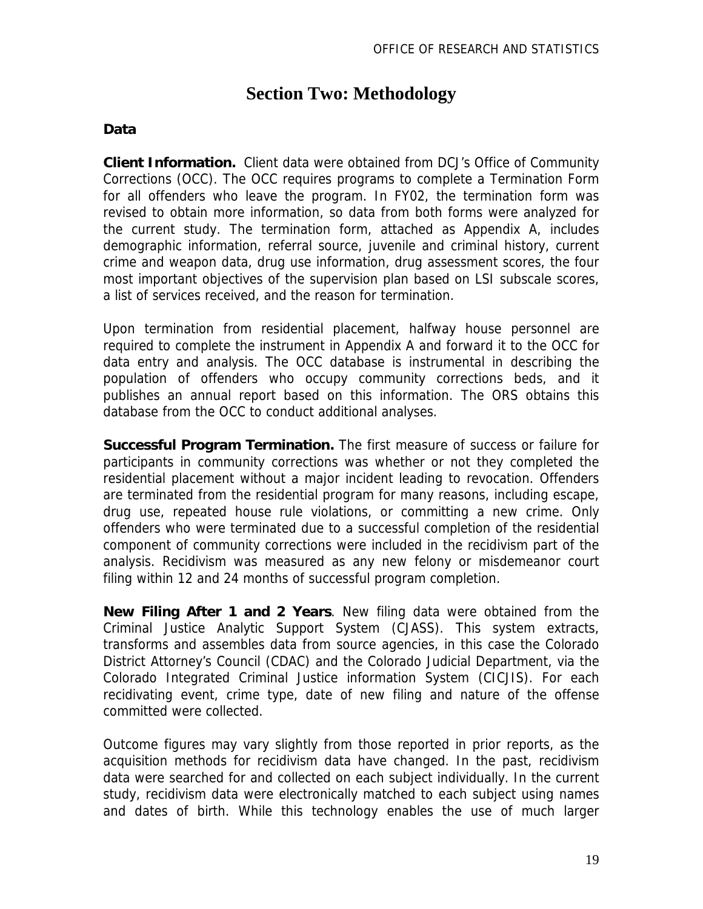## **Section Two: Methodology**

#### **Data**

**Client Information.** Client data were obtained from DCJ's Office of Community Corrections (OCC). The OCC requires programs to complete a Termination Form for all offenders who leave the program. In FY02, the termination form was revised to obtain more information, so data from both forms were analyzed for the current study. The termination form, attached as Appendix A, includes demographic information, referral source, juvenile and criminal history, current crime and weapon data, drug use information, drug assessment scores, the four most important objectives of the supervision plan based on LSI subscale scores, a list of services received, and the reason for termination.

Upon termination from residential placement, halfway house personnel are required to complete the instrument in Appendix A and forward it to the OCC for data entry and analysis. The OCC database is instrumental in describing the population of offenders who occupy community corrections beds, and it publishes an annual report based on this information. The ORS obtains this database from the OCC to conduct additional analyses.

**Successful Program Termination.** The first measure of success or failure for participants in community corrections was whether or not they completed the residential placement without a major incident leading to revocation. Offenders are terminated from the residential program for many reasons, including escape, drug use, repeated house rule violations, or committing a new crime. Only offenders who were terminated due to a successful completion of the residential component of community corrections were included in the recidivism part of the analysis. Recidivism was measured as any new felony or misdemeanor court filing within 12 and 24 months of successful program completion.

**New Filing After 1 and 2 Years**. New filing data were obtained from the Criminal Justice Analytic Support System (CJASS). This system extracts, transforms and assembles data from source agencies, in this case the Colorado District Attorney's Council (CDAC) and the Colorado Judicial Department, via the Colorado Integrated Criminal Justice information System (CICJIS). For each recidivating event, crime type, date of new filing and nature of the offense committed were collected.

Outcome figures may vary slightly from those reported in prior reports, as the acquisition methods for recidivism data have changed. In the past, recidivism data were searched for and collected on each subject individually. In the current study, recidivism data were electronically matched to each subject using names and dates of birth. While this technology enables the use of much larger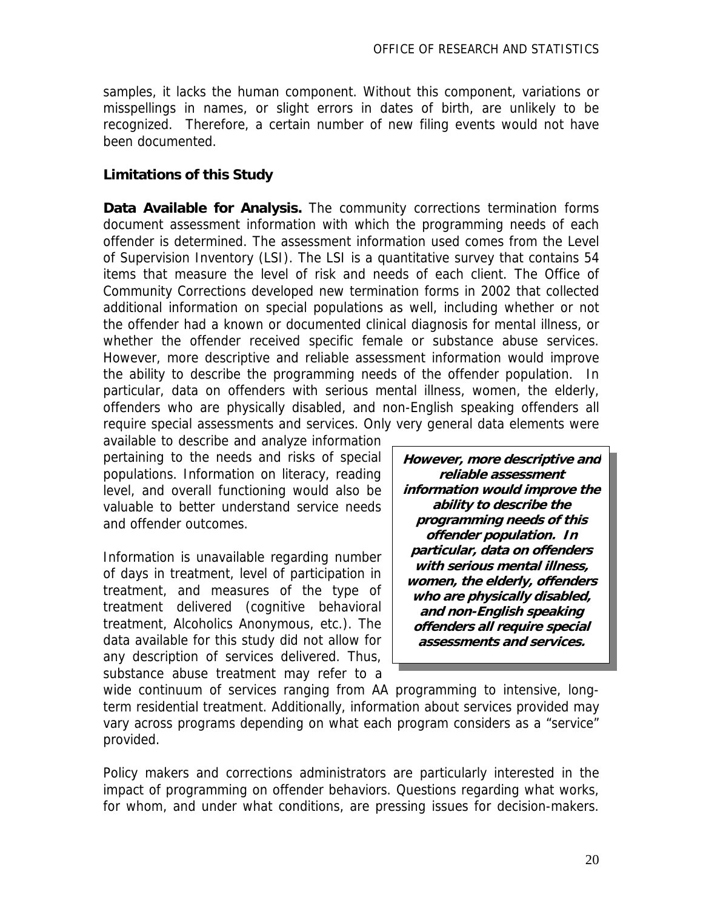samples, it lacks the human component. Without this component, variations or misspellings in names, or slight errors in dates of birth, are unlikely to be recognized. Therefore, a certain number of new filing events would not have been documented.

#### **Limitations of this Study**

**Data Available for Analysis.** The community corrections termination forms document assessment information with which the programming needs of each offender is determined. The assessment information used comes from the Level of Supervision Inventory (LSI). The LSI is a quantitative survey that contains 54 items that measure the level of risk and needs of each client. The Office of Community Corrections developed new termination forms in 2002 that collected additional information on special populations as well, including whether or not the offender had a known or documented clinical diagnosis for mental illness, or whether the offender received specific female or substance abuse services. However, more descriptive and reliable assessment information would improve the ability to describe the programming needs of the offender population. In particular, data on offenders with serious mental illness, women, the elderly, offenders who are physically disabled, and non-English speaking offenders all require special assessments and services. Only very general data elements were

available to describe and analyze information pertaining to the needs and risks of special populations. Information on literacy, reading level, and overall functioning would also be valuable to better understand service needs and offender outcomes.

Information is unavailable regarding number of days in treatment, level of participation in treatment, and measures of the type of treatment delivered (cognitive behavioral treatment, Alcoholics Anonymous, etc.). The data available for this study did not allow for any description of services delivered. Thus, substance abuse treatment may refer to a **However, more descriptive and reliable assessment information would improve the ability to describe the programming needs of this offender population. In particular, data on offenders with serious mental illness, women, the elderly, offenders who are physically disabled, and non-English speaking offenders all require special assessments and services.**

wide continuum of services ranging from AA programming to intensive, longterm residential treatment. Additionally, information about services provided may vary across programs depending on what each program considers as a "service" provided.

Policy makers and corrections administrators are particularly interested in the impact of programming on offender behaviors. Questions regarding what works, for whom, and under what conditions, are pressing issues for decision-makers.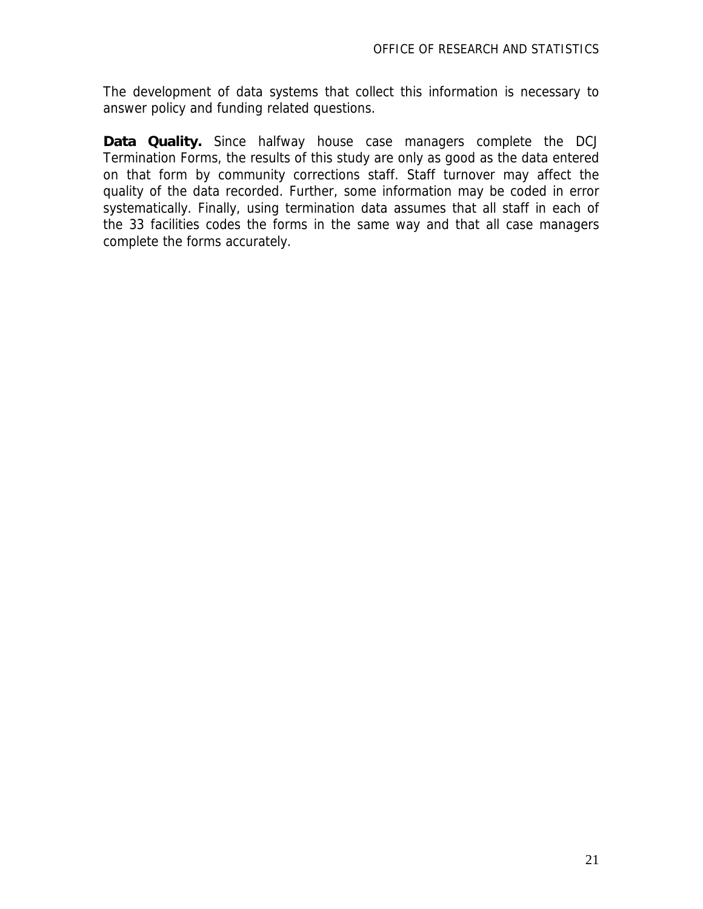The development of data systems that collect this information is necessary to answer policy and funding related questions.

**Data Quality.** Since halfway house case managers complete the DCJ Termination Forms, the results of this study are only as good as the data entered on that form by community corrections staff. Staff turnover may affect the quality of the data recorded. Further, some information may be coded in error systematically. Finally, using termination data assumes that all staff in each of the 33 facilities codes the forms in the same way and that all case managers complete the forms accurately.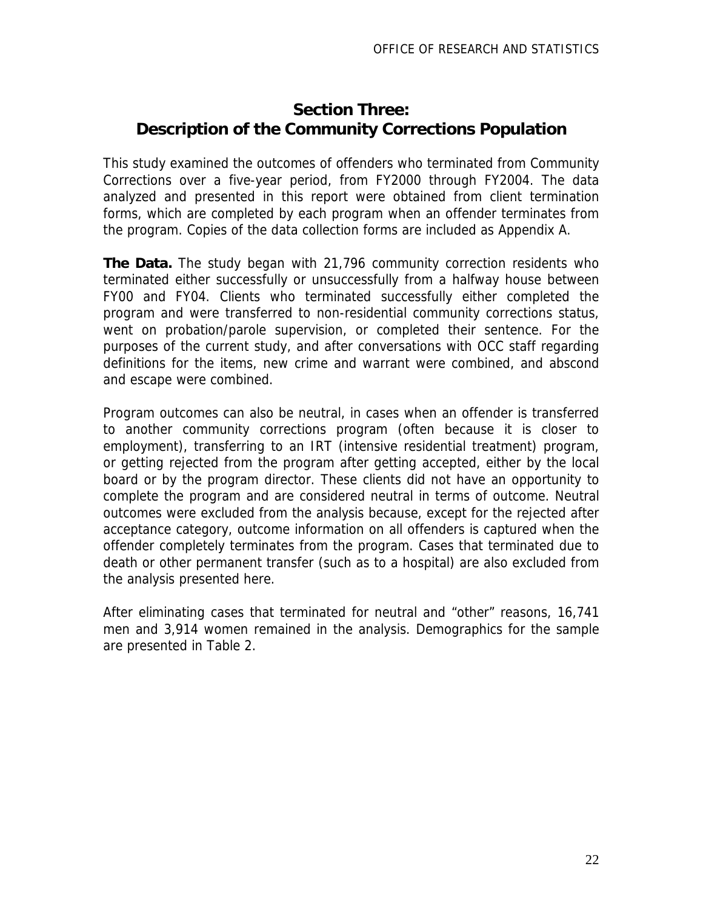## **Section Three: Description of the Community Corrections Population**

This study examined the outcomes of offenders who terminated from Community Corrections over a five-year period, from FY2000 through FY2004. The data analyzed and presented in this report were obtained from client termination forms, which are completed by each program when an offender terminates from the program. Copies of the data collection forms are included as Appendix A.

**The Data.** The study began with 21,796 community correction residents who terminated either successfully or unsuccessfully from a halfway house between FY00 and FY04. Clients who terminated successfully either completed the program and were transferred to non-residential community corrections status, went on probation/parole supervision, or completed their sentence. For the purposes of the current study, and after conversations with OCC staff regarding definitions for the items, new crime and warrant were combined, and abscond and escape were combined.

Program outcomes can also be neutral, in cases when an offender is transferred to another community corrections program (often because it is closer to employment), transferring to an IRT (intensive residential treatment) program, or getting rejected from the program after getting accepted, either by the local board or by the program director. These clients did not have an opportunity to complete the program and are considered neutral in terms of outcome. Neutral outcomes were excluded from the analysis because, except for the rejected after acceptance category, outcome information on all offenders is captured when the offender completely terminates from the program. Cases that terminated due to death or other permanent transfer (such as to a hospital) are also excluded from the analysis presented here.

After eliminating cases that terminated for neutral and "other" reasons, 16,741 men and 3,914 women remained in the analysis. Demographics for the sample are presented in Table 2.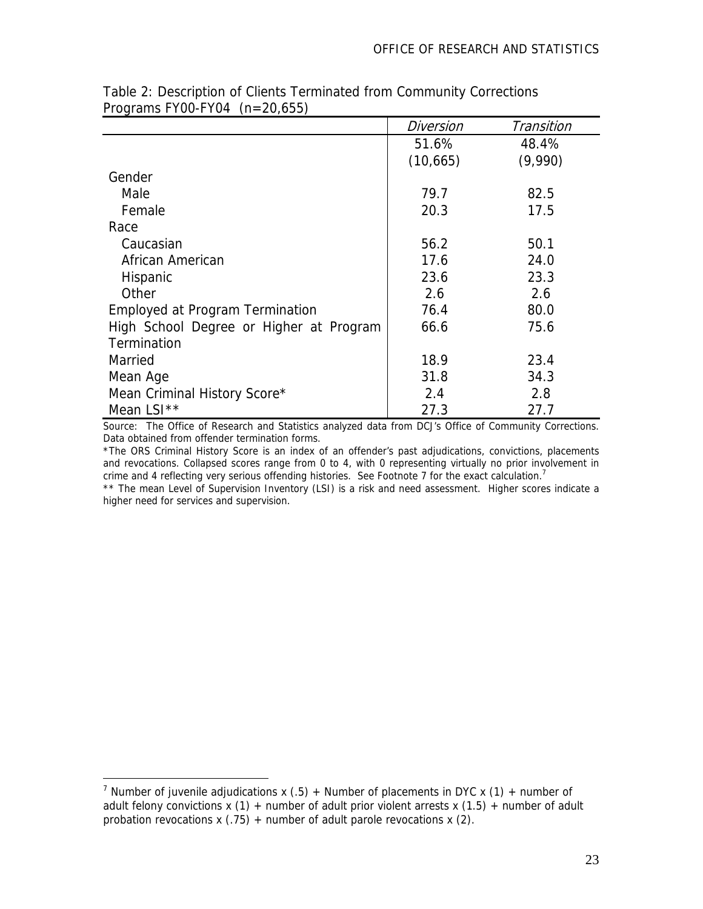|                                         | <b>Diversion</b> | Transition |
|-----------------------------------------|------------------|------------|
|                                         | 51.6%            | 48.4%      |
|                                         | (10,665)         | (9,990)    |
| Gender                                  |                  |            |
| Male                                    | 79.7             | 82.5       |
| Female                                  | 20.3             | 17.5       |
| Race                                    |                  |            |
| Caucasian                               | 56.2             | 50.1       |
| African American                        | 17.6             | 24.0       |
| Hispanic                                | 23.6             | 23.3       |
| Other                                   | 2.6              | 2.6        |
| <b>Employed at Program Termination</b>  | 76.4             | 80.0       |
| High School Degree or Higher at Program | 66.6             | 75.6       |
| Termination                             |                  |            |
| Married                                 | 18.9             | 23.4       |
| Mean Age                                | 31.8             | 34.3       |
| Mean Criminal History Score*            | 2.4              | 2.8        |
| Mean LSI**                              | 27.3             | 27.7       |

Table 2: Description of Clients Terminated from Community Corrections Programs FY00-FY04 (n=20,655)

Source: The Office of Research and Statistics analyzed data from DCJ's Office of Community Corrections. Data obtained from offender termination forms.

\*The ORS Criminal History Score is an index of an offender's past adjudications, convictions, placements and revocations. Collapsed scores range from 0 to 4, with 0 representing virtually no prior involvement in crime and 4 reflecting very serious offending histories. See Footnote 7 for the exact calculation.<sup>7</sup>

\*\* The mean Level of Supervision Inventory (LSI) is a risk and need assessment. Higher scores indicate a higher need for services and supervision.

 $\overline{a}$ 

<sup>&</sup>lt;sup>7</sup> Number of juvenile adjudications x (.5) + Number of placements in DYC x (1) + number of adult felony convictions x (1) + number of adult prior violent arrests x (1.5) + number of adult probation revocations  $x$  (.75) + number of adult parole revocations  $x$  (2).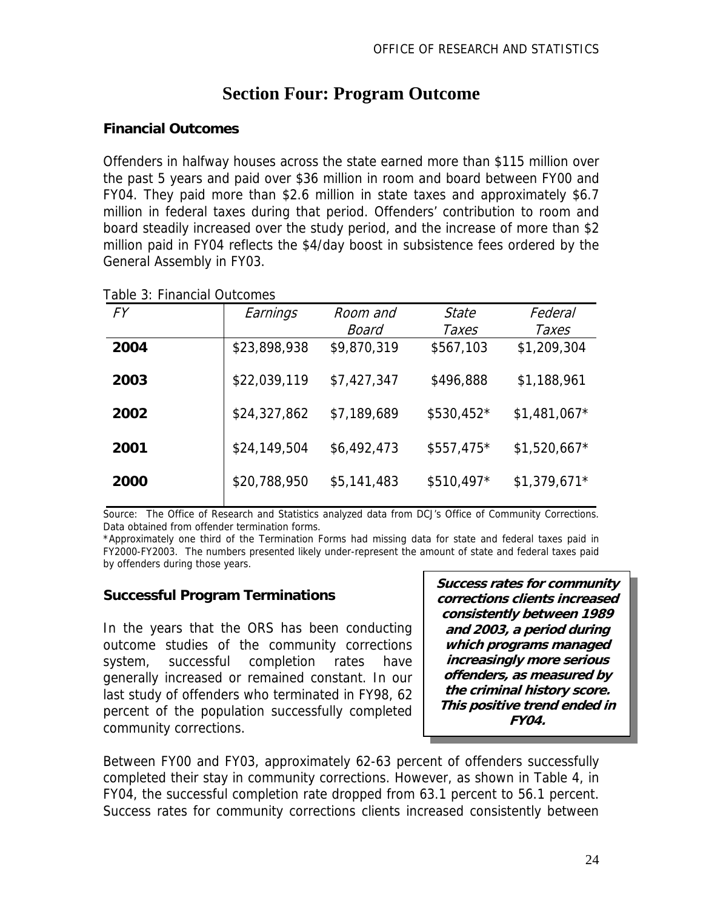## **Section Four: Program Outcome**

## **Financial Outcomes**

Offenders in halfway houses across the state earned more than \$115 million over the past 5 years and paid over \$36 million in room and board between FY00 and FY04. They paid more than \$2.6 million in state taxes and approximately \$6.7 million in federal taxes during that period. Offenders' contribution to room and board steadily increased over the study period, and the increase of more than \$2 million paid in FY04 reflects the \$4/day boost in subsistence fees ordered by the General Assembly in FY03.

| <i>FY</i> | Earnings     | Room and<br>Board | State<br>Taxes | Federal<br>Taxes |
|-----------|--------------|-------------------|----------------|------------------|
| 2004      | \$23,898,938 | \$9,870,319       | \$567,103      | \$1,209,304      |
| 2003      | \$22,039,119 | \$7,427,347       | \$496,888      | \$1,188,961      |
| 2002      | \$24,327,862 | \$7,189,689       | \$530,452*     | $$1,481,067*$    |
| 2001      | \$24,149,504 | \$6,492,473       | $$557,475*$    | $$1,520,667*$    |
| 2000      | \$20,788,950 | \$5,141,483       | \$510,497*     | $$1,379,671*$    |
|           |              |                   |                |                  |

Table 3: Financial Outcomes

Source: The Office of Research and Statistics analyzed data from DCJ's Office of Community Corrections. Data obtained from offender termination forms.

\*Approximately one third of the Termination Forms had missing data for state and federal taxes paid in FY2000-FY2003. The numbers presented likely under-represent the amount of state and federal taxes paid by offenders during those years.

#### **Successful Program Terminations**

In the years that the ORS has been conducting outcome studies of the community corrections system, successful completion rates have generally increased or remained constant. In our last study of offenders who terminated in FY98, 62 percent of the population successfully completed community corrections.

**Success rates for community corrections clients increased consistently between 1989 and 2003, a period during which programs managed increasingly more serious offenders, as measured by the criminal history score. This positive trend ended in FY04.**

Between FY00 and FY03, approximately 62-63 percent of offenders successfully completed their stay in community corrections. However, as shown in Table 4, in FY04, the successful completion rate dropped from 63.1 percent to 56.1 percent. Success rates for community corrections clients increased consistently between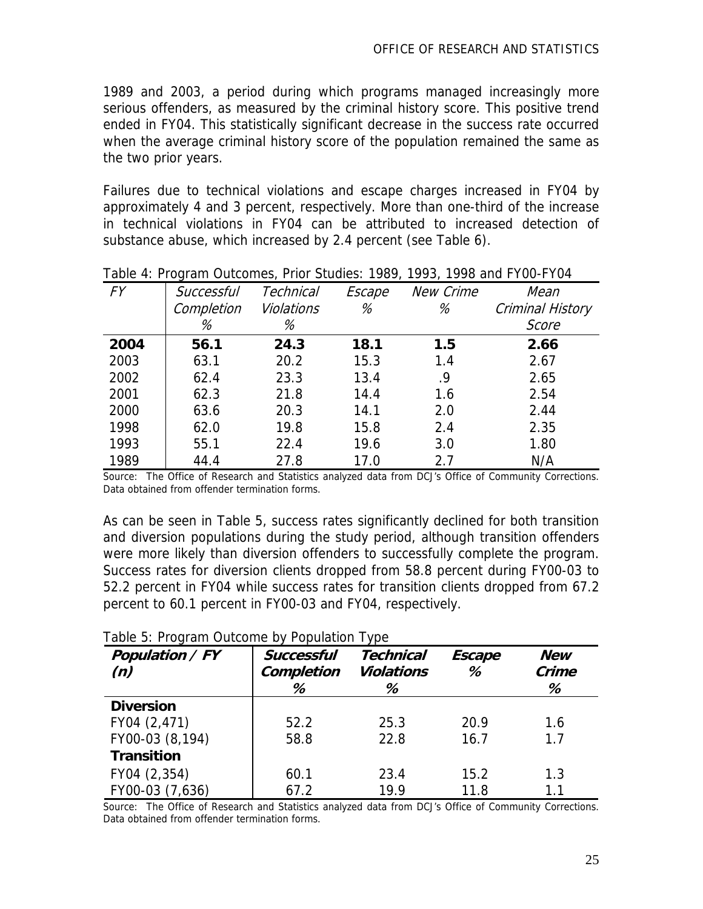1989 and 2003, a period during which programs managed increasingly more serious offenders, as measured by the criminal history score. This positive trend ended in FY04. This statistically significant decrease in the success rate occurred when the average criminal history score of the population remained the same as the two prior years.

Failures due to technical violations and escape charges increased in FY04 by approximately 4 and 3 percent, respectively. More than one-third of the increase in technical violations in FY04 can be attributed to increased detection of substance abuse, which increased by 2.4 percent (see Table 6).

| <b>FY</b> | Successful | Technical  | Escape | New Crime | Mean             |
|-----------|------------|------------|--------|-----------|------------------|
|           | Completion | Violations | %      | %         | Criminal History |
|           | %          | %          |        |           | Score            |
| 2004      | 56.1       | 24.3       | 18.1   | 1.5       | 2.66             |
| 2003      | 63.1       | 20.2       | 15.3   | 1.4       | 2.67             |
| 2002      | 62.4       | 23.3       | 13.4   | .9        | 2.65             |
| 2001      | 62.3       | 21.8       | 14.4   | 1.6       | 2.54             |
| 2000      | 63.6       | 20.3       | 14.1   | 2.0       | 2.44             |
| 1998      | 62.0       | 19.8       | 15.8   | 2.4       | 2.35             |
| 1993      | 55.1       | 22.4       | 19.6   | 3.0       | 1.80             |
| 1989      | 44.4       | 27.8       | 17.0   | 2.7       | N/A              |

#### Table 4: Program Outcomes, Prior Studies: 1989, 1993, 1998 and FY00-FY04

Source: The Office of Research and Statistics analyzed data from DCJ's Office of Community Corrections. Data obtained from offender termination forms.

As can be seen in Table 5, success rates significantly declined for both transition and diversion populations during the study period, although transition offenders were more likely than diversion offenders to successfully complete the program. Success rates for diversion clients dropped from 58.8 percent during FY00-03 to 52.2 percent in FY04 while success rates for transition clients dropped from 67.2 percent to 60.1 percent in FY00-03 and FY04, respectively.

| <b>Population / FY</b><br>(n) | <b>Successful</b><br>Completion<br>% | <b>Technical</b><br><b>Violations</b><br>% | Escape<br>% | <b>New</b><br>Crime<br>% |
|-------------------------------|--------------------------------------|--------------------------------------------|-------------|--------------------------|
| <b>Diversion</b>              |                                      |                                            |             |                          |
| FY04 (2,471)                  | 52.2                                 | 25.3                                       | 20.9        | 1.6                      |
| FY00-03 (8,194)               | 58.8                                 | 22.8                                       | 16.7        | 1.7                      |
| <b>Transition</b>             |                                      |                                            |             |                          |
| FY04 (2,354)                  | 60.1                                 | 23.4                                       | 15.2        | 1.3                      |
| FY00-03 (7,636)               | 67.2                                 | 19.9                                       | 11.8        | 1.1                      |

#### Table 5: Program Outcome by Population Type

Source: The Office of Research and Statistics analyzed data from DCJ's Office of Community Corrections. Data obtained from offender termination forms.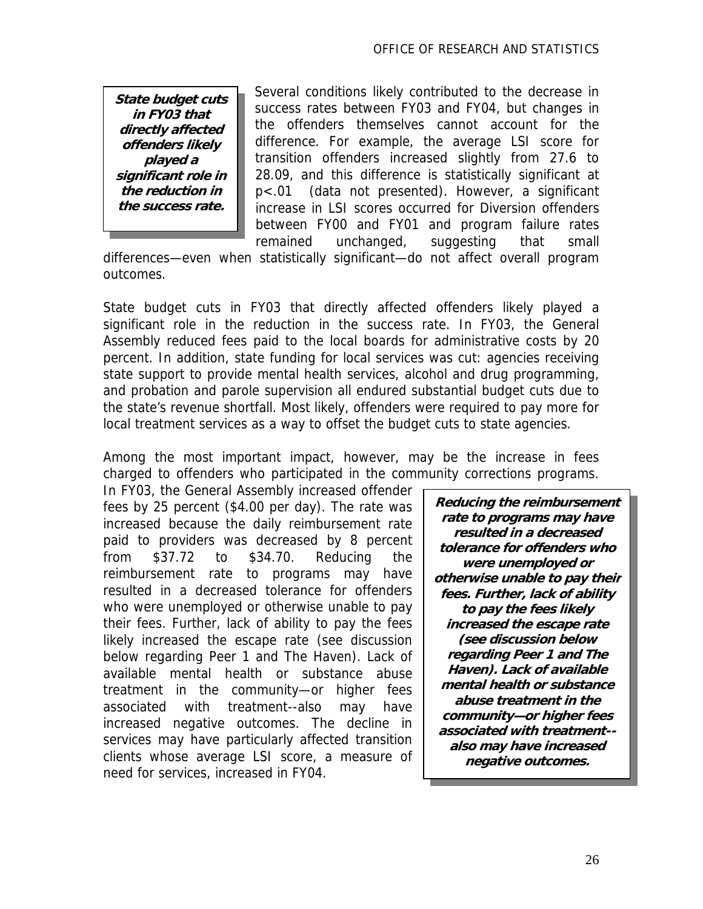**State budget cuts in FY03 that directly affected offenders likely played a significant role in the reduction in the success rate.** 

Several conditions likely contributed to the decrease in success rates between FY03 and FY04, but changes in the offenders themselves cannot account for the difference. For example, the average LSI score for transition offenders increased slightly from 27.6 to 28.09, and this difference is statistically significant at p<.01 (data not presented). However, a significant increase in LSI scores occurred for Diversion offenders between FY00 and FY01 and program failure rates remained unchanged, suggesting that small

differences—even when statistically significant—do not affect overall program outcomes.

State budget cuts in FY03 that directly affected offenders likely played a significant role in the reduction in the success rate. In FY03, the General Assembly reduced fees paid to the local boards for administrative costs by 20 percent. In addition, state funding for local services was cut: agencies receiving state support to provide mental health services, alcohol and drug programming, and probation and parole supervision all endured substantial budget cuts due to the state's revenue shortfall. Most likely, offenders were required to pay more for local treatment services as a way to offset the budget cuts to state agencies.

Among the most important impact, however, may be the increase in fees charged to offenders who participated in the community corrections programs.

In FY03, the General Assembly increased offender fees by 25 percent (\$4.00 per day). The rate was increased because the daily reimbursement rate paid to providers was decreased by 8 percent from \$37.72 to \$34.70. Reducing the reimbursement rate to programs may have resulted in a decreased tolerance for offenders who were unemployed or otherwise unable to pay their fees. Further, lack of ability to pay the fees likely increased the escape rate (see discussion below regarding Peer 1 and The Haven). Lack of available mental health or substance abuse treatment in the community—or higher fees associated with treatment--also may have increased negative outcomes. The decline in services may have particularly affected transition clients whose average LSI score, a measure of need for services, increased in FY04.

**Reducing the reimbursement rate to programs may have resulted in a decreased tolerance for offenders who were unemployed or otherwise unable to pay their fees. Further, lack of ability to pay the fees likely increased the escape rate (see discussion below regarding Peer 1 and The Haven). Lack of available mental health or substance abuse treatment in the community—or higher fees associated with treatment- also may have increased negative outcomes.**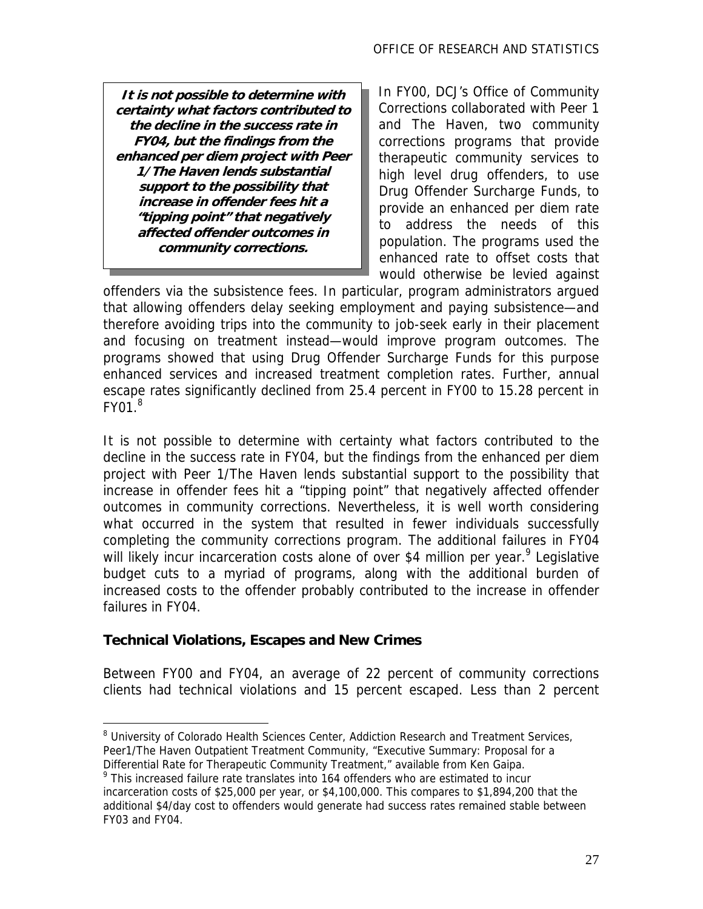**It is not possible to determine with certainty what factors contributed to the decline in the success rate in FY04, but the findings from the enhanced per diem project with Peer 1/The Haven lends substantial support to the possibility that increase in offender fees hit a "tipping point" that negatively affected offender outcomes in community corrections.**

In FY00, DCJ's Office of Community Corrections collaborated with Peer 1 and The Haven, two community corrections programs that provide therapeutic community services to high level drug offenders, to use Drug Offender Surcharge Funds, to provide an enhanced per diem rate to address the needs of this population. The programs used the enhanced rate to offset costs that would otherwise be levied against

offenders via the subsistence fees. In particular, program administrators argued that allowing offenders delay seeking employment and paying subsistence—and therefore avoiding trips into the community to job-seek early in their placement and focusing on treatment instead—would improve program outcomes. The programs showed that using Drug Offender Surcharge Funds for this purpose enhanced services and increased treatment completion rates. Further, annual escape rates significantly declined from 25.4 percent in FY00 to 15.28 percent in  $FY01<sup>8</sup>$ 

It is not possible to determine with certainty what factors contributed to the decline in the success rate in FY04, but the findings from the enhanced per diem project with Peer 1/The Haven lends substantial support to the possibility that increase in offender fees hit a "tipping point" that negatively affected offender outcomes in community corrections. Nevertheless, it is well worth considering what occurred in the system that resulted in fewer individuals successfully completing the community corrections program. The additional failures in FY04 will likely incur incarceration costs alone of over \$4 million per year.<sup>9</sup> Legislative budget cuts to a myriad of programs, along with the additional burden of increased costs to the offender probably contributed to the increase in offender failures in FY04.

### **Technical Violations, Escapes and New Crimes**

 $\overline{a}$ 

Between FY00 and FY04, an average of 22 percent of community corrections clients had technical violations and 15 percent escaped. Less than 2 percent

<sup>&</sup>lt;sup>8</sup> University of Colorado Health Sciences Center, Addiction Research and Treatment Services, Peer1/The Haven Outpatient Treatment Community, "Executive Summary: Proposal for a Differential Rate for Therapeutic Community Treatment," available from Ken Gaipa.

<sup>&</sup>lt;sup>9</sup> This increased failure rate translates into 164 offenders who are estimated to incur incarceration costs of \$25,000 per year, or \$4,100,000. This compares to \$1,894,200 that the additional \$4/day cost to offenders would generate had success rates remained stable between FY03 and FY04.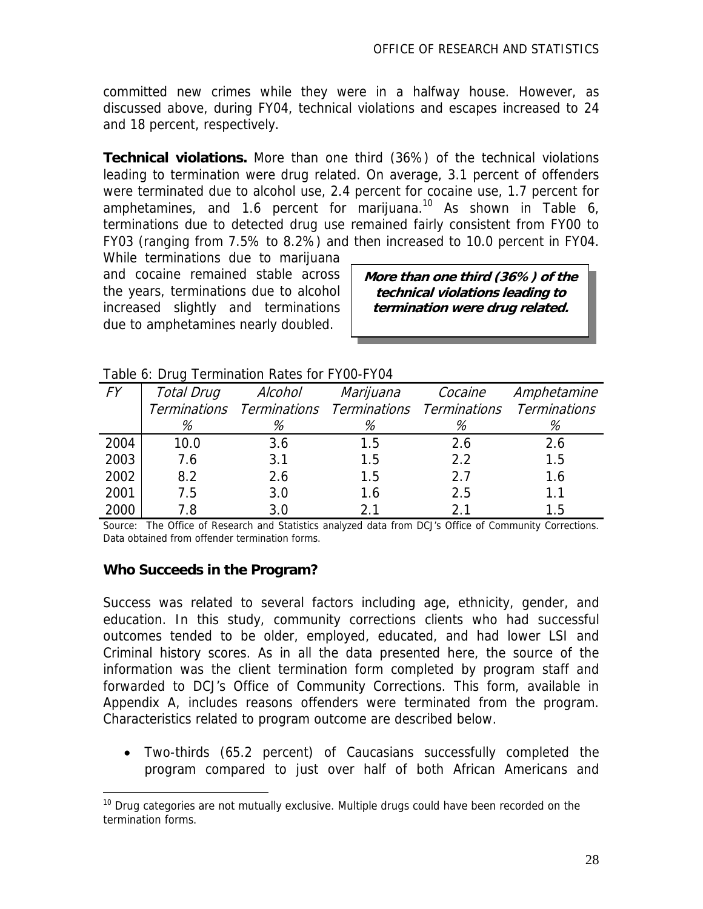committed new crimes while they were in a halfway house. However, as discussed above, during FY04, technical violations and escapes increased to 24 and 18 percent, respectively.

**Technical violations.** More than one third (36%) of the technical violations leading to termination were drug related. On average, 3.1 percent of offenders were terminated due to alcohol use, 2.4 percent for cocaine use, 1.7 percent for amphetamines, and 1.6 percent for marijuana.<sup>10</sup> As shown in Table 6, terminations due to detected drug use remained fairly consistent from FY00 to FY03 (ranging from 7.5% to 8.2%) and then increased to 10.0 percent in FY04.

While terminations due to marijuana and cocaine remained stable across the years, terminations due to alcohol increased slightly and terminations due to amphetamines nearly doubled.

**More than one third (36%) of the technical violations leading to termination were drug related.** 

| FY   | Total Drug | Alcohol | Marijuana                                                        | Cocaine | Amphetamine |
|------|------------|---------|------------------------------------------------------------------|---------|-------------|
|      |            |         | Terminations Terminations Terminations Terminations Terminations |         |             |
|      | %          | %       | %                                                                | %       | %           |
| 2004 | 10.0       | 3.6     | 1.5                                                              | 2.6     | 2.6         |
| 2003 | 7.6        | 3.1     | 1.5                                                              | 2.2     | 1.5         |
| 2002 | 8.2        | 2.6     | 1.5                                                              | 2.7     | 1.6         |
| 2001 | 7.5        | 3.0     | 1.6                                                              | 2.5     | 1.1         |
| 2000 | 7 R        | 3.0     | 21                                                               | 21      | 1.5         |

#### Table 6: Drug Termination Rates for FY00-FY04

Source: The Office of Research and Statistics analyzed data from DCJ's Office of Community Corrections. Data obtained from offender termination forms.

#### **Who Succeeds in the Program?**

 $\overline{a}$ 

Success was related to several factors including age, ethnicity, gender, and education. In this study, community corrections clients who had successful outcomes tended to be older, employed, educated, and had lower LSI and Criminal history scores. As in all the data presented here, the source of the information was the client termination form completed by program staff and forwarded to DCJ's Office of Community Corrections. This form, available in Appendix A, includes reasons offenders were terminated from the program. Characteristics related to program outcome are described below.

• Two-thirds (65.2 percent) of Caucasians successfully completed the program compared to just over half of both African Americans and

<sup>&</sup>lt;sup>10</sup> Drug categories are not mutually exclusive. Multiple drugs could have been recorded on the termination forms.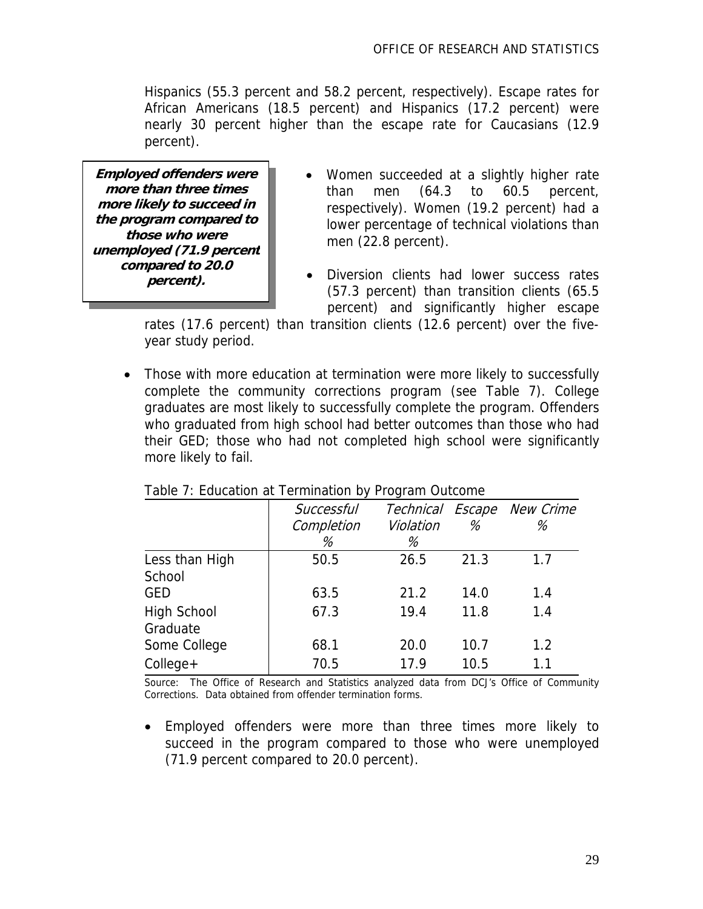Hispanics (55.3 percent and 58.2 percent, respectively). Escape rates for African Americans (18.5 percent) and Hispanics (17.2 percent) were nearly 30 percent higher than the escape rate for Caucasians (12.9 percent).

**Employed offenders were more than three times more likely to succeed in the program compared to those who were unemployed (71.9 percent compared to 20.0 percent).** 

- Women succeeded at a slightly higher rate than men (64.3 to 60.5 percent, respectively). Women (19.2 percent) had a lower percentage of technical violations than men (22.8 percent).
- Diversion clients had lower success rates (57.3 percent) than transition clients (65.5 percent) and significantly higher escape

rates (17.6 percent) than transition clients (12.6 percent) over the fiveyear study period.

• Those with more education at termination were more likely to successfully complete the community corrections program (see Table 7). College graduates are most likely to successfully complete the program. Offenders who graduated from high school had better outcomes than those who had their GED; those who had not completed high school were significantly more likely to fail.

|                                | Successful<br>Completion<br>% | Violation<br>% | %    | Technical Escape New Crime<br>% |
|--------------------------------|-------------------------------|----------------|------|---------------------------------|
| Less than High<br>School       | 50.5                          | 26.5           | 21.3 | 1.7                             |
| <b>GED</b>                     | 63.5                          | 21.2           | 14.0 | 1.4                             |
| <b>High School</b><br>Graduate | 67.3                          | 19.4           | 11.8 | 1.4                             |
| Some College                   | 68.1                          | 20.0           | 10.7 | 1.2                             |
| $Collect +$                    | 70.5                          | 17.9           | 10.5 | 11                              |

#### Table 7: Education at Termination by Program Outcome

Source: The Office of Research and Statistics analyzed data from DCJ's Office of Community Corrections. Data obtained from offender termination forms.

• Employed offenders were more than three times more likely to succeed in the program compared to those who were unemployed (71.9 percent compared to 20.0 percent).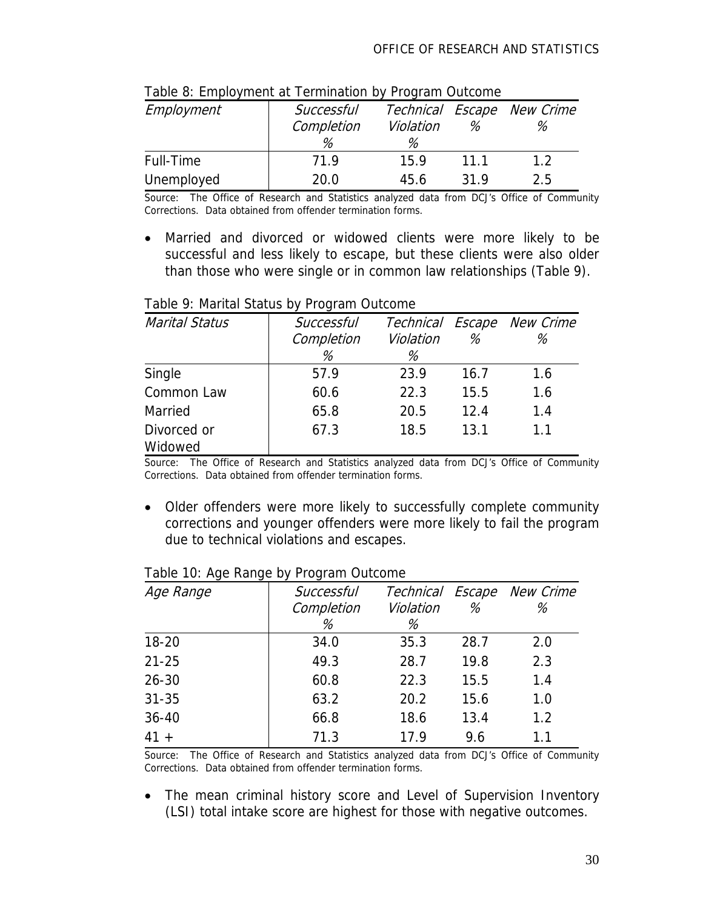| Table 0. Employment at Termination by Frogram Outcome |            |           |      |                            |  |  |  |
|-------------------------------------------------------|------------|-----------|------|----------------------------|--|--|--|
| Employment                                            | Successful |           |      | Technical Escape New Crime |  |  |  |
|                                                       | Completion | Violation | ℅    | ℅                          |  |  |  |
|                                                       | %          | %         |      |                            |  |  |  |
| Full-Time                                             | 719        | 15.9      | 11 1 | 12                         |  |  |  |
| Unemployed                                            | 20.0       | 45.6      | 31.9 | 2.5                        |  |  |  |

Table 8: Employment at Termination by Program Outcome

Source: The Office of Research and Statistics analyzed data from DCJ's Office of Community Corrections. Data obtained from offender termination forms.

• Married and divorced or widowed clients were more likely to be successful and less likely to escape, but these clients were also older than those who were single or in common law relationships (Table 9).

| <b>Marital Status</b>  | Successful |           |      | Technical Escape New Crime |
|------------------------|------------|-----------|------|----------------------------|
|                        | Completion | Violation | %    | %                          |
|                        | %          | %         |      |                            |
| Single                 | 57.9       | 23.9      | 16.7 | 1.6                        |
| Common Law             | 60.6       | 22.3      | 15.5 | 1.6                        |
| Married                | 65.8       | 20.5      | 12.4 | 1.4                        |
| Divorced or<br>Widowed | 67.3       | 18.5      | 13.1 | 11                         |

#### Table 9: Marital Status by Program Outcome

Source: The Office of Research and Statistics analyzed data from DCJ's Office of Community Corrections. Data obtained from offender termination forms.

• Older offenders were more likely to successfully complete community corrections and younger offenders were more likely to fail the program due to technical violations and escapes.

| Age Range | Successful<br>Completion | Technical Escape<br>Violation | %    | New Crime<br>% |
|-----------|--------------------------|-------------------------------|------|----------------|
|           | %                        | %                             |      |                |
| $18 - 20$ | 34.0                     | 35.3                          | 28.7 | 2.0            |
| $21 - 25$ | 49.3                     | 28.7                          | 19.8 | 2.3            |
| $26 - 30$ | 60.8                     | 22.3                          | 15.5 | 1.4            |
| $31 - 35$ | 63.2                     | 20.2                          | 15.6 | 1.0            |
| $36 - 40$ | 66.8                     | 18.6                          | 13.4 | 1.2            |
| $41 +$    | 71.3                     | 17.9                          | 9.6  | 1.1            |

#### Table 10: Age Range by Program Outcome

Source: The Office of Research and Statistics analyzed data from DCJ's Office of Community Corrections. Data obtained from offender termination forms.

• The mean criminal history score and Level of Supervision Inventory (LSI) total intake score are highest for those with negative outcomes.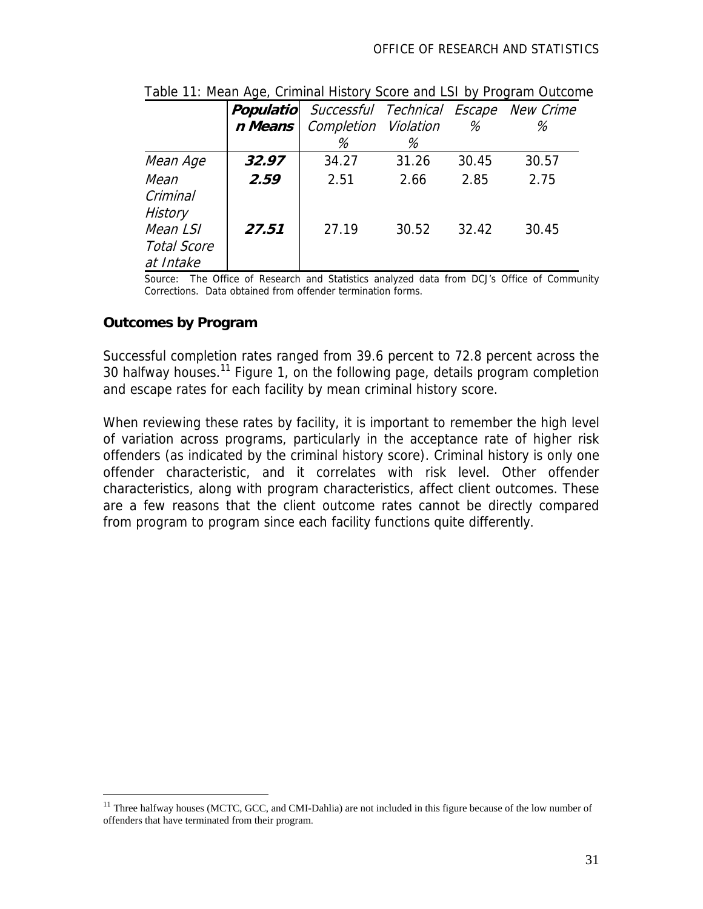|                                             |         | <b>Populatio</b> Successful Technical Escape New Crime |       |       |       |
|---------------------------------------------|---------|--------------------------------------------------------|-------|-------|-------|
|                                             | n Means | Completion Violation                                   |       | %     | %     |
|                                             |         | %                                                      | %     |       |       |
| Mean Age                                    | 32.97   | 34.27                                                  | 31.26 | 30.45 | 30.57 |
| Mean                                        | 2.59    | 2.51                                                   | 2.66  | 2.85  | 2.75  |
| Criminal<br>History                         |         |                                                        |       |       |       |
| Mean LSI<br><b>Total Score</b><br>at Intake | 27.51   | 27.19                                                  | 30.52 | 32.42 | 30.45 |

Table 11: Mean Age, Criminal History Score and LSI by Program Outcome

Source: The Office of Research and Statistics analyzed data from DCJ's Office of Community Corrections. Data obtained from offender termination forms.

#### **Outcomes by Program**

 $\overline{a}$ 

Successful completion rates ranged from 39.6 percent to 72.8 percent across the 30 halfway houses.<sup>11</sup> Figure 1, on the following page, details program completion and escape rates for each facility by mean criminal history score.

When reviewing these rates by facility, it is important to remember the high level of variation across programs, particularly in the acceptance rate of higher risk offenders (as indicated by the criminal history score). Criminal history is only one offender characteristic, and it correlates with risk level. Other offender characteristics, along with program characteristics, affect client outcomes. These are a few reasons that the client outcome rates cannot be directly compared from program to program since each facility functions quite differently.

 $11$  Three halfway houses (MCTC, GCC, and CMI-Dahlia) are not included in this figure because of the low number of offenders that have terminated from their program.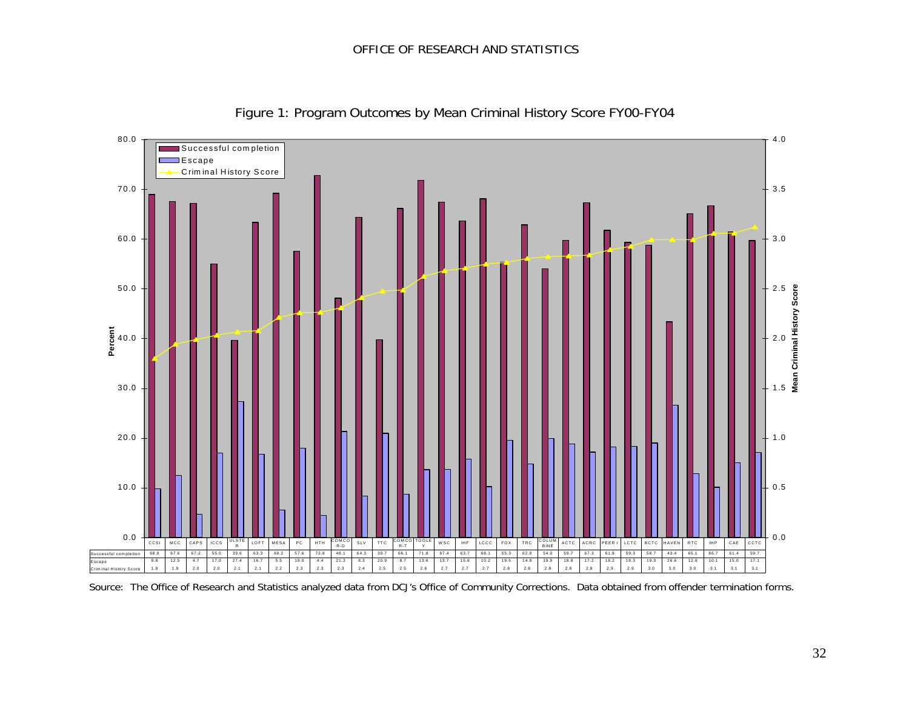

Figure 1: Program Outcomes by Mean Criminal History Score FY00-FY04

Source: The Office of Research and Statistics analyzed data from DCJ's Office of Community Corrections. Data obtained from offender termination forms.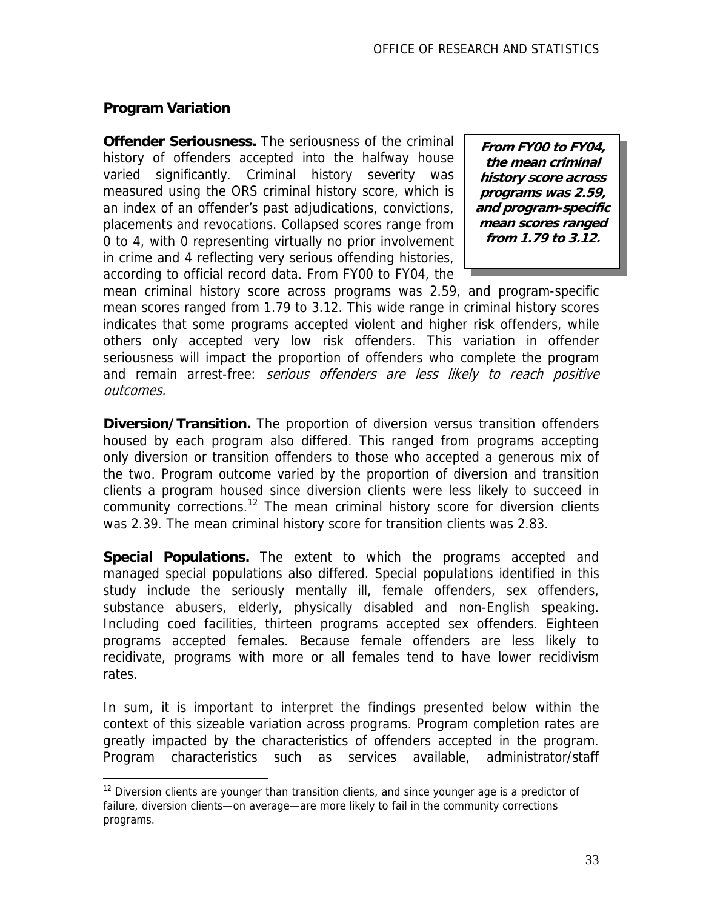## **Program Variation**

**Offender Seriousness.** The seriousness of the criminal history of offenders accepted into the halfway house varied significantly. Criminal history severity was measured using the ORS criminal history score, which is an index of an offender's past adjudications, convictions, placements and revocations. Collapsed scores range from 0 to 4, with 0 representing virtually no prior involvement in crime and 4 reflecting very serious offending histories, according to official record data. From FY00 to FY04, the

**From FY00 to FY04, the mean criminal history score across programs was 2.59, and program-specific mean scores ranged from 1.79 to 3.12.** 

mean criminal history score across programs was 2.59, and program-specific mean scores ranged from 1.79 to 3.12. This wide range in criminal history scores indicates that some programs accepted violent and higher risk offenders, while others only accepted very low risk offenders. This variation in offender seriousness will impact the proportion of offenders who complete the program and remain arrest-free: serious offenders are less likely to reach positive outcomes.

**Diversion/Transition.** The proportion of diversion versus transition offenders housed by each program also differed. This ranged from programs accepting only diversion or transition offenders to those who accepted a generous mix of the two. Program outcome varied by the proportion of diversion and transition clients a program housed since diversion clients were less likely to succeed in community corrections.12 The mean criminal history score for diversion clients was 2.39. The mean criminal history score for transition clients was 2.83.

**Special Populations.** The extent to which the programs accepted and managed special populations also differed. Special populations identified in this study include the seriously mentally ill, female offenders, sex offenders, substance abusers, elderly, physically disabled and non-English speaking. Including coed facilities, thirteen programs accepted sex offenders. Eighteen programs accepted females. Because female offenders are less likely to recidivate, programs with more or all females tend to have lower recidivism rates.

In sum, it is important to interpret the findings presented below within the context of this sizeable variation across programs. Program completion rates are greatly impacted by the characteristics of offenders accepted in the program. Program characteristics such as services available, administrator/staff

<sup>1</sup>  $12$  Diversion clients are younger than transition clients, and since younger age is a predictor of failure, diversion clients—on average—are more likely to fail in the community corrections programs.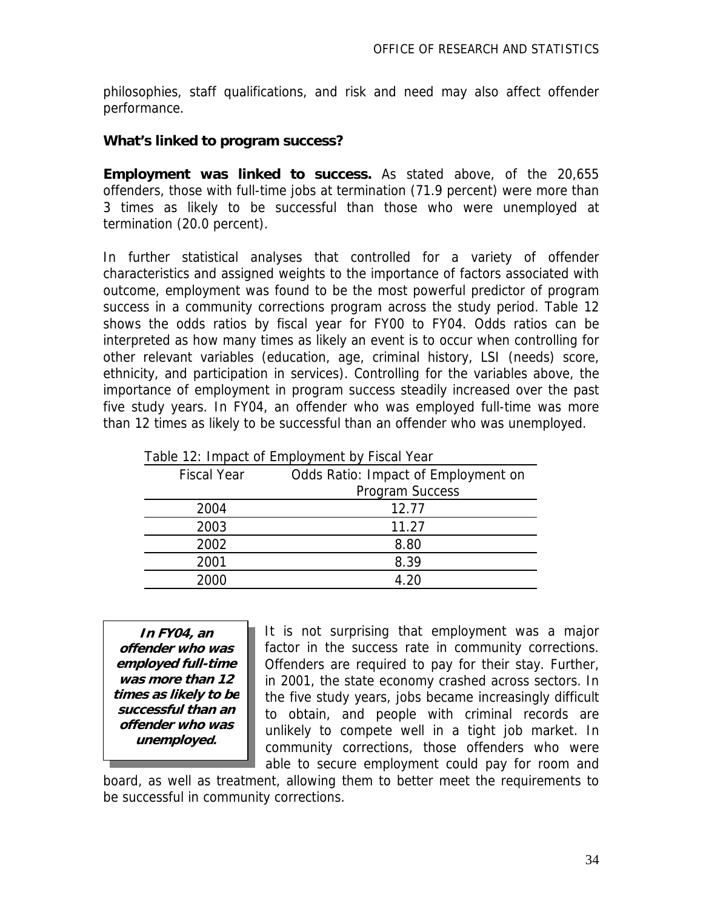philosophies, staff qualifications, and risk and need may also affect offender performance.

#### **What's linked to program success?**

**Employment was linked to success.** As stated above, of the 20,655 offenders, those with full-time jobs at termination (71.9 percent) were more than 3 times as likely to be successful than those who were unemployed at termination (20.0 percent).

In further statistical analyses that controlled for a variety of offender characteristics and assigned weights to the importance of factors associated with outcome, employment was found to be the most powerful predictor of program success in a community corrections program across the study period. Table 12 shows the odds ratios by fiscal year for FY00 to FY04. Odds ratios can be interpreted as how many times as likely an event is to occur when controlling for other relevant variables (education, age, criminal history, LSI (needs) score, ethnicity, and participation in services). Controlling for the variables above, the importance of employment in program success steadily increased over the past five study years. In FY04, an offender who was employed full-time was more than 12 times as likely to be successful than an offender who was unemployed.

|                    | Table 12. Impact of Employment by Hocal Tear |
|--------------------|----------------------------------------------|
| <b>Fiscal Year</b> | Odds Ratio: Impact of Employment on          |
|                    | <b>Program Success</b>                       |
| 2004               | 12.77                                        |
| 2003               | 11.27                                        |
| 2002               | 8.80                                         |
| 2001               | 8.39                                         |
| 2000               | 4.20                                         |
|                    |                                              |

Table 12: Impact of Employment by Fiscal Year

**In FY04, an offender who was employed full-time was more than 12 times as likely to be successful than an offender who was unemployed.**

It is not surprising that employment was a major factor in the success rate in community corrections. Offenders are required to pay for their stay. Further, in 2001, the state economy crashed across sectors. In the five study years, jobs became increasingly difficult to obtain, and people with criminal records are unlikely to compete well in a tight job market. In community corrections, those offenders who were able to secure employment could pay for room and

board, as well as treatment, allowing them to better meet the requirements to be successful in community corrections.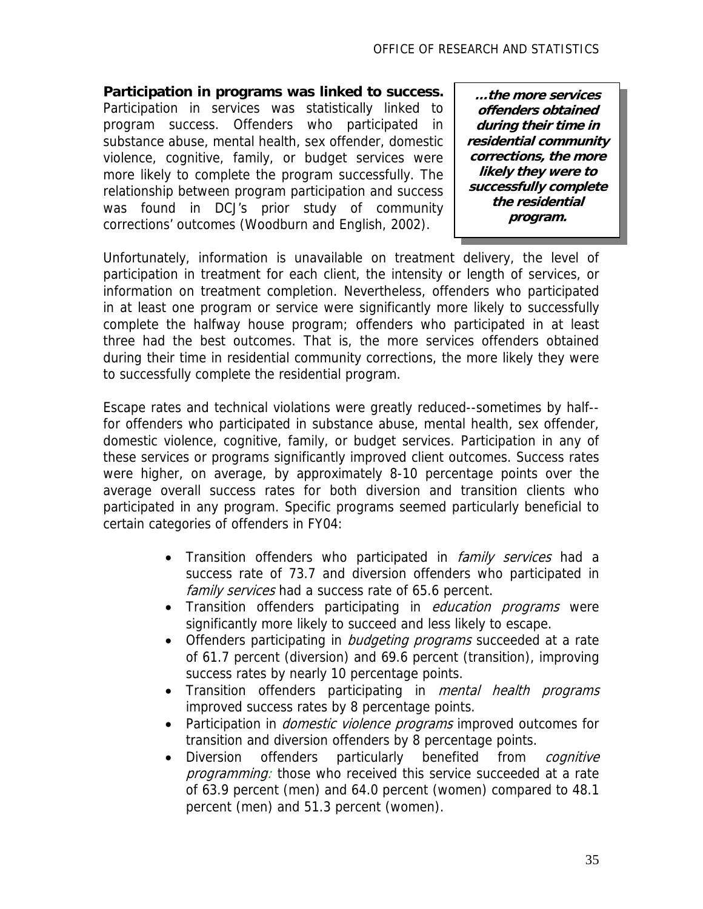**Participation in programs was linked to success.**  Participation in services was statistically linked to program success. Offenders who participated in substance abuse, mental health, sex offender, domestic violence, cognitive, family, or budget services were more likely to complete the program successfully. The relationship between program participation and success was found in DCJ's prior study of community corrections' outcomes (Woodburn and English, 2002).

**…the more services offenders obtained during their time in residential community corrections, the more likely they were to successfully complete the residential program.** 

Unfortunately, information is unavailable on treatment delivery, the level of participation in treatment for each client, the intensity or length of services, or information on treatment completion. Nevertheless, offenders who participated in at least one program or service were significantly more likely to successfully complete the halfway house program; offenders who participated in at least three had the best outcomes. That is, the more services offenders obtained during their time in residential community corrections, the more likely they were to successfully complete the residential program.

Escape rates and technical violations were greatly reduced--sometimes by half- for offenders who participated in substance abuse, mental health, sex offender, domestic violence, cognitive, family, or budget services. Participation in any of these services or programs significantly improved client outcomes. Success rates were higher, on average, by approximately 8-10 percentage points over the average overall success rates for both diversion and transition clients who participated in any program. Specific programs seemed particularly beneficial to certain categories of offenders in FY04:

- Transition offenders who participated in *family services* had a success rate of 73.7 and diversion offenders who participated in family services had a success rate of 65.6 percent.
- Transition offenders participating in *education programs* were significantly more likely to succeed and less likely to escape.
- Offenders participating in *budgeting programs* succeeded at a rate of 61.7 percent (diversion) and 69.6 percent (transition), improving success rates by nearly 10 percentage points.
- Transition offenders participating in *mental health programs* improved success rates by 8 percentage points.
- Participation in *domestic violence programs* improved outcomes for transition and diversion offenders by 8 percentage points.
- Diversion offenders particularly benefited from *cognitive* programming: those who received this service succeeded at a rate of 63.9 percent (men) and 64.0 percent (women) compared to 48.1 percent (men) and 51.3 percent (women).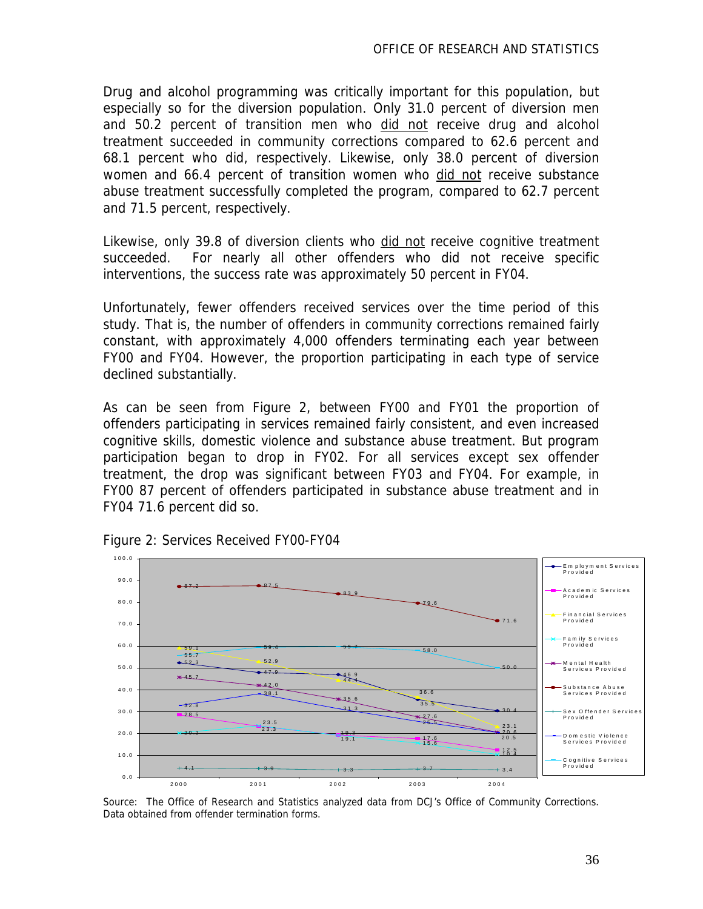Drug and alcohol programming was critically important for this population, but especially so for the diversion population. Only 31.0 percent of diversion men and 50.2 percent of transition men who did not receive drug and alcohol treatment succeeded in community corrections compared to 62.6 percent and 68.1 percent who did, respectively. Likewise, only 38.0 percent of diversion women and 66.4 percent of transition women who did not receive substance abuse treatment successfully completed the program, compared to 62.7 percent and 71.5 percent, respectively.

Likewise, only 39.8 of diversion clients who did not receive cognitive treatment succeeded. For nearly all other offenders who did not receive specific interventions, the success rate was approximately 50 percent in FY04.

Unfortunately, fewer offenders received services over the time period of this study. That is, the number of offenders in community corrections remained fairly constant, with approximately 4,000 offenders terminating each year between FY00 and FY04. However, the proportion participating in each type of service declined substantially.

As can be seen from Figure 2, between FY00 and FY01 the proportion of offenders participating in services remained fairly consistent, and even increased cognitive skills, domestic violence and substance abuse treatment. But program participation began to drop in FY02. For all services except sex offender treatment, the drop was significant between FY03 and FY04. For example, in FY00 87 percent of offenders participated in substance abuse treatment and in FY04 71.6 percent did so.



Figure 2: Services Received FY00-FY04

Source: The Office of Research and Statistics analyzed data from DCJ's Office of Community Corrections. Data obtained from offender termination forms.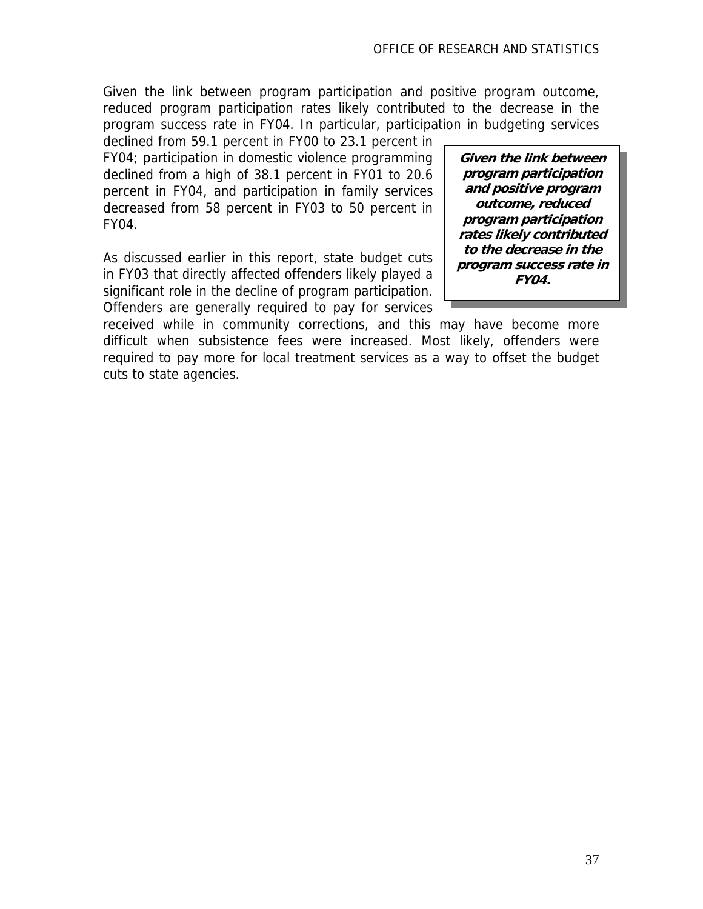Given the link between program participation and positive program outcome, reduced program participation rates likely contributed to the decrease in the program success rate in FY04. In particular, participation in budgeting services

declined from 59.1 percent in FY00 to 23.1 percent in FY04; participation in domestic violence programming declined from a high of 38.1 percent in FY01 to 20.6 percent in FY04, and participation in family services decreased from 58 percent in FY03 to 50 percent in FY04.

As discussed earlier in this report, state budget cuts in FY03 that directly affected offenders likely played a significant role in the decline of program participation. Offenders are generally required to pay for services

**Given the link between program participation and positive program outcome, reduced program participation rates likely contributed to the decrease in the program success rate in FY04.** 

received while in community corrections, and this may have become more difficult when subsistence fees were increased. Most likely, offenders were required to pay more for local treatment services as a way to offset the budget cuts to state agencies.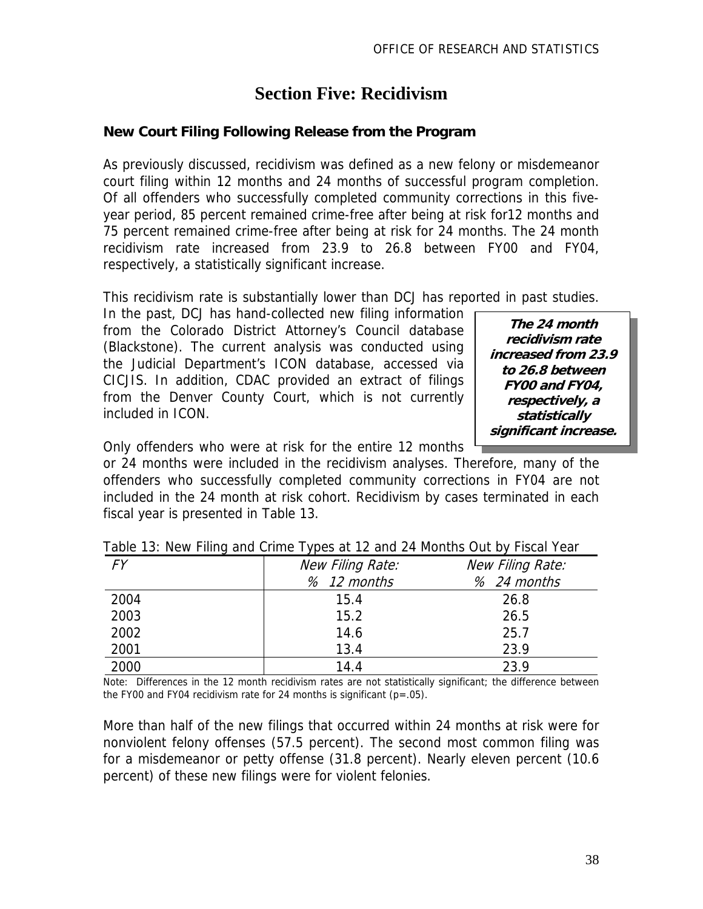## **Section Five: Recidivism**

#### **New Court Filing Following Release from the Program**

As previously discussed, recidivism was defined as a new felony or misdemeanor court filing within 12 months and 24 months of successful program completion. Of all offenders who successfully completed community corrections in this fiveyear period, 85 percent remained crime-free after being at risk for12 months and 75 percent remained crime-free after being at risk for 24 months. The 24 month recidivism rate increased from 23.9 to 26.8 between FY00 and FY04, respectively, a statistically significant increase.

This recidivism rate is substantially lower than DCJ has reported in past studies.

In the past, DCJ has hand-collected new filing information from the Colorado District Attorney's Council database (Blackstone). The current analysis was conducted using the Judicial Department's ICON database, accessed via CICJIS. In addition, CDAC provided an extract of filings from the Denver County Court, which is not currently included in ICON.

**The 24 month recidivism rate increased from 23.9 to 26.8 between FY00 and FY04, respectively, a statistically significant increase.**

Only offenders who were at risk for the entire 12 months

or 24 months were included in the recidivism analyses. Therefore, many of the offenders who successfully completed community corrections in FY04 are not included in the 24 month at risk cohort. Recidivism by cases terminated in each fiscal year is presented in Table 13.

| $\cdot$ | --               |                  |
|---------|------------------|------------------|
| FY      | New Filing Rate: | New Filing Rate: |
|         | % 12 months      | % 24 months      |
| 2004    | 15.4             | 26.8             |
| 2003    | 15.2             | 26.5             |
| 2002    | 14.6             | 25.7             |
| 2001    | 13.4             | 23.9             |
| 2000    | 14.4             | 23.9             |

Table 13: New Filing and Crime Types at 12 and 24 Months Out by Fiscal Year

Note: Differences in the 12 month recidivism rates are not statistically significant; the difference between the FY00 and FY04 recidivism rate for 24 months is significant ( $p=.05$ ).

More than half of the new filings that occurred within 24 months at risk were for nonviolent felony offenses (57.5 percent). The second most common filing was for a misdemeanor or petty offense (31.8 percent). Nearly eleven percent (10.6 percent) of these new filings were for violent felonies.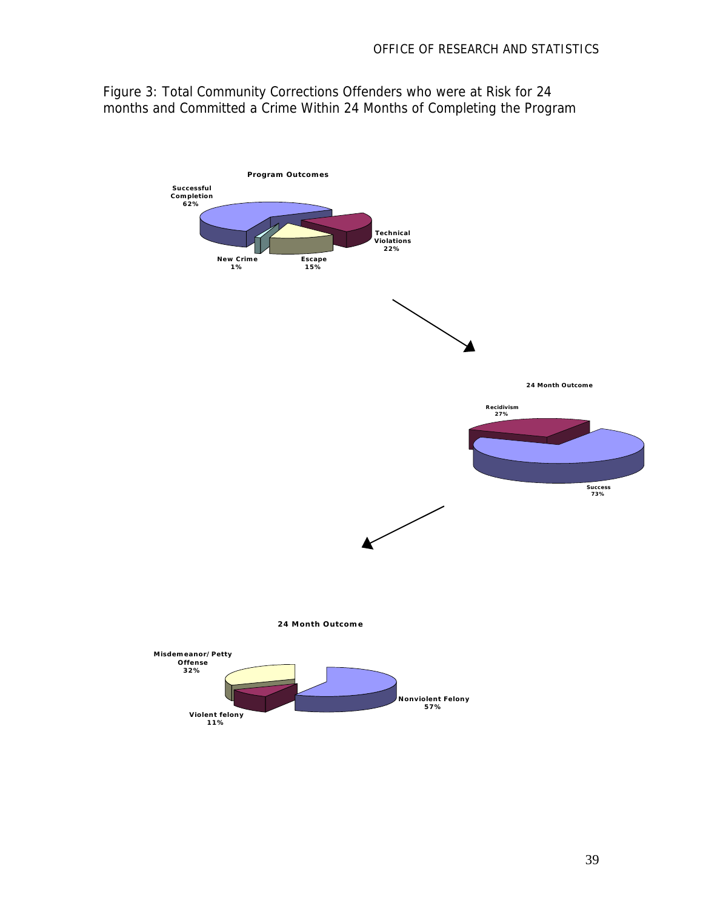Figure 3: Total Community Corrections Offenders who were at Risk for 24 months and Committed a Crime Within 24 Months of Completing the Program

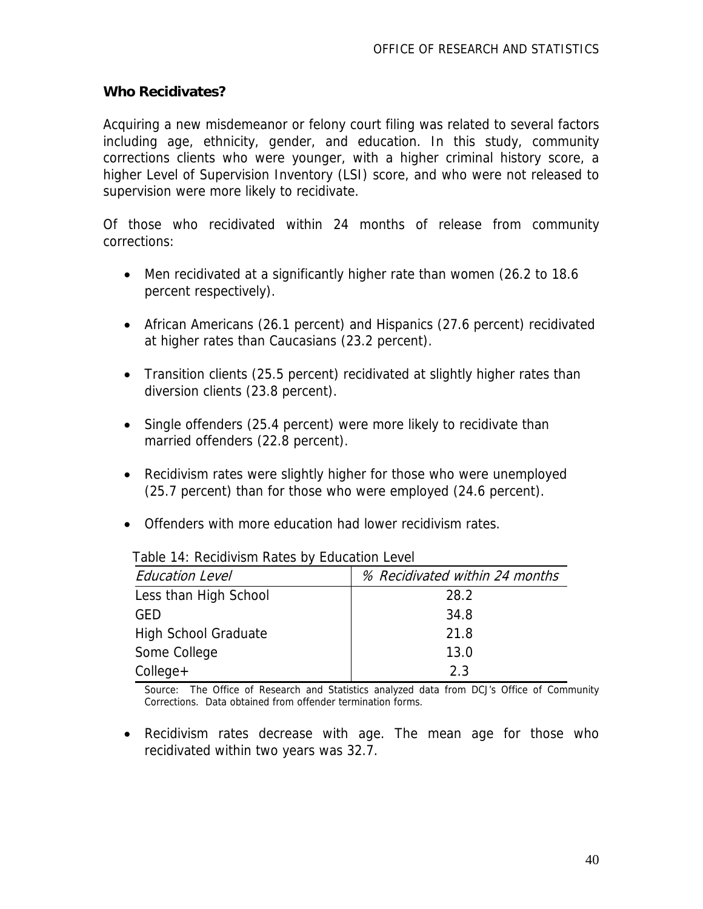#### **Who Recidivates?**

Acquiring a new misdemeanor or felony court filing was related to several factors including age, ethnicity, gender, and education. In this study, community corrections clients who were younger, with a higher criminal history score, a higher Level of Supervision Inventory (LSI) score, and who were not released to supervision were more likely to recidivate.

Of those who recidivated within 24 months of release from community corrections:

- Men recidivated at a significantly higher rate than women (26.2 to 18.6 percent respectively).
- African Americans (26.1 percent) and Hispanics (27.6 percent) recidivated at higher rates than Caucasians (23.2 percent).
- Transition clients (25.5 percent) recidivated at slightly higher rates than diversion clients (23.8 percent).
- Single offenders (25.4 percent) were more likely to recidivate than married offenders (22.8 percent).
- Recidivism rates were slightly higher for those who were unemployed (25.7 percent) than for those who were employed (24.6 percent).
- Offenders with more education had lower recidivism rates.

| $1.9010 + 1.1001011101111101000001$ | _______________                |
|-------------------------------------|--------------------------------|
| <b>Education Level</b>              | % Recidivated within 24 months |
| Less than High School               | 28.2                           |
| GED                                 | 34.8                           |
| <b>High School Graduate</b>         | 21.8                           |
| Some College                        | 13.0                           |
| $Collect +$                         | 2.3                            |

Table 14: Recidivism Rates by Education Level

Source: The Office of Research and Statistics analyzed data from DCJ's Office of Community Corrections. Data obtained from offender termination forms.

• Recidivism rates decrease with age. The mean age for those who recidivated within two years was 32.7.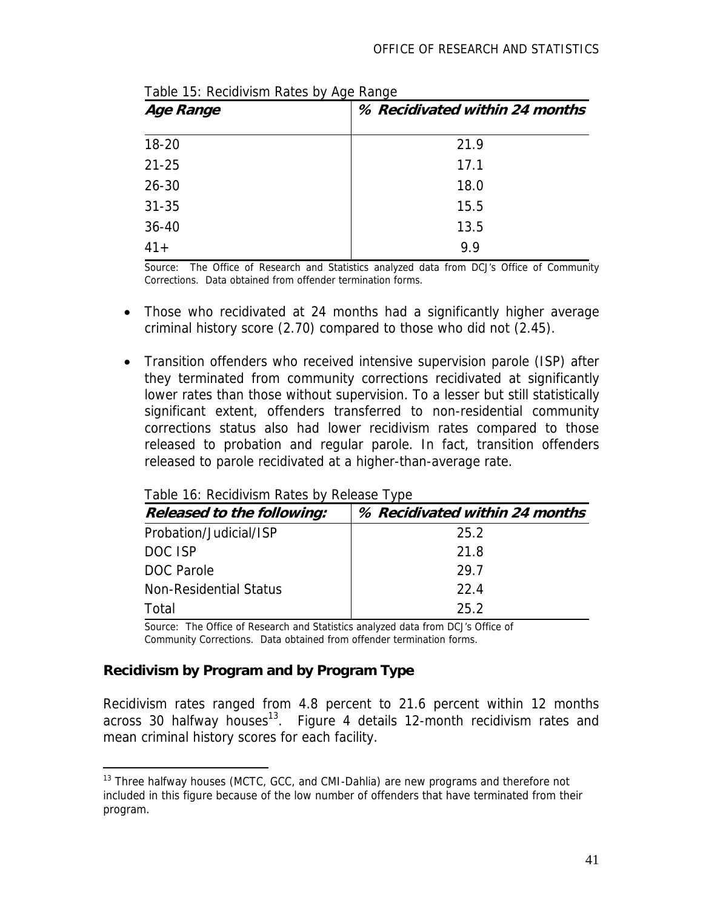| Age Range | % Recidivated within 24 months |
|-----------|--------------------------------|
| $18 - 20$ | 21.9                           |
| $21 - 25$ | 17.1                           |
| $26 - 30$ | 18.0                           |
| $31 - 35$ | 15.5                           |
| $36 - 40$ | 13.5                           |
| $41+$     | 9.9                            |

Table 15: Recidivism Rates by Age Range

Source: The Office of Research and Statistics analyzed data from DCJ's Office of Community Corrections. Data obtained from offender termination forms.

- Those who recidivated at 24 months had a significantly higher average criminal history score (2.70) compared to those who did not (2.45).
- Transition offenders who received intensive supervision parole (ISP) after they terminated from community corrections recidivated at significantly lower rates than those without supervision. To a lesser but still statistically significant extent, offenders transferred to non-residential community corrections status also had lower recidivism rates compared to those released to probation and regular parole. In fact, transition offenders released to parole recidivated at a higher-than-average rate.

| Table 16: Recidivism Rates by Release Type |  |  |  |
|--------------------------------------------|--|--|--|
|--------------------------------------------|--|--|--|

| <b>Released to the following:</b> | % Recidivated within 24 months |
|-----------------------------------|--------------------------------|
| Probation/Judicial/ISP            | 25.2                           |
| DOC ISP                           | 21.8                           |
| DOC Parole                        | 29.7                           |
| <b>Non-Residential Status</b>     | 22.4                           |
| Total                             | 25.2                           |

Source: The Office of Research and Statistics analyzed data from DCJ's Office of Community Corrections. Data obtained from offender termination forms.

### **Recidivism by Program and by Program Type**

 $\overline{a}$ 

Recidivism rates ranged from 4.8 percent to 21.6 percent within 12 months across 30 halfway houses<sup>13</sup>. Figure 4 details 12-month recidivism rates and mean criminal history scores for each facility.

<sup>&</sup>lt;sup>13</sup> Three halfway houses (MCTC, GCC, and CMI-Dahlia) are new programs and therefore not included in this figure because of the low number of offenders that have terminated from their program.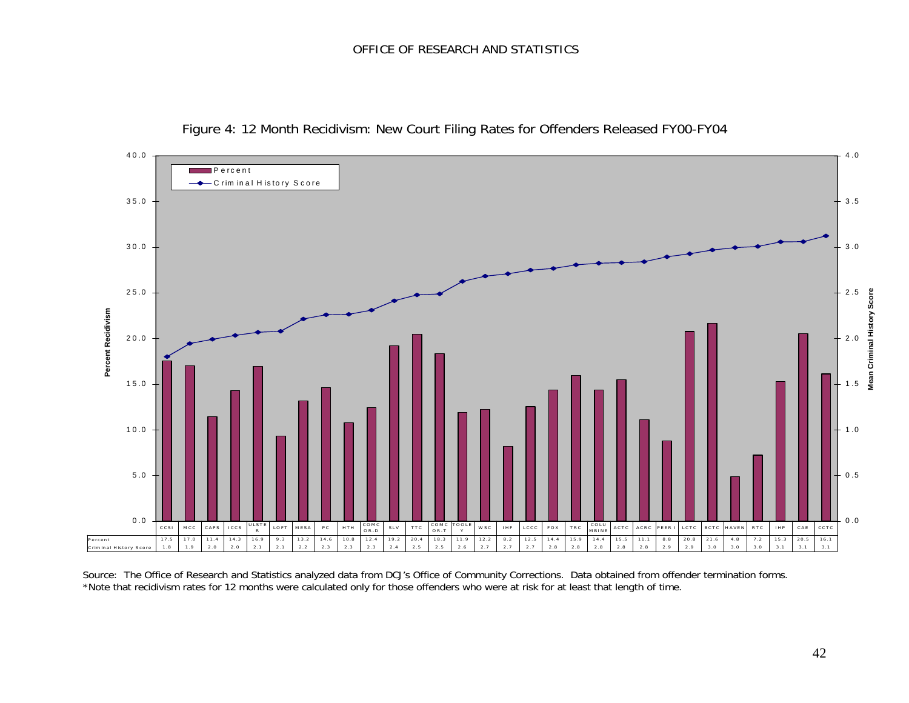

Figure 4: 12 Month Recidivism: New Court Filing Rates for Offenders Released FY00-FY04

Source: The Office of Research and Statistics analyzed data from DCJ's Office of Community Corrections. Data obtained from offender termination forms. \*Note that recidivism rates for 12 months were calculated only for those offenders who were at risk for at least that length of time.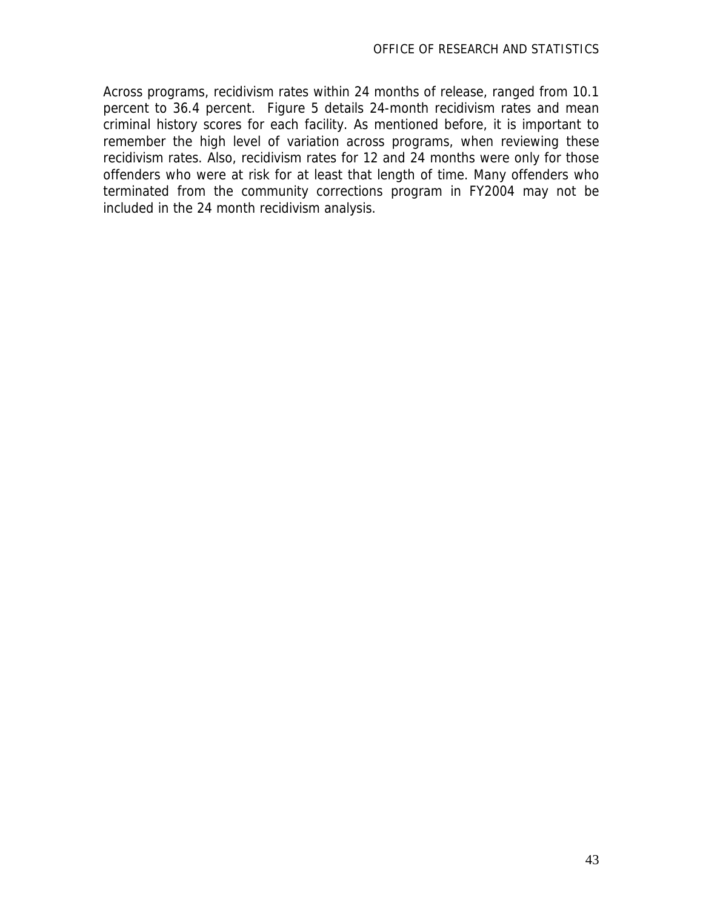Across programs, recidivism rates within 24 months of release, ranged from 10.1 percent to 36.4 percent. Figure 5 details 24-month recidivism rates and mean criminal history scores for each facility. As mentioned before, it is important to remember the high level of variation across programs, when reviewing these recidivism rates. Also, recidivism rates for 12 and 24 months were only for those offenders who were at risk for at least that length of time. Many offenders who terminated from the community corrections program in FY2004 may not be included in the 24 month recidivism analysis.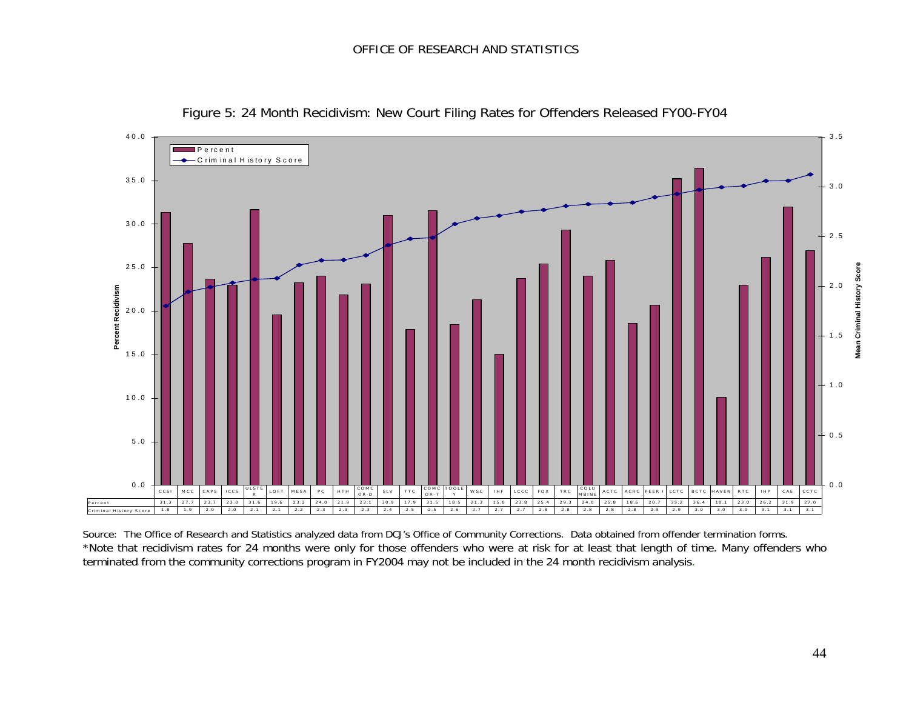

Figure 5: 24 Month Recidivism: New Court Filing Rates for Offenders Released FY00-FY04

Source: The Office of Research and Statistics analyzed data from DCJ's Office of Community Corrections. Data obtained from offender termination forms. \*Note that recidivism rates for 24 months were only for those offenders who were at risk for at least that length of time. Many offenders who terminated from the community corrections program in FY2004 may not be included in the 24 month recidivism analysis.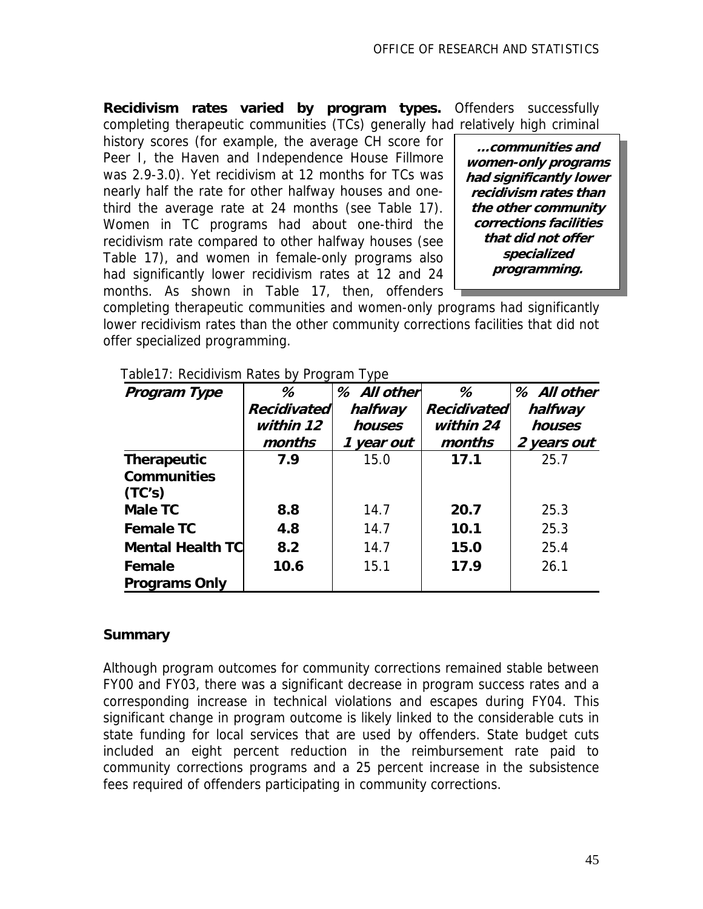**Recidivism rates varied by program types.** Offenders successfully completing therapeutic communities (TCs) generally had relatively high criminal

history scores (for example, the average CH score for Peer I, the Haven and Independence House Fillmore was 2.9-3.0). Yet recidivism at 12 months for TCs was nearly half the rate for other halfway houses and onethird the average rate at 24 months (see Table 17). Women in TC programs had about one-third the recidivism rate compared to other halfway houses (see Table 17), and women in female-only programs also had significantly lower recidivism rates at 12 and 24 months. As shown in Table 17, then, offenders

**…communities and women-only programs had significantly lower recidivism rates than the other community corrections facilities that did not offer specialized programming.** 

completing therapeutic communities and women-only programs had significantly lower recidivism rates than the other community corrections facilities that did not offer specialized programming.

| <b>Program Type</b>     | %           | % All other | %                  | % All other |
|-------------------------|-------------|-------------|--------------------|-------------|
|                         | Recidivated | halfway     | <b>Recidivated</b> | halfway     |
|                         | within 12   | houses      | within 24          | houses      |
|                         | months      | 1 year out  | months             | 2 years out |
| Therapeutic             | 7.9         | 15.0        | 17.1               | 25.7        |
| <b>Communities</b>      |             |             |                    |             |
| (TC's)                  |             |             |                    |             |
| <b>Male TC</b>          | 8.8         | 14.7        | 20.7               | 25.3        |
| <b>Female TC</b>        | 4.8         | 14.7        | 10.1               | 25.3        |
| <b>Mental Health TC</b> | 8.2         | 14.7        | 15.0               | 25.4        |
| Female                  | 10.6        | 15.1        | 17.9               | 26.1        |
| <b>Programs Only</b>    |             |             |                    |             |

| Table 17: Recidivism Rates by Program Type |  |  |  |
|--------------------------------------------|--|--|--|

### **Summary**

Although program outcomes for community corrections remained stable between FY00 and FY03, there was a significant decrease in program success rates and a corresponding increase in technical violations and escapes during FY04. This significant change in program outcome is likely linked to the considerable cuts in state funding for local services that are used by offenders. State budget cuts included an eight percent reduction in the reimbursement rate paid to community corrections programs and a 25 percent increase in the subsistence fees required of offenders participating in community corrections.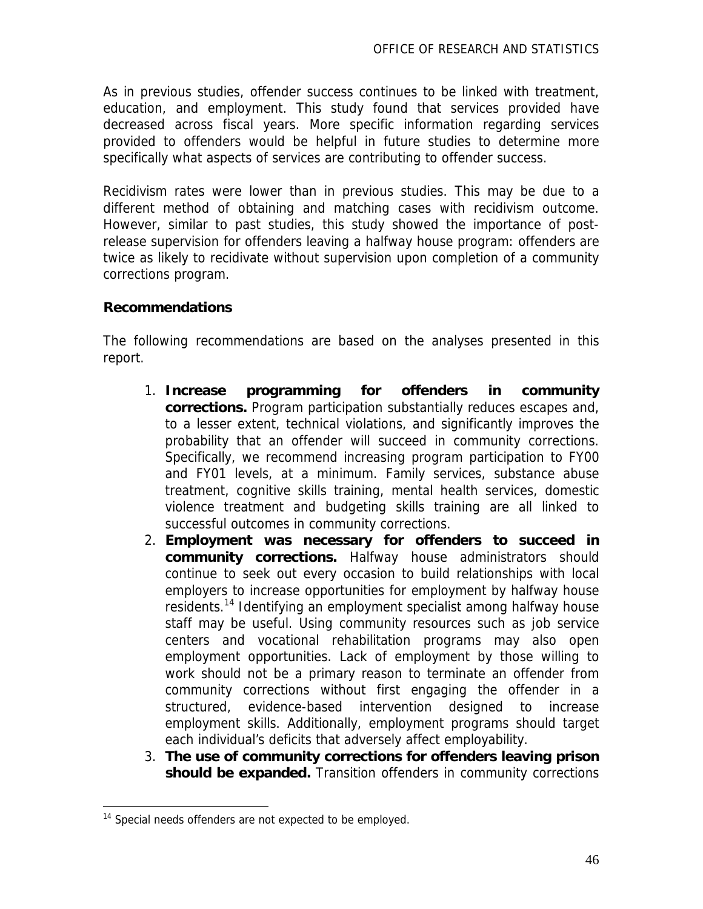As in previous studies, offender success continues to be linked with treatment, education, and employment. This study found that services provided have decreased across fiscal years. More specific information regarding services provided to offenders would be helpful in future studies to determine more specifically what aspects of services are contributing to offender success.

Recidivism rates were lower than in previous studies. This may be due to a different method of obtaining and matching cases with recidivism outcome. However, similar to past studies, this study showed the importance of postrelease supervision for offenders leaving a halfway house program: offenders are twice as likely to recidivate without supervision upon completion of a community corrections program.

#### **Recommendations**

The following recommendations are based on the analyses presented in this report.

- 1. **Increase programming for offenders in community corrections.** Program participation substantially reduces escapes and, to a lesser extent, technical violations, and significantly improves the probability that an offender will succeed in community corrections. Specifically, we recommend increasing program participation to FY00 and FY01 levels, at a minimum. Family services, substance abuse treatment, cognitive skills training, mental health services, domestic violence treatment and budgeting skills training are all linked to successful outcomes in community corrections.
- 2. **Employment was necessary for offenders to succeed in community corrections.** Halfway house administrators should continue to seek out every occasion to build relationships with local employers to increase opportunities for employment by halfway house residents.14 Identifying an employment specialist among halfway house staff may be useful. Using community resources such as job service centers and vocational rehabilitation programs may also open employment opportunities. Lack of employment by those willing to work should not be a primary reason to terminate an offender from community corrections without first engaging the offender in a structured, evidence-based intervention designed to increase employment skills. Additionally, employment programs should target each individual's deficits that adversely affect employability.
- 3. **The use of community corrections for offenders leaving prison should be expanded.** Transition offenders in community corrections

 $\overline{a}$ 

 $14$  Special needs offenders are not expected to be employed.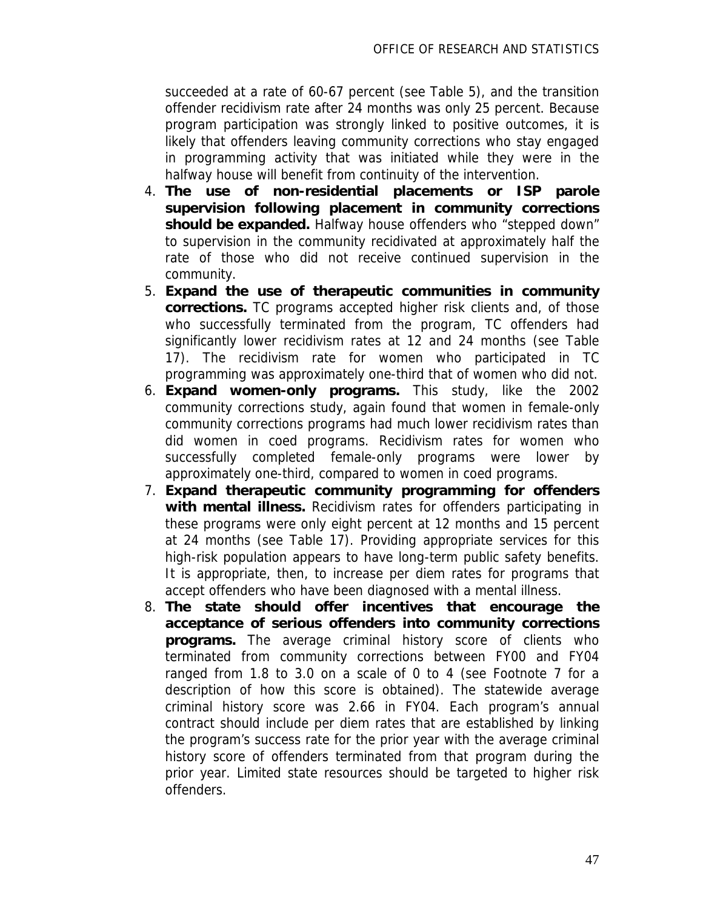succeeded at a rate of 60-67 percent (see Table 5), and the transition offender recidivism rate after 24 months was only 25 percent. Because program participation was strongly linked to positive outcomes, it is likely that offenders leaving community corrections who stay engaged in programming activity that was initiated while they were in the halfway house will benefit from continuity of the intervention.

- 4. **The use of non-residential placements or ISP parole supervision following placement in community corrections should be expanded.** Halfway house offenders who "stepped down" to supervision in the community recidivated at approximately half the rate of those who did not receive continued supervision in the community.
- 5. **Expand the use of therapeutic communities in community corrections.** TC programs accepted higher risk clients and, of those who successfully terminated from the program, TC offenders had significantly lower recidivism rates at 12 and 24 months (see Table 17). The recidivism rate for women who participated in TC programming was approximately one-third that of women who did not.
- 6. **Expand women-only programs.** This study, like the 2002 community corrections study, again found that women in female-only community corrections programs had much lower recidivism rates than did women in coed programs. Recidivism rates for women who successfully completed female-only programs were lower by approximately one-third, compared to women in coed programs.
- 7. **Expand therapeutic community programming for offenders with mental illness.** Recidivism rates for offenders participating in these programs were only eight percent at 12 months and 15 percent at 24 months (see Table 17). Providing appropriate services for this high-risk population appears to have long-term public safety benefits. It is appropriate, then, to increase per diem rates for programs that accept offenders who have been diagnosed with a mental illness.
- 8. **The state should offer incentives that encourage the acceptance of serious offenders into community corrections programs.** The average criminal history score of clients who terminated from community corrections between FY00 and FY04 ranged from 1.8 to 3.0 on a scale of 0 to 4 (see Footnote 7 for a description of how this score is obtained). The statewide average criminal history score was 2.66 in FY04. Each program's annual contract should include per diem rates that are established by linking the program's success rate for the prior year with the average criminal history score of offenders terminated from that program during the prior year. Limited state resources should be targeted to higher risk offenders.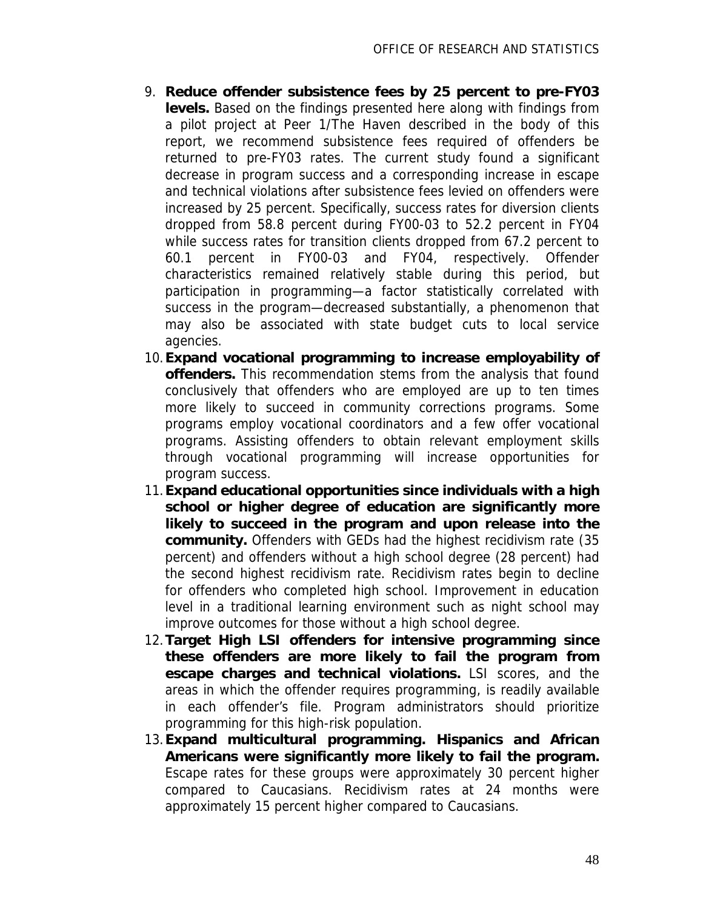- 9. **Reduce offender subsistence fees by 25 percent to pre-FY03 levels.** Based on the findings presented here along with findings from a pilot project at Peer 1/The Haven described in the body of this report, we recommend subsistence fees required of offenders be returned to pre-FY03 rates. The current study found a significant decrease in program success and a corresponding increase in escape and technical violations after subsistence fees levied on offenders were increased by 25 percent. Specifically, success rates for diversion clients dropped from 58.8 percent during FY00-03 to 52.2 percent in FY04 while success rates for transition clients dropped from 67.2 percent to 60.1 percent in FY00-03 and FY04, respectively. Offender characteristics remained relatively stable during this period, but participation in programming—a factor statistically correlated with success in the program—decreased substantially, a phenomenon that may also be associated with state budget cuts to local service agencies.
- 10. **Expand vocational programming to increase employability of offenders.** This recommendation stems from the analysis that found conclusively that offenders who are employed are up to ten times more likely to succeed in community corrections programs. Some programs employ vocational coordinators and a few offer vocational programs. Assisting offenders to obtain relevant employment skills through vocational programming will increase opportunities for program success.
- 11. **Expand educational opportunities since individuals with a high school or higher degree of education are significantly more likely to succeed in the program and upon release into the community.** Offenders with GEDs had the highest recidivism rate (35 percent) and offenders without a high school degree (28 percent) had the second highest recidivism rate. Recidivism rates begin to decline for offenders who completed high school. Improvement in education level in a traditional learning environment such as night school may improve outcomes for those without a high school degree.
- 12. **Target High LSI offenders for intensive programming since these offenders are more likely to fail the program from escape charges and technical violations.** LSI scores, and the areas in which the offender requires programming, is readily available in each offender's file. Program administrators should prioritize programming for this high-risk population.
- 13. **Expand multicultural programming. Hispanics and African Americans were significantly more likely to fail the program.**  Escape rates for these groups were approximately 30 percent higher compared to Caucasians. Recidivism rates at 24 months were approximately 15 percent higher compared to Caucasians.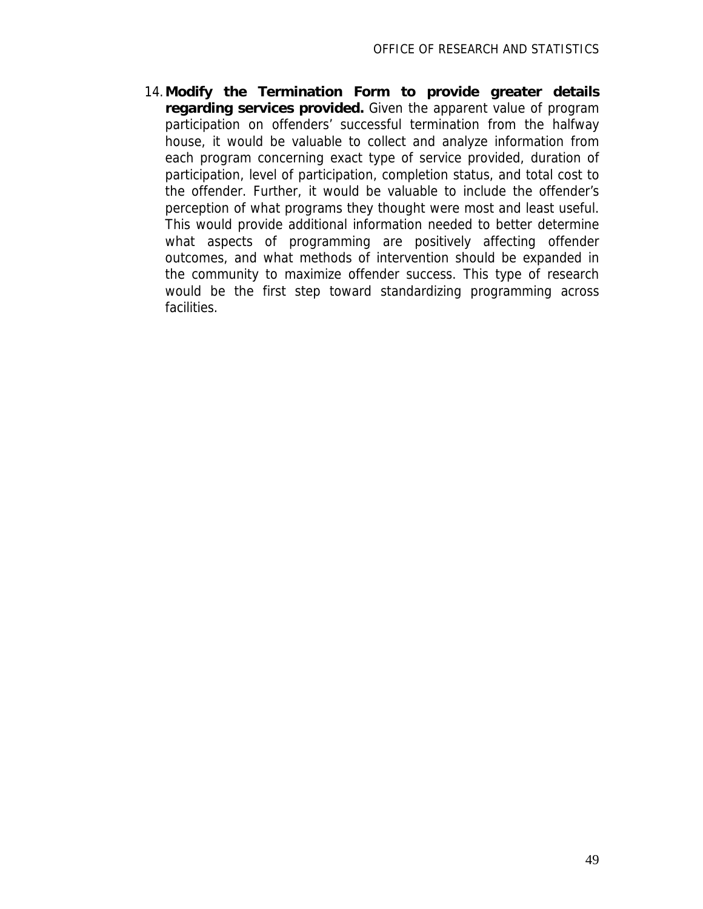14. **Modify the Termination Form to provide greater details regarding services provided.** Given the apparent value of program participation on offenders' successful termination from the halfway house, it would be valuable to collect and analyze information from each program concerning exact type of service provided, duration of participation, level of participation, completion status, and total cost to the offender. Further, it would be valuable to include the offender's perception of what programs they thought were most and least useful. This would provide additional information needed to better determine what aspects of programming are positively affecting offender outcomes, and what methods of intervention should be expanded in the community to maximize offender success. This type of research would be the first step toward standardizing programming across facilities.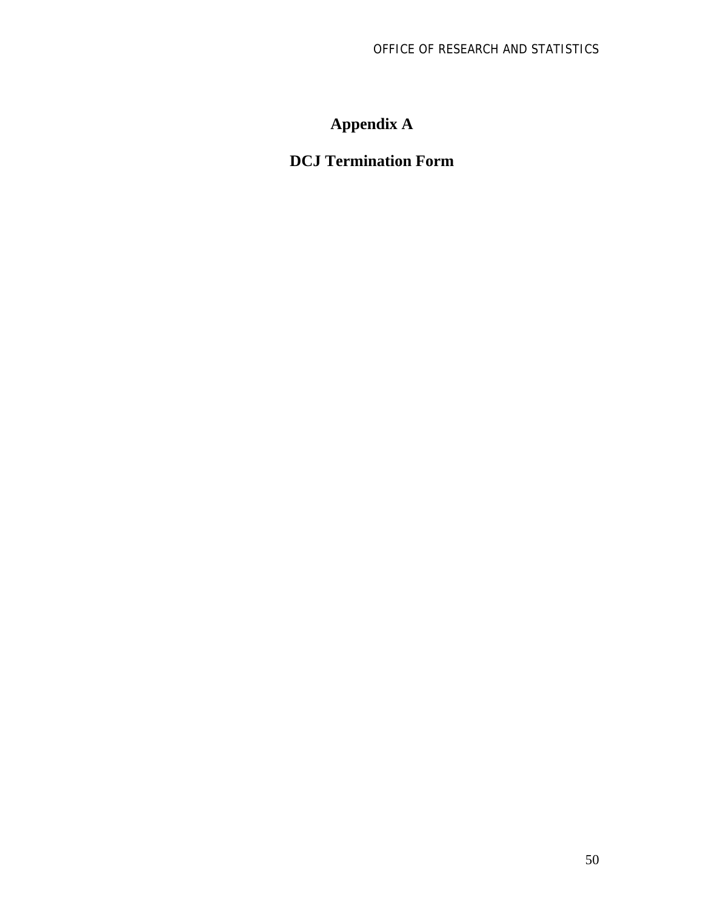# **Appendix A**

# **DCJ Termination Form**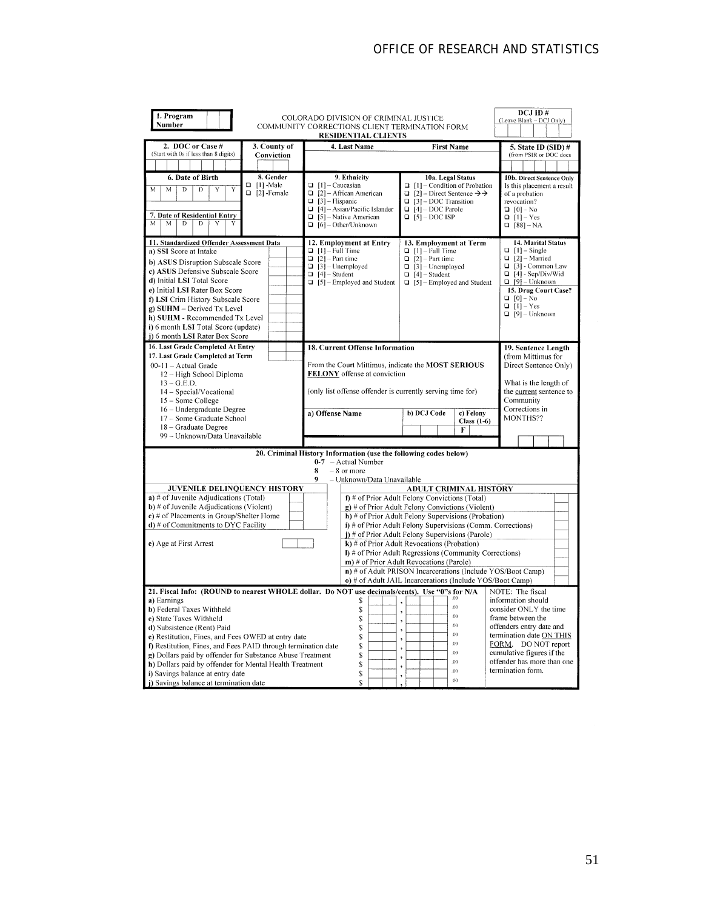| DCJ ID#<br>1. Program<br>COLORADO DIVISION OF CRIMINAL JUSTICE<br>(Leave Blank - DCJ Only)<br><b>Number</b><br>COMMUNITY CORRECTIONS CLIENT TERMINATION FORM<br><b>RESIDENTIAL CLIENTS</b>                                                                                                                                                     |                                                                                                                                                                                                             |                                                                                                                                                                                                  |                                                                                                                                                                                                                   |  |
|------------------------------------------------------------------------------------------------------------------------------------------------------------------------------------------------------------------------------------------------------------------------------------------------------------------------------------------------|-------------------------------------------------------------------------------------------------------------------------------------------------------------------------------------------------------------|--------------------------------------------------------------------------------------------------------------------------------------------------------------------------------------------------|-------------------------------------------------------------------------------------------------------------------------------------------------------------------------------------------------------------------|--|
| 2. DOC or Case #<br>3. County of                                                                                                                                                                                                                                                                                                               | 4. Last Name                                                                                                                                                                                                | <b>First Name</b>                                                                                                                                                                                | 5. State ID (SID) #                                                                                                                                                                                               |  |
| (Start with 0s if less than 8 digits)<br>Conviction                                                                                                                                                                                                                                                                                            |                                                                                                                                                                                                             |                                                                                                                                                                                                  | (from PSIR or DOC docs                                                                                                                                                                                            |  |
|                                                                                                                                                                                                                                                                                                                                                |                                                                                                                                                                                                             |                                                                                                                                                                                                  |                                                                                                                                                                                                                   |  |
| 8. Gender<br>6. Date of Birth<br>$\Box$ [1] -Male<br>$\overline{\mathsf{M}}$<br>M<br>$\overline{D}$<br>Ÿ<br>D<br>Y<br>$\Box$ [2] -Female<br>7. Date of Residential Entry<br>M<br>D<br>D                                                                                                                                                        | 9. Ethnicity<br>$\Box$ [1] – Caucasian<br>[2] - African American<br>o<br>o<br>$[3]$ – Hispanic<br>$\Box$<br>$[4]$ - Asian/Pacific Islander<br>$\Box$<br>[5] - Native American<br>$\Box$ [6] - Other/Unknown | 10a. Legal Status<br>$\Box$ [1] – Condition of Probation<br>o.<br>$[2]$ – Direct Sentence $\rightarrow \rightarrow$<br>□ [3] - DOC Transition<br>$\Box$ [4] – DOC Parole<br>$\Box$ [5] – DOC ISP | 10b. Direct Sentence Only<br>Is this placement a result<br>of a probation<br>revocation?<br>$[0] - No$<br>$\Box$ [1] – Yes<br>$\Box$ [88] - NA                                                                    |  |
| 11. Standardized Offender Assessment Data                                                                                                                                                                                                                                                                                                      | 12. Employment at Entry                                                                                                                                                                                     | 13. Employment at Term                                                                                                                                                                           | 14. Marital Status                                                                                                                                                                                                |  |
| a) SSI Score at Intake<br>b) ASUS Disruption Subscale Score<br>c) ASUS Defensive Subscale Score<br>d) Initial LSI Total Score<br>e) Initial LSI Rater Box Score<br>f) LSI Crim History Subscale Score<br>g) SUHM - Derived Tx Level<br>h) SUHM - Recommended Tx Level<br>i) 6 month LSI Total Score (update)<br>j) 6 month LSI Rater Box Score | $\Box$ [1] – Full Time<br>$\Box$ [2] – Part time<br>$\Box$ [3] – Unemployed<br>$\Box$ [4] – Student<br>$\Box$ [5] – Employed and Student                                                                    | $\Box$ [1] – Full Time<br>$\Box$ [2] – Part time<br>$\Box$ [3] – Unemployed<br>$\Box$ [4] - Student<br>$\Box$ [5] – Employed and Student                                                         | $\Box$ [1] – Single<br>$\Box$ [2] – Married<br>$\Box$ [3] - Common Law<br>$\Box$ [4] - Sep/Div/Wid<br>$\Box$ [9] - Unknown<br>15. Drug Court Case?<br>$\Box$ [0] – No<br>$\Box$ [1] – Yes<br>$\Box$ [9] – Unknown |  |
| 16. Last Grade Completed At Entry                                                                                                                                                                                                                                                                                                              | 18. Current Offense Information                                                                                                                                                                             |                                                                                                                                                                                                  | 19. Sentence Length                                                                                                                                                                                               |  |
| 17. Last Grade Completed at Term                                                                                                                                                                                                                                                                                                               |                                                                                                                                                                                                             |                                                                                                                                                                                                  | (from Mittimus for                                                                                                                                                                                                |  |
| 00-11 - Actual Grade<br>12 - High School Diploma                                                                                                                                                                                                                                                                                               | From the Court Mittimus, indicate the MOST SERIOUS<br>FELONY offense at conviction                                                                                                                          |                                                                                                                                                                                                  | Direct Sentence Only)                                                                                                                                                                                             |  |
| $13 - G.E.D.$                                                                                                                                                                                                                                                                                                                                  |                                                                                                                                                                                                             |                                                                                                                                                                                                  | What is the length of                                                                                                                                                                                             |  |
| 14 - Special/Vocational                                                                                                                                                                                                                                                                                                                        | (only list offense offender is currently serving time for)                                                                                                                                                  |                                                                                                                                                                                                  | the current sentence to                                                                                                                                                                                           |  |
| 15 - Some College                                                                                                                                                                                                                                                                                                                              |                                                                                                                                                                                                             |                                                                                                                                                                                                  | Community<br>Corrections in                                                                                                                                                                                       |  |
| 16 - Undergraduate Degree<br>17 - Some Graduate School                                                                                                                                                                                                                                                                                         | a) Offense Name                                                                                                                                                                                             | b) DCJ Code<br>c) Felony                                                                                                                                                                         | MONTHS??                                                                                                                                                                                                          |  |
| 18 - Graduate Degree                                                                                                                                                                                                                                                                                                                           |                                                                                                                                                                                                             | Class $(1-6)$<br>F                                                                                                                                                                               |                                                                                                                                                                                                                   |  |
| 99 - Unknown/Data Unavailable                                                                                                                                                                                                                                                                                                                  |                                                                                                                                                                                                             |                                                                                                                                                                                                  |                                                                                                                                                                                                                   |  |
| 20. Criminal History Information (use the following codes below)<br>$0-7$ - Actual Number<br>$-8$ or more<br>8<br>9<br>- Unknown/Data Unavailable                                                                                                                                                                                              |                                                                                                                                                                                                             |                                                                                                                                                                                                  |                                                                                                                                                                                                                   |  |
| JUVENILE DELINQUENCY HISTORY<br>a) # of Juvenile Adjudications (Total)                                                                                                                                                                                                                                                                         |                                                                                                                                                                                                             | <b>ADULT CRIMINAL HISTORY</b><br>f) # of Prior Adult Felony Convictions (Total)                                                                                                                  |                                                                                                                                                                                                                   |  |
| $\mathbf{b}$ ) # of Juvenile Adjudications (Violent)                                                                                                                                                                                                                                                                                           |                                                                                                                                                                                                             | $g$ ) # of Prior Adult Felony Convictions (Violent)                                                                                                                                              |                                                                                                                                                                                                                   |  |
| c) # of Placements in Group/Shelter Home                                                                                                                                                                                                                                                                                                       |                                                                                                                                                                                                             | h) # of Prior Adult Felony Supervisions (Probation)                                                                                                                                              |                                                                                                                                                                                                                   |  |
| d) # of Commitments to DYC Facility                                                                                                                                                                                                                                                                                                            |                                                                                                                                                                                                             | $i)$ # of Prior Adult Felony Supervisions (Comm. Corrections)                                                                                                                                    |                                                                                                                                                                                                                   |  |
| e) Age at First Arrest                                                                                                                                                                                                                                                                                                                         |                                                                                                                                                                                                             | j) # of Prior Adult Felony Supervisions (Parole)<br>$\bf{k}$ ) # of Prior Adult Revocations (Probation)                                                                                          |                                                                                                                                                                                                                   |  |
|                                                                                                                                                                                                                                                                                                                                                |                                                                                                                                                                                                             | I) # of Prior Adult Regressions (Community Corrections)                                                                                                                                          |                                                                                                                                                                                                                   |  |
|                                                                                                                                                                                                                                                                                                                                                |                                                                                                                                                                                                             | $m$ ) # of Prior Adult Revocations (Parole)                                                                                                                                                      |                                                                                                                                                                                                                   |  |
|                                                                                                                                                                                                                                                                                                                                                |                                                                                                                                                                                                             | n) # of Adult PRISON Incarcerations (Include YOS/Boot Camp)                                                                                                                                      |                                                                                                                                                                                                                   |  |
| 21. Fiscal Info: (ROUND to nearest WHOLE dollar. Do NOT use decimals/cents). Use "0"s for N/A                                                                                                                                                                                                                                                  |                                                                                                                                                                                                             | o) # of Adult JAIL Incarcerations (Include YOS/Boot Camp)                                                                                                                                        | NOTE: The fiscal                                                                                                                                                                                                  |  |
| a) Earnings                                                                                                                                                                                                                                                                                                                                    | \$                                                                                                                                                                                                          | $^{00}$                                                                                                                                                                                          | information should                                                                                                                                                                                                |  |
| b) Federal Taxes Withheld                                                                                                                                                                                                                                                                                                                      | \$                                                                                                                                                                                                          | 00<br>$\overline{\phantom{a}}$                                                                                                                                                                   | consider ONLY the time                                                                                                                                                                                            |  |
| c) State Taxes Withheld                                                                                                                                                                                                                                                                                                                        | \$                                                                                                                                                                                                          | $_{00}$<br>00                                                                                                                                                                                    | frame between the                                                                                                                                                                                                 |  |
| d) Subsistence (Rent) Paid<br>e) Restitution, Fines, and Fees OWED at entry date                                                                                                                                                                                                                                                               | \$<br>\$                                                                                                                                                                                                    | $\cdot$<br>00                                                                                                                                                                                    | offenders entry date and<br>termination date ON THIS                                                                                                                                                              |  |
| f) Restitution, Fines, and Fees PAID through termination date                                                                                                                                                                                                                                                                                  | \$                                                                                                                                                                                                          | ,<br>.00<br>$\bullet$                                                                                                                                                                            | FORM DO NOT report                                                                                                                                                                                                |  |
| g) Dollars paid by offender for Substance Abuse Treatment                                                                                                                                                                                                                                                                                      | \$                                                                                                                                                                                                          | 00<br>$\cdot$                                                                                                                                                                                    | cumulative figures if the                                                                                                                                                                                         |  |
| h) Dollars paid by offender for Mental Health Treatment                                                                                                                                                                                                                                                                                        | \$                                                                                                                                                                                                          | $\alpha$<br>.00 <sub>l</sub>                                                                                                                                                                     | offender has more than one<br>termination form.                                                                                                                                                                   |  |
| i) Savings balance at entry date<br>i) Savings balance at termination date                                                                                                                                                                                                                                                                     | \$<br>\$                                                                                                                                                                                                    | $\overline{\phantom{a}}$<br>.00                                                                                                                                                                  |                                                                                                                                                                                                                   |  |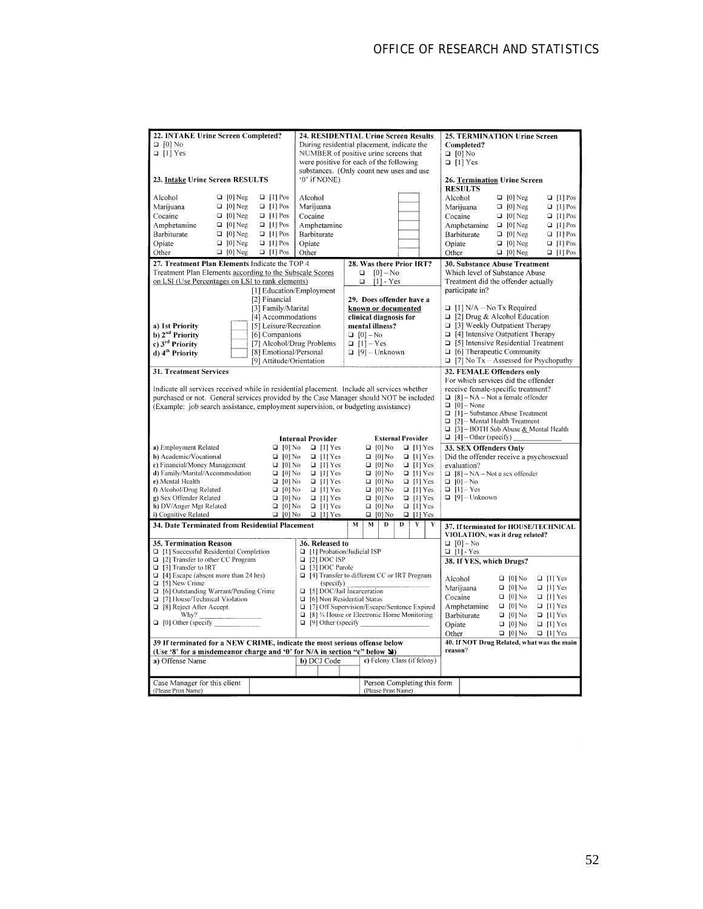| 22. INTAKE Urine Screen Completed?<br>24. RESIDENTIAL Urine Screen Results<br>25. TERMINATION Urine Screen<br>$\Box$ [0] No<br>During residential placement, indicate the<br>Completed?<br>$\Box$ [1] Yes<br>NUMBER of positive urine screens that<br>$\Box$ [0] No<br>were positive for each of the following<br>$\Box$ [1] Yes<br>substances. (Only count new uses and use<br>'0' if NONE)<br>23. Intake Urine Screen RESULTS<br>26. Termination Urine Screen<br><b>RESULTS</b><br>$\Box$ [0] Neg<br>$\Box$ [1] Pos<br>Alcohol<br>Alcohol<br>Alcohol<br>$\Box$ [0] Neg<br>Marijuana<br>$\Box$ [0] Neg<br>$\Box$ [1] Pos<br>Marijuana<br>$\Box$ [0] Neg<br>Marijuana<br>$\Box$ [1] Pos<br>$\Box$ [0] Neg<br>$[0]$ Neg<br>Cocaine<br>Cocaine<br>Cocaine<br>$[0]$ Neg<br>$\Box$ [1] Pos<br>Amphetamine<br>Amphetamine<br>$\Box$ [0] Neg<br>Amphetamine<br>$[0]$ Neg<br>$\Box$ [1] Pos<br>Barbiturate<br>Barbiturate<br>$[0]$ Neg<br>Barbiturate<br>$\Box$ [0] Neg<br>Opiate<br>$\Box$ [1] Pos<br>Opiate<br>$[0]$ Neg<br>Opiate<br>Other<br>$\Box$ [0] Neg<br>$\Box$ [1] Pos<br>Other<br>Other<br>$\Box$ [0] Neg<br>27. Treatment Plan Elements Indicate the TOP 4<br>28. Was there Prior IRT?<br>30. Substance Abuse Treatment<br>Treatment Plan Elements according to the Subscale Scores<br>$[0] - No$<br>Which level of Substance Abuse<br>on LSI (Use Percentages on LSI to rank elements)<br>$\Box$ [1] - Yes<br>Treatment did the offender actually<br>[1] Education/Employment<br>participate in?<br>[2] Financial<br>29. Does offender have a<br>$\Box$ [1] N/A – No Tx Required<br>[3] Family/Marital<br>known or documented<br>[4] Accommodations<br>$\Box$ [2] Drug & Alcohol Education<br>clinical diagnosis for | $\Box$ [1] Pos<br>$\Box$ [1] Pos<br>$\Box$ [1] Pos<br>$\Box$       Pos<br>$\Box$ [1] Pos<br>$\Box$ [1] Pos<br>$\Box$ [1] Pos |
|-----------------------------------------------------------------------------------------------------------------------------------------------------------------------------------------------------------------------------------------------------------------------------------------------------------------------------------------------------------------------------------------------------------------------------------------------------------------------------------------------------------------------------------------------------------------------------------------------------------------------------------------------------------------------------------------------------------------------------------------------------------------------------------------------------------------------------------------------------------------------------------------------------------------------------------------------------------------------------------------------------------------------------------------------------------------------------------------------------------------------------------------------------------------------------------------------------------------------------------------------------------------------------------------------------------------------------------------------------------------------------------------------------------------------------------------------------------------------------------------------------------------------------------------------------------------------------------------------------------------------------------------------------------------------------------------------------------------------------|------------------------------------------------------------------------------------------------------------------------------|
|                                                                                                                                                                                                                                                                                                                                                                                                                                                                                                                                                                                                                                                                                                                                                                                                                                                                                                                                                                                                                                                                                                                                                                                                                                                                                                                                                                                                                                                                                                                                                                                                                                                                                                                             |                                                                                                                              |
|                                                                                                                                                                                                                                                                                                                                                                                                                                                                                                                                                                                                                                                                                                                                                                                                                                                                                                                                                                                                                                                                                                                                                                                                                                                                                                                                                                                                                                                                                                                                                                                                                                                                                                                             |                                                                                                                              |
|                                                                                                                                                                                                                                                                                                                                                                                                                                                                                                                                                                                                                                                                                                                                                                                                                                                                                                                                                                                                                                                                                                                                                                                                                                                                                                                                                                                                                                                                                                                                                                                                                                                                                                                             |                                                                                                                              |
|                                                                                                                                                                                                                                                                                                                                                                                                                                                                                                                                                                                                                                                                                                                                                                                                                                                                                                                                                                                                                                                                                                                                                                                                                                                                                                                                                                                                                                                                                                                                                                                                                                                                                                                             |                                                                                                                              |
|                                                                                                                                                                                                                                                                                                                                                                                                                                                                                                                                                                                                                                                                                                                                                                                                                                                                                                                                                                                                                                                                                                                                                                                                                                                                                                                                                                                                                                                                                                                                                                                                                                                                                                                             |                                                                                                                              |
|                                                                                                                                                                                                                                                                                                                                                                                                                                                                                                                                                                                                                                                                                                                                                                                                                                                                                                                                                                                                                                                                                                                                                                                                                                                                                                                                                                                                                                                                                                                                                                                                                                                                                                                             |                                                                                                                              |
|                                                                                                                                                                                                                                                                                                                                                                                                                                                                                                                                                                                                                                                                                                                                                                                                                                                                                                                                                                                                                                                                                                                                                                                                                                                                                                                                                                                                                                                                                                                                                                                                                                                                                                                             |                                                                                                                              |
|                                                                                                                                                                                                                                                                                                                                                                                                                                                                                                                                                                                                                                                                                                                                                                                                                                                                                                                                                                                                                                                                                                                                                                                                                                                                                                                                                                                                                                                                                                                                                                                                                                                                                                                             |                                                                                                                              |
|                                                                                                                                                                                                                                                                                                                                                                                                                                                                                                                                                                                                                                                                                                                                                                                                                                                                                                                                                                                                                                                                                                                                                                                                                                                                                                                                                                                                                                                                                                                                                                                                                                                                                                                             |                                                                                                                              |
|                                                                                                                                                                                                                                                                                                                                                                                                                                                                                                                                                                                                                                                                                                                                                                                                                                                                                                                                                                                                                                                                                                                                                                                                                                                                                                                                                                                                                                                                                                                                                                                                                                                                                                                             |                                                                                                                              |
|                                                                                                                                                                                                                                                                                                                                                                                                                                                                                                                                                                                                                                                                                                                                                                                                                                                                                                                                                                                                                                                                                                                                                                                                                                                                                                                                                                                                                                                                                                                                                                                                                                                                                                                             |                                                                                                                              |
|                                                                                                                                                                                                                                                                                                                                                                                                                                                                                                                                                                                                                                                                                                                                                                                                                                                                                                                                                                                                                                                                                                                                                                                                                                                                                                                                                                                                                                                                                                                                                                                                                                                                                                                             |                                                                                                                              |
|                                                                                                                                                                                                                                                                                                                                                                                                                                                                                                                                                                                                                                                                                                                                                                                                                                                                                                                                                                                                                                                                                                                                                                                                                                                                                                                                                                                                                                                                                                                                                                                                                                                                                                                             |                                                                                                                              |
|                                                                                                                                                                                                                                                                                                                                                                                                                                                                                                                                                                                                                                                                                                                                                                                                                                                                                                                                                                                                                                                                                                                                                                                                                                                                                                                                                                                                                                                                                                                                                                                                                                                                                                                             |                                                                                                                              |
|                                                                                                                                                                                                                                                                                                                                                                                                                                                                                                                                                                                                                                                                                                                                                                                                                                                                                                                                                                                                                                                                                                                                                                                                                                                                                                                                                                                                                                                                                                                                                                                                                                                                                                                             |                                                                                                                              |
|                                                                                                                                                                                                                                                                                                                                                                                                                                                                                                                                                                                                                                                                                                                                                                                                                                                                                                                                                                                                                                                                                                                                                                                                                                                                                                                                                                                                                                                                                                                                                                                                                                                                                                                             |                                                                                                                              |
|                                                                                                                                                                                                                                                                                                                                                                                                                                                                                                                                                                                                                                                                                                                                                                                                                                                                                                                                                                                                                                                                                                                                                                                                                                                                                                                                                                                                                                                                                                                                                                                                                                                                                                                             |                                                                                                                              |
|                                                                                                                                                                                                                                                                                                                                                                                                                                                                                                                                                                                                                                                                                                                                                                                                                                                                                                                                                                                                                                                                                                                                                                                                                                                                                                                                                                                                                                                                                                                                                                                                                                                                                                                             |                                                                                                                              |
|                                                                                                                                                                                                                                                                                                                                                                                                                                                                                                                                                                                                                                                                                                                                                                                                                                                                                                                                                                                                                                                                                                                                                                                                                                                                                                                                                                                                                                                                                                                                                                                                                                                                                                                             |                                                                                                                              |
|                                                                                                                                                                                                                                                                                                                                                                                                                                                                                                                                                                                                                                                                                                                                                                                                                                                                                                                                                                                                                                                                                                                                                                                                                                                                                                                                                                                                                                                                                                                                                                                                                                                                                                                             |                                                                                                                              |
|                                                                                                                                                                                                                                                                                                                                                                                                                                                                                                                                                                                                                                                                                                                                                                                                                                                                                                                                                                                                                                                                                                                                                                                                                                                                                                                                                                                                                                                                                                                                                                                                                                                                                                                             |                                                                                                                              |
|                                                                                                                                                                                                                                                                                                                                                                                                                                                                                                                                                                                                                                                                                                                                                                                                                                                                                                                                                                                                                                                                                                                                                                                                                                                                                                                                                                                                                                                                                                                                                                                                                                                                                                                             |                                                                                                                              |
| $\Box$ [3] Weekly Outpatient Therapy<br>a) 1st Priority<br>[5] Leisure/Recreation<br>mental illness?                                                                                                                                                                                                                                                                                                                                                                                                                                                                                                                                                                                                                                                                                                                                                                                                                                                                                                                                                                                                                                                                                                                                                                                                                                                                                                                                                                                                                                                                                                                                                                                                                        |                                                                                                                              |
| b) 2 <sup>nd</sup> Priority<br>$\Box$ [4] Intensive Outpatient Therapy<br>[6] Companions<br>$\Box$ [0] – No                                                                                                                                                                                                                                                                                                                                                                                                                                                                                                                                                                                                                                                                                                                                                                                                                                                                                                                                                                                                                                                                                                                                                                                                                                                                                                                                                                                                                                                                                                                                                                                                                 |                                                                                                                              |
| $\tilde{c}$ ) 3 <sup>rd</sup> Priority<br>[7] Alcohol/Drug Problems<br>$\Box$ [1] – Yes<br>$\Box$ [5] Intensive Residential Treatment                                                                                                                                                                                                                                                                                                                                                                                                                                                                                                                                                                                                                                                                                                                                                                                                                                                                                                                                                                                                                                                                                                                                                                                                                                                                                                                                                                                                                                                                                                                                                                                       |                                                                                                                              |
| $\Box$ [6] Therapeutic Community<br>[8] Emotional/Personal<br>$\Box$ [9] - Unknown                                                                                                                                                                                                                                                                                                                                                                                                                                                                                                                                                                                                                                                                                                                                                                                                                                                                                                                                                                                                                                                                                                                                                                                                                                                                                                                                                                                                                                                                                                                                                                                                                                          |                                                                                                                              |
| d) 4 <sup>th</sup> Priority<br>$\Box$ [7] No Tx – Assessed for Psychopathy<br>[9] Attitude/Orientation                                                                                                                                                                                                                                                                                                                                                                                                                                                                                                                                                                                                                                                                                                                                                                                                                                                                                                                                                                                                                                                                                                                                                                                                                                                                                                                                                                                                                                                                                                                                                                                                                      |                                                                                                                              |
|                                                                                                                                                                                                                                                                                                                                                                                                                                                                                                                                                                                                                                                                                                                                                                                                                                                                                                                                                                                                                                                                                                                                                                                                                                                                                                                                                                                                                                                                                                                                                                                                                                                                                                                             |                                                                                                                              |
| 31. Treatment Services<br>32. FEMALE Offenders only                                                                                                                                                                                                                                                                                                                                                                                                                                                                                                                                                                                                                                                                                                                                                                                                                                                                                                                                                                                                                                                                                                                                                                                                                                                                                                                                                                                                                                                                                                                                                                                                                                                                         |                                                                                                                              |
| For which services did the offender                                                                                                                                                                                                                                                                                                                                                                                                                                                                                                                                                                                                                                                                                                                                                                                                                                                                                                                                                                                                                                                                                                                                                                                                                                                                                                                                                                                                                                                                                                                                                                                                                                                                                         |                                                                                                                              |
| receive female-specific treatment?<br>Indicate all services received while in residential placement. Include all services whether                                                                                                                                                                                                                                                                                                                                                                                                                                                                                                                                                                                                                                                                                                                                                                                                                                                                                                                                                                                                                                                                                                                                                                                                                                                                                                                                                                                                                                                                                                                                                                                           |                                                                                                                              |
| $\Box$ [8] – NA – Not a female offender<br>purchased or not. General services provided by the Case Manager should NOT be included                                                                                                                                                                                                                                                                                                                                                                                                                                                                                                                                                                                                                                                                                                                                                                                                                                                                                                                                                                                                                                                                                                                                                                                                                                                                                                                                                                                                                                                                                                                                                                                           |                                                                                                                              |
| $\Box$ [0] – None<br>(Example: job search assistance, employment supervision, or budgeting assistance)                                                                                                                                                                                                                                                                                                                                                                                                                                                                                                                                                                                                                                                                                                                                                                                                                                                                                                                                                                                                                                                                                                                                                                                                                                                                                                                                                                                                                                                                                                                                                                                                                      |                                                                                                                              |
| □ [1] - Substance Abuse Treatment                                                                                                                                                                                                                                                                                                                                                                                                                                                                                                                                                                                                                                                                                                                                                                                                                                                                                                                                                                                                                                                                                                                                                                                                                                                                                                                                                                                                                                                                                                                                                                                                                                                                                           |                                                                                                                              |
| $\Box$ [2] - Mental Health Treatment                                                                                                                                                                                                                                                                                                                                                                                                                                                                                                                                                                                                                                                                                                                                                                                                                                                                                                                                                                                                                                                                                                                                                                                                                                                                                                                                                                                                                                                                                                                                                                                                                                                                                        |                                                                                                                              |
| □ [3] - BOTH Sub Abuse & Mental Health                                                                                                                                                                                                                                                                                                                                                                                                                                                                                                                                                                                                                                                                                                                                                                                                                                                                                                                                                                                                                                                                                                                                                                                                                                                                                                                                                                                                                                                                                                                                                                                                                                                                                      |                                                                                                                              |
| $\Box$ [4] – Other (specify)<br><b>External Provider</b><br><b>Internal Provider</b>                                                                                                                                                                                                                                                                                                                                                                                                                                                                                                                                                                                                                                                                                                                                                                                                                                                                                                                                                                                                                                                                                                                                                                                                                                                                                                                                                                                                                                                                                                                                                                                                                                        |                                                                                                                              |
| a) Employment Related<br>$\Box$ [1] Yes<br>$\Box$ [0] No<br>$\Box$ [1] Yes<br>33. SEX Offenders Only<br>$\Box$ [0] No                                                                                                                                                                                                                                                                                                                                                                                                                                                                                                                                                                                                                                                                                                                                                                                                                                                                                                                                                                                                                                                                                                                                                                                                                                                                                                                                                                                                                                                                                                                                                                                                       |                                                                                                                              |
| $\Box$ [0] No<br>$\Box$ [1] Yes<br>$\Box$ [0] No<br>$\Box$ [1] Yes<br>b) Academic/Vocational<br>Did the offender receive a psychosexual                                                                                                                                                                                                                                                                                                                                                                                                                                                                                                                                                                                                                                                                                                                                                                                                                                                                                                                                                                                                                                                                                                                                                                                                                                                                                                                                                                                                                                                                                                                                                                                     |                                                                                                                              |
| c) Financial/Money Management<br>$\Box$ [0] No<br>$\Box$ [1] Yes<br>$\Box$ [0] No<br>$\Box$ [1] Yes<br>evaluation?                                                                                                                                                                                                                                                                                                                                                                                                                                                                                                                                                                                                                                                                                                                                                                                                                                                                                                                                                                                                                                                                                                                                                                                                                                                                                                                                                                                                                                                                                                                                                                                                          |                                                                                                                              |
| $\Box$ [1] Yes<br>d) Family/Marital/Accommodation<br>$\Box$ [0] No<br>$\Box$ [1] Yes<br>$\Box$ [0] No<br>$\Box$ [8] – NA – Not a sex offender                                                                                                                                                                                                                                                                                                                                                                                                                                                                                                                                                                                                                                                                                                                                                                                                                                                                                                                                                                                                                                                                                                                                                                                                                                                                                                                                                                                                                                                                                                                                                                               |                                                                                                                              |
| e) Mental Health<br>$\Box$ [0] No<br>$\Box$ [1] Yes<br>$\Box$ [0] No<br>$\Box$ [1] Yes<br>$\Box$ [0] $-No$                                                                                                                                                                                                                                                                                                                                                                                                                                                                                                                                                                                                                                                                                                                                                                                                                                                                                                                                                                                                                                                                                                                                                                                                                                                                                                                                                                                                                                                                                                                                                                                                                  |                                                                                                                              |
| f) Alcohol/Drug Related<br>$\Box$ [0] No<br>$\Box$ [1] Yes<br>$\Box$ [0] No<br>$\Box$ [1] Yes<br>$\Box$ [1] – Yes                                                                                                                                                                                                                                                                                                                                                                                                                                                                                                                                                                                                                                                                                                                                                                                                                                                                                                                                                                                                                                                                                                                                                                                                                                                                                                                                                                                                                                                                                                                                                                                                           |                                                                                                                              |
| $\Box$ [9] - Unknown<br>g) Sex Offender Related<br>$\Box$ [1] Yes<br>$\Box$ [0] No<br>$\Box$ [1] Yes<br>$\Box$ [0] No                                                                                                                                                                                                                                                                                                                                                                                                                                                                                                                                                                                                                                                                                                                                                                                                                                                                                                                                                                                                                                                                                                                                                                                                                                                                                                                                                                                                                                                                                                                                                                                                       |                                                                                                                              |
| h) DV/Anger Mgt Related<br>$\Box$ [0] No<br>$\Box$ [1] Yes<br>$\Box$ [0] No<br>$\Box$ [1] Yes                                                                                                                                                                                                                                                                                                                                                                                                                                                                                                                                                                                                                                                                                                                                                                                                                                                                                                                                                                                                                                                                                                                                                                                                                                                                                                                                                                                                                                                                                                                                                                                                                               |                                                                                                                              |
| i) Cognitive Related<br>$\Box$ [0] No<br>$\Box$ [1] Yes<br>$\Box$ [0] No<br>$\Box$ [1] Yes                                                                                                                                                                                                                                                                                                                                                                                                                                                                                                                                                                                                                                                                                                                                                                                                                                                                                                                                                                                                                                                                                                                                                                                                                                                                                                                                                                                                                                                                                                                                                                                                                                  |                                                                                                                              |
| M<br>$\mathbf M$<br>D<br>D<br>Y<br>34. Date Terminated from Residential Placement<br>Y<br>37. If terminated for HOUSE/TECHNICAL                                                                                                                                                                                                                                                                                                                                                                                                                                                                                                                                                                                                                                                                                                                                                                                                                                                                                                                                                                                                                                                                                                                                                                                                                                                                                                                                                                                                                                                                                                                                                                                             |                                                                                                                              |
| VIOLATION, was it drug related?                                                                                                                                                                                                                                                                                                                                                                                                                                                                                                                                                                                                                                                                                                                                                                                                                                                                                                                                                                                                                                                                                                                                                                                                                                                                                                                                                                                                                                                                                                                                                                                                                                                                                             |                                                                                                                              |
| <b>35. Termination Reason</b><br>36. Released to<br>$\Box$ [0] – No                                                                                                                                                                                                                                                                                                                                                                                                                                                                                                                                                                                                                                                                                                                                                                                                                                                                                                                                                                                                                                                                                                                                                                                                                                                                                                                                                                                                                                                                                                                                                                                                                                                         |                                                                                                                              |
| □ [1] Successful Residential Completion<br>□ [1] Probation/Judicial ISP<br>$\Box$ [1] - Yes                                                                                                                                                                                                                                                                                                                                                                                                                                                                                                                                                                                                                                                                                                                                                                                                                                                                                                                                                                                                                                                                                                                                                                                                                                                                                                                                                                                                                                                                                                                                                                                                                                 |                                                                                                                              |
| □ [2] Transfer to other CC Program<br>$\Box$ [2] DOC ISP<br>38. If YES, which Drugs?                                                                                                                                                                                                                                                                                                                                                                                                                                                                                                                                                                                                                                                                                                                                                                                                                                                                                                                                                                                                                                                                                                                                                                                                                                                                                                                                                                                                                                                                                                                                                                                                                                        |                                                                                                                              |
|                                                                                                                                                                                                                                                                                                                                                                                                                                                                                                                                                                                                                                                                                                                                                                                                                                                                                                                                                                                                                                                                                                                                                                                                                                                                                                                                                                                                                                                                                                                                                                                                                                                                                                                             |                                                                                                                              |
| $\Box$ [3] Transfer to IRT<br>□ [3] DOC Parole                                                                                                                                                                                                                                                                                                                                                                                                                                                                                                                                                                                                                                                                                                                                                                                                                                                                                                                                                                                                                                                                                                                                                                                                                                                                                                                                                                                                                                                                                                                                                                                                                                                                              |                                                                                                                              |
| $\Box$ [4] Escape (absent more than 24 hrs)<br>□ [4] Transfer to different CC or IRT Program                                                                                                                                                                                                                                                                                                                                                                                                                                                                                                                                                                                                                                                                                                                                                                                                                                                                                                                                                                                                                                                                                                                                                                                                                                                                                                                                                                                                                                                                                                                                                                                                                                |                                                                                                                              |
| Alcohol<br>$\Box$ [0] No<br>$\Box$ [5] New Crime<br>(specify)                                                                                                                                                                                                                                                                                                                                                                                                                                                                                                                                                                                                                                                                                                                                                                                                                                                                                                                                                                                                                                                                                                                                                                                                                                                                                                                                                                                                                                                                                                                                                                                                                                                               | $\Box$ [1] Yes                                                                                                               |
| Marijuana<br>$\Box$ [0] No<br>□ [5] DOC/Jail Incarceration<br>[6] Outstanding Warrant/Pending Crime<br>O.                                                                                                                                                                                                                                                                                                                                                                                                                                                                                                                                                                                                                                                                                                                                                                                                                                                                                                                                                                                                                                                                                                                                                                                                                                                                                                                                                                                                                                                                                                                                                                                                                   | $\Box$ [1] Yes                                                                                                               |
| $\Box$ [0] No<br>Cocaine<br>□ [7] House/Technical Violation<br>$\Box$ [6] Non Residential Status                                                                                                                                                                                                                                                                                                                                                                                                                                                                                                                                                                                                                                                                                                                                                                                                                                                                                                                                                                                                                                                                                                                                                                                                                                                                                                                                                                                                                                                                                                                                                                                                                            | $\Box$ [1] Yes                                                                                                               |
| $\Box$ [0] No<br>Amphetamine<br>[8] Reject After Accept.<br>□ 171 Off Supervision/Escape/Sentence Expired                                                                                                                                                                                                                                                                                                                                                                                                                                                                                                                                                                                                                                                                                                                                                                                                                                                                                                                                                                                                                                                                                                                                                                                                                                                                                                                                                                                                                                                                                                                                                                                                                   | $\Box$ [1] Yes                                                                                                               |
| Why?<br>$\Box$ [8] % House or Electronic Home Monitoring<br>$\Box$ [0] No<br>Barbiturate                                                                                                                                                                                                                                                                                                                                                                                                                                                                                                                                                                                                                                                                                                                                                                                                                                                                                                                                                                                                                                                                                                                                                                                                                                                                                                                                                                                                                                                                                                                                                                                                                                    | $\Box$ [1] Yes                                                                                                               |
| $\Box$ [0] Other (specify<br>$\Box$ [9] Other (specify<br>$\Box$ [0] No<br>Opiate                                                                                                                                                                                                                                                                                                                                                                                                                                                                                                                                                                                                                                                                                                                                                                                                                                                                                                                                                                                                                                                                                                                                                                                                                                                                                                                                                                                                                                                                                                                                                                                                                                           | $\Box$ [1] Yes                                                                                                               |
| Other<br>$\Box$ [0] No                                                                                                                                                                                                                                                                                                                                                                                                                                                                                                                                                                                                                                                                                                                                                                                                                                                                                                                                                                                                                                                                                                                                                                                                                                                                                                                                                                                                                                                                                                                                                                                                                                                                                                      | $\Box$ [1] Yes                                                                                                               |
| 39 If terminated for a NEW CRIME, indicate the most serious offense below<br>40. If NOT Drug Related, what was the main                                                                                                                                                                                                                                                                                                                                                                                                                                                                                                                                                                                                                                                                                                                                                                                                                                                                                                                                                                                                                                                                                                                                                                                                                                                                                                                                                                                                                                                                                                                                                                                                     |                                                                                                                              |
| reason?<br>(Use '8' for a misdemeanor charge and '0' for N/A in section "c" below $\blacktriangle$ )                                                                                                                                                                                                                                                                                                                                                                                                                                                                                                                                                                                                                                                                                                                                                                                                                                                                                                                                                                                                                                                                                                                                                                                                                                                                                                                                                                                                                                                                                                                                                                                                                        |                                                                                                                              |
| c) Felony Class (if felony)<br>a) Offense Name<br>b) DCJ Code                                                                                                                                                                                                                                                                                                                                                                                                                                                                                                                                                                                                                                                                                                                                                                                                                                                                                                                                                                                                                                                                                                                                                                                                                                                                                                                                                                                                                                                                                                                                                                                                                                                               |                                                                                                                              |
|                                                                                                                                                                                                                                                                                                                                                                                                                                                                                                                                                                                                                                                                                                                                                                                                                                                                                                                                                                                                                                                                                                                                                                                                                                                                                                                                                                                                                                                                                                                                                                                                                                                                                                                             |                                                                                                                              |
| Case Manager for this client<br>Person Completing this form                                                                                                                                                                                                                                                                                                                                                                                                                                                                                                                                                                                                                                                                                                                                                                                                                                                                                                                                                                                                                                                                                                                                                                                                                                                                                                                                                                                                                                                                                                                                                                                                                                                                 |                                                                                                                              |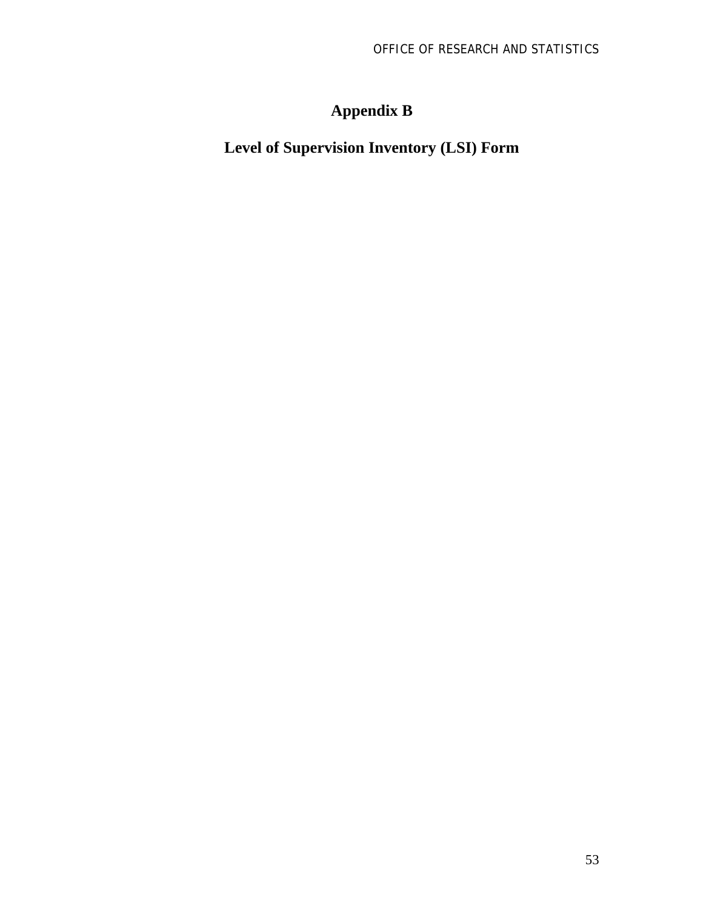# **Appendix B**

**Level of Supervision Inventory (LSI) Form**